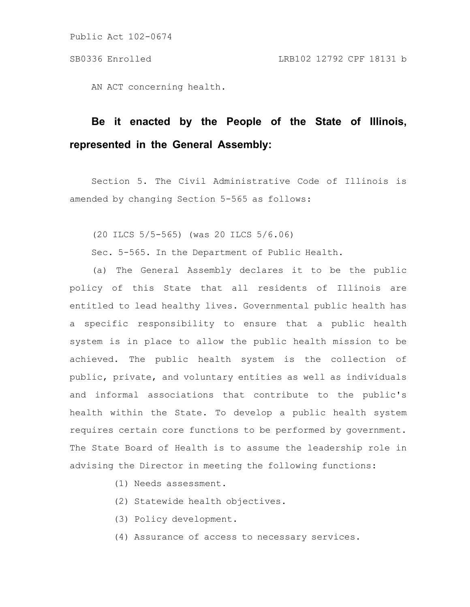AN ACT concerning health.

# **Be it enacted by the People of the State of Illinois, represented in the General Assembly:**

Section 5. The Civil Administrative Code of Illinois is amended by changing Section 5-565 as follows:

(20 ILCS 5/5-565) (was 20 ILCS 5/6.06)

Sec. 5-565. In the Department of Public Health.

(a) The General Assembly declares it to be the public policy of this State that all residents of Illinois are entitled to lead healthy lives. Governmental public health has a specific responsibility to ensure that a public health system is in place to allow the public health mission to be achieved. The public health system is the collection of public, private, and voluntary entities as well as individuals and informal associations that contribute to the public's health within the State. To develop a public health system requires certain core functions to be performed by government. The State Board of Health is to assume the leadership role in advising the Director in meeting the following functions:

- (1) Needs assessment.
- (2) Statewide health objectives.
- (3) Policy development.
- (4) Assurance of access to necessary services.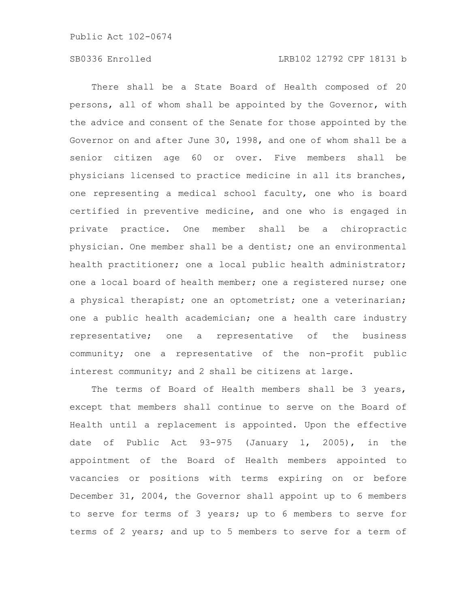# SB0336 Enrolled LRB102 12792 CPF 18131 b

There shall be a State Board of Health composed of 20 persons, all of whom shall be appointed by the Governor, with the advice and consent of the Senate for those appointed by the Governor on and after June 30, 1998, and one of whom shall be a senior citizen age 60 or over. Five members shall be physicians licensed to practice medicine in all its branches, one representing a medical school faculty, one who is board certified in preventive medicine, and one who is engaged in private practice. One member shall be a chiropractic physician. One member shall be a dentist; one an environmental health practitioner; one a local public health administrator; one a local board of health member; one a registered nurse; one a physical therapist; one an optometrist; one a veterinarian; one a public health academician; one a health care industry representative; one a representative of the business community; one a representative of the non-profit public interest community; and 2 shall be citizens at large.

The terms of Board of Health members shall be 3 years, except that members shall continue to serve on the Board of Health until a replacement is appointed. Upon the effective date of Public Act 93-975 (January 1, 2005), in the appointment of the Board of Health members appointed to vacancies or positions with terms expiring on or before December 31, 2004, the Governor shall appoint up to 6 members to serve for terms of 3 years; up to 6 members to serve for terms of 2 years; and up to 5 members to serve for a term of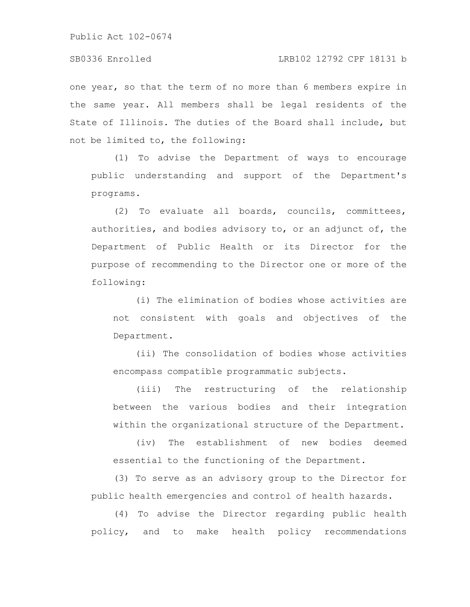### SB0336 Enrolled LRB102 12792 CPF 18131 b

one year, so that the term of no more than 6 members expire in the same year. All members shall be legal residents of the State of Illinois. The duties of the Board shall include, but not be limited to, the following:

(1) To advise the Department of ways to encourage public understanding and support of the Department's programs.

(2) To evaluate all boards, councils, committees, authorities, and bodies advisory to, or an adjunct of, the Department of Public Health or its Director for the purpose of recommending to the Director one or more of the following:

(i) The elimination of bodies whose activities are not consistent with goals and objectives of the Department.

(ii) The consolidation of bodies whose activities encompass compatible programmatic subjects.

(iii) The restructuring of the relationship between the various bodies and their integration within the organizational structure of the Department.

(iv) The establishment of new bodies deemed essential to the functioning of the Department.

(3) To serve as an advisory group to the Director for public health emergencies and control of health hazards.

(4) To advise the Director regarding public health policy, and to make health policy recommendations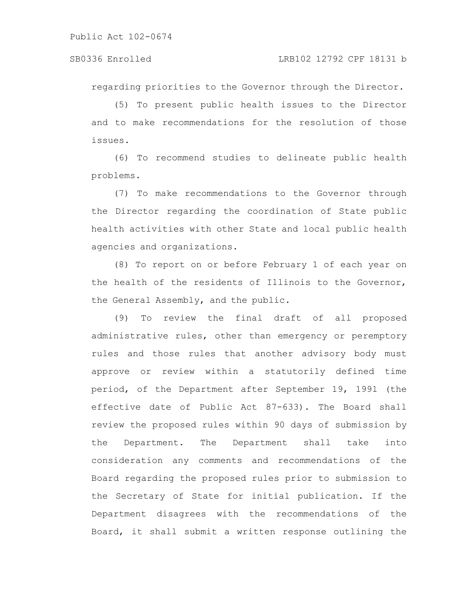regarding priorities to the Governor through the Director.

(5) To present public health issues to the Director and to make recommendations for the resolution of those issues.

(6) To recommend studies to delineate public health problems.

(7) To make recommendations to the Governor through the Director regarding the coordination of State public health activities with other State and local public health agencies and organizations.

(8) To report on or before February 1 of each year on the health of the residents of Illinois to the Governor, the General Assembly, and the public.

(9) To review the final draft of all proposed administrative rules, other than emergency or peremptory rules and those rules that another advisory body must approve or review within a statutorily defined time period, of the Department after September 19, 1991 (the effective date of Public Act 87-633). The Board shall review the proposed rules within 90 days of submission by the Department. The Department shall take into consideration any comments and recommendations of the Board regarding the proposed rules prior to submission to the Secretary of State for initial publication. If the Department disagrees with the recommendations of the Board, it shall submit a written response outlining the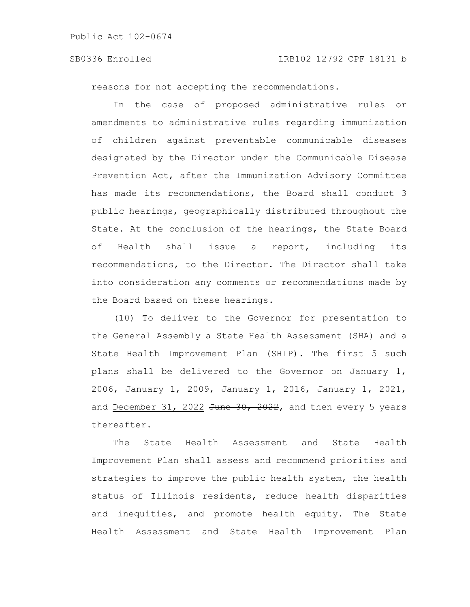#### SB0336 Enrolled LRB102 12792 CPF 18131 b

reasons for not accepting the recommendations.

In the case of proposed administrative rules or amendments to administrative rules regarding immunization of children against preventable communicable diseases designated by the Director under the Communicable Disease Prevention Act, after the Immunization Advisory Committee has made its recommendations, the Board shall conduct 3 public hearings, geographically distributed throughout the State. At the conclusion of the hearings, the State Board of Health shall issue a report, including its recommendations, to the Director. The Director shall take into consideration any comments or recommendations made by the Board based on these hearings.

(10) To deliver to the Governor for presentation to the General Assembly a State Health Assessment (SHA) and a State Health Improvement Plan (SHIP). The first 5 such plans shall be delivered to the Governor on January 1, 2006, January 1, 2009, January 1, 2016, January 1, 2021, and December 31, 2022  $\frac{\pi}{6}$   $\frac{30}{2022}$ , and then every 5 years thereafter.

The State Health Assessment and State Health Improvement Plan shall assess and recommend priorities and strategies to improve the public health system, the health status of Illinois residents, reduce health disparities and inequities, and promote health equity. The State Health Assessment and State Health Improvement Plan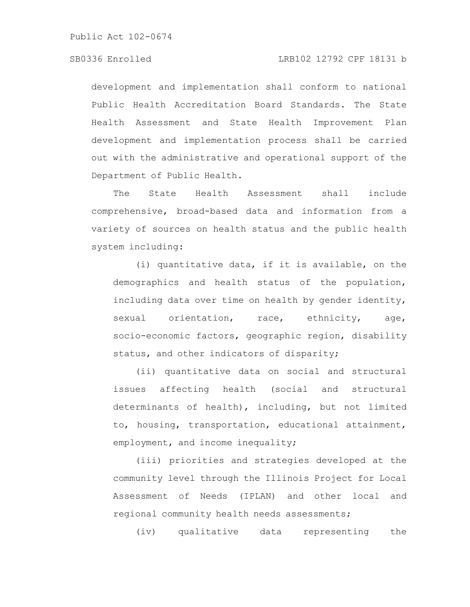# SB0336 Enrolled LRB102 12792 CPF 18131 b

development and implementation shall conform to national Public Health Accreditation Board Standards. The State Health Assessment and State Health Improvement Plan development and implementation process shall be carried out with the administrative and operational support of the Department of Public Health.

The State Health Assessment shall include comprehensive, broad-based data and information from a variety of sources on health status and the public health system including:

(i) quantitative data, if it is available, on the demographics and health status of the population, including data over time on health by gender identity, sexual orientation, race, ethnicity, age, socio-economic factors, geographic region, disability status, and other indicators of disparity;

(ii) quantitative data on social and structural issues affecting health (social and structural determinants of health), including, but not limited to, housing, transportation, educational attainment, employment, and income inequality;

(iii) priorities and strategies developed at the community level through the Illinois Project for Local Assessment of Needs (IPLAN) and other local and regional community health needs assessments;

(iv) qualitative data representing the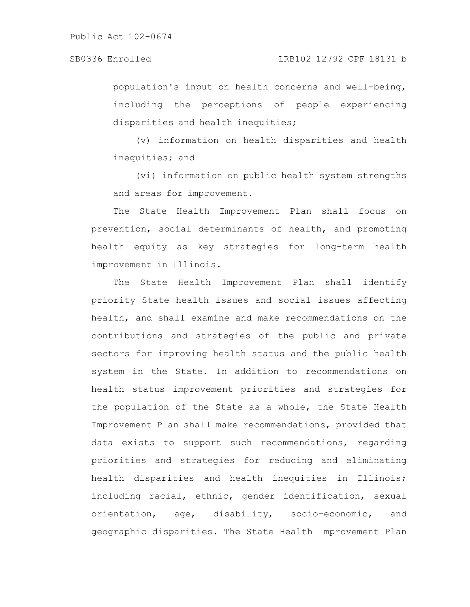population's input on health concerns and well-being, including the perceptions of people experiencing disparities and health inequities;

(v) information on health disparities and health inequities; and

(vi) information on public health system strengths and areas for improvement.

The State Health Improvement Plan shall focus on prevention, social determinants of health, and promoting health equity as key strategies for long-term health improvement in Illinois.

The State Health Improvement Plan shall identify priority State health issues and social issues affecting health, and shall examine and make recommendations on the contributions and strategies of the public and private sectors for improving health status and the public health system in the State. In addition to recommendations on health status improvement priorities and strategies for the population of the State as a whole, the State Health Improvement Plan shall make recommendations, provided that data exists to support such recommendations, regarding priorities and strategies for reducing and eliminating health disparities and health inequities in Illinois; including racial, ethnic, gender identification, sexual orientation, age, disability, socio-economic, and geographic disparities. The State Health Improvement Plan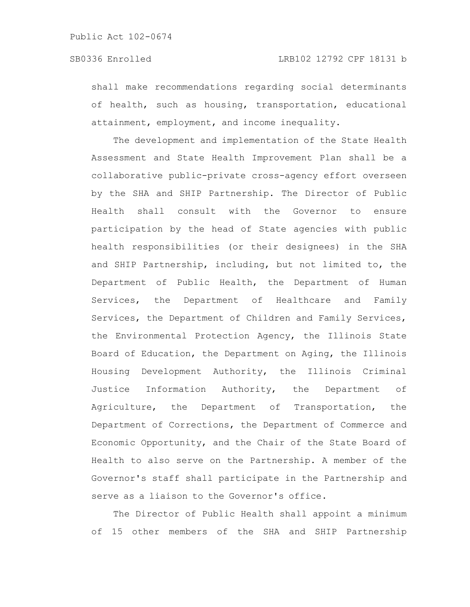shall make recommendations regarding social determinants of health, such as housing, transportation, educational attainment, employment, and income inequality.

The development and implementation of the State Health Assessment and State Health Improvement Plan shall be a collaborative public-private cross-agency effort overseen by the SHA and SHIP Partnership. The Director of Public Health shall consult with the Governor to ensure participation by the head of State agencies with public health responsibilities (or their designees) in the SHA and SHIP Partnership, including, but not limited to, the Department of Public Health, the Department of Human Services, the Department of Healthcare and Family Services, the Department of Children and Family Services, the Environmental Protection Agency, the Illinois State Board of Education, the Department on Aging, the Illinois Housing Development Authority, the Illinois Criminal Justice Information Authority, the Department of Agriculture, the Department of Transportation, the Department of Corrections, the Department of Commerce and Economic Opportunity, and the Chair of the State Board of Health to also serve on the Partnership. A member of the Governor's staff shall participate in the Partnership and serve as a liaison to the Governor's office.

The Director of Public Health shall appoint a minimum of 15 other members of the SHA and SHIP Partnership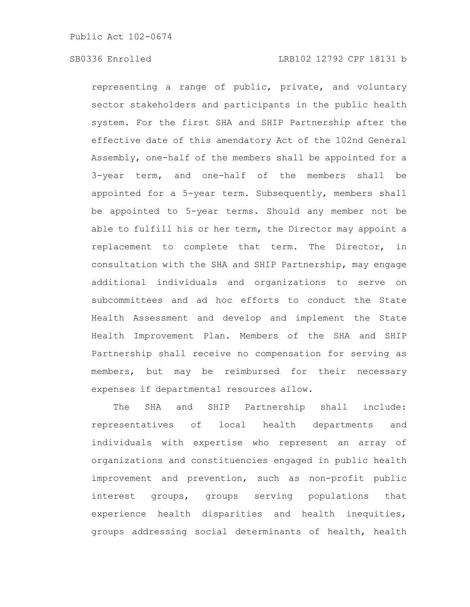representing a range of public, private, and voluntary sector stakeholders and participants in the public health system. For the first SHA and SHIP Partnership after the effective date of this amendatory Act of the 102nd General Assembly, one-half of the members shall be appointed for a 3-year term, and one-half of the members shall be appointed for a 5-year term. Subsequently, members shall be appointed to 5-year terms. Should any member not be able to fulfill his or her term, the Director may appoint a replacement to complete that term. The Director, in consultation with the SHA and SHIP Partnership, may engage additional individuals and organizations to serve on subcommittees and ad hoc efforts to conduct the State Health Assessment and develop and implement the State Health Improvement Plan. Members of the SHA and SHIP Partnership shall receive no compensation for serving as members, but may be reimbursed for their necessary expenses if departmental resources allow.

The SHA and SHIP Partnership shall include: representatives of local health departments and individuals with expertise who represent an array of organizations and constituencies engaged in public health improvement and prevention, such as non-profit public interest groups, groups serving populations that experience health disparities and health inequities, groups addressing social determinants of health, health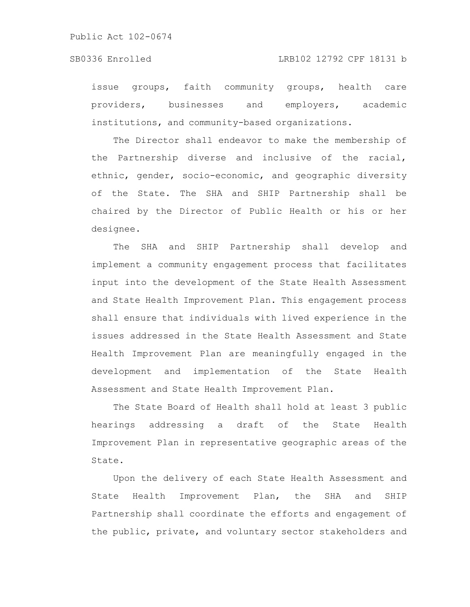issue groups, faith community groups, health care providers, businesses and employers, academic institutions, and community-based organizations.

The Director shall endeavor to make the membership of the Partnership diverse and inclusive of the racial, ethnic, gender, socio-economic, and geographic diversity of the State. The SHA and SHIP Partnership shall be chaired by the Director of Public Health or his or her designee.

The SHA and SHIP Partnership shall develop and implement a community engagement process that facilitates input into the development of the State Health Assessment and State Health Improvement Plan. This engagement process shall ensure that individuals with lived experience in the issues addressed in the State Health Assessment and State Health Improvement Plan are meaningfully engaged in the development and implementation of the State Health Assessment and State Health Improvement Plan.

The State Board of Health shall hold at least 3 public hearings addressing a draft of the State Health Improvement Plan in representative geographic areas of the State.

Upon the delivery of each State Health Assessment and State Health Improvement Plan, the SHA and SHIP Partnership shall coordinate the efforts and engagement of the public, private, and voluntary sector stakeholders and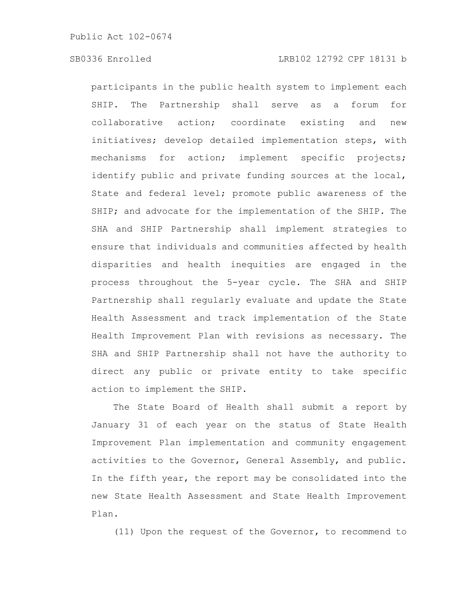participants in the public health system to implement each SHIP. The Partnership shall serve as a forum for collaborative action; coordinate existing and new initiatives; develop detailed implementation steps, with mechanisms for action; implement specific projects; identify public and private funding sources at the local, State and federal level; promote public awareness of the SHIP; and advocate for the implementation of the SHIP. The SHA and SHIP Partnership shall implement strategies to ensure that individuals and communities affected by health disparities and health inequities are engaged in the process throughout the 5-year cycle. The SHA and SHIP Partnership shall regularly evaluate and update the State Health Assessment and track implementation of the State Health Improvement Plan with revisions as necessary. The SHA and SHIP Partnership shall not have the authority to direct any public or private entity to take specific action to implement the SHIP.

The State Board of Health shall submit a report by January 31 of each year on the status of State Health Improvement Plan implementation and community engagement activities to the Governor, General Assembly, and public. In the fifth year, the report may be consolidated into the new State Health Assessment and State Health Improvement Plan.

(11) Upon the request of the Governor, to recommend to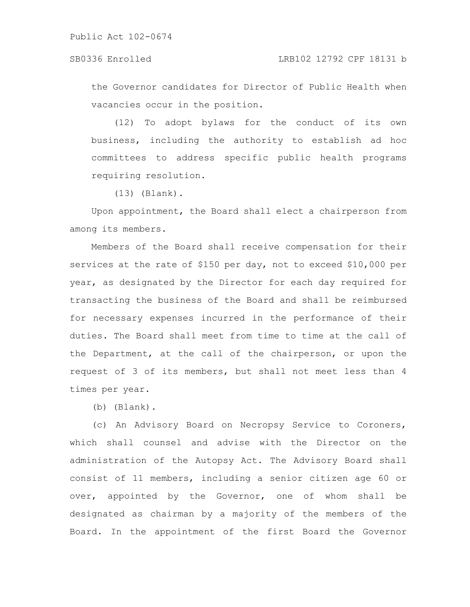the Governor candidates for Director of Public Health when vacancies occur in the position.

(12) To adopt bylaws for the conduct of its own business, including the authority to establish ad hoc committees to address specific public health programs requiring resolution.

(13) (Blank).

Upon appointment, the Board shall elect a chairperson from among its members.

Members of the Board shall receive compensation for their services at the rate of \$150 per day, not to exceed \$10,000 per year, as designated by the Director for each day required for transacting the business of the Board and shall be reimbursed for necessary expenses incurred in the performance of their duties. The Board shall meet from time to time at the call of the Department, at the call of the chairperson, or upon the request of 3 of its members, but shall not meet less than 4 times per year.

(b) (Blank).

(c) An Advisory Board on Necropsy Service to Coroners, which shall counsel and advise with the Director on the administration of the Autopsy Act. The Advisory Board shall consist of 11 members, including a senior citizen age 60 or over, appointed by the Governor, one of whom shall be designated as chairman by a majority of the members of the Board. In the appointment of the first Board the Governor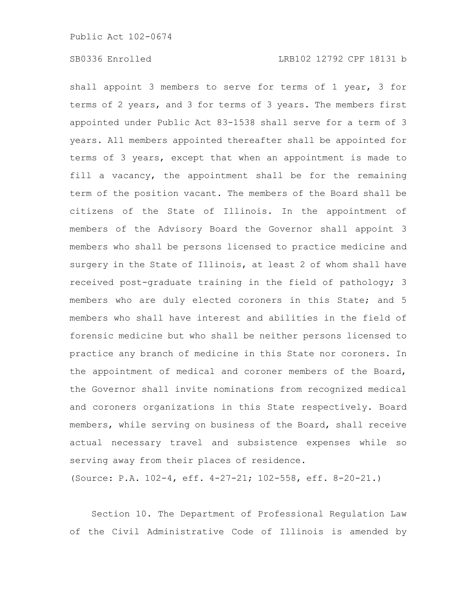shall appoint 3 members to serve for terms of 1 year, 3 for terms of 2 years, and 3 for terms of 3 years. The members first appointed under Public Act 83-1538 shall serve for a term of 3 years. All members appointed thereafter shall be appointed for terms of 3 years, except that when an appointment is made to fill a vacancy, the appointment shall be for the remaining term of the position vacant. The members of the Board shall be citizens of the State of Illinois. In the appointment of members of the Advisory Board the Governor shall appoint 3 members who shall be persons licensed to practice medicine and surgery in the State of Illinois, at least 2 of whom shall have received post-graduate training in the field of pathology; 3 members who are duly elected coroners in this State; and 5 members who shall have interest and abilities in the field of forensic medicine but who shall be neither persons licensed to practice any branch of medicine in this State nor coroners. In the appointment of medical and coroner members of the Board, the Governor shall invite nominations from recognized medical and coroners organizations in this State respectively. Board members, while serving on business of the Board, shall receive actual necessary travel and subsistence expenses while so serving away from their places of residence.

(Source: P.A. 102-4, eff. 4-27-21; 102-558, eff. 8-20-21.)

Section 10. The Department of Professional Regulation Law of the Civil Administrative Code of Illinois is amended by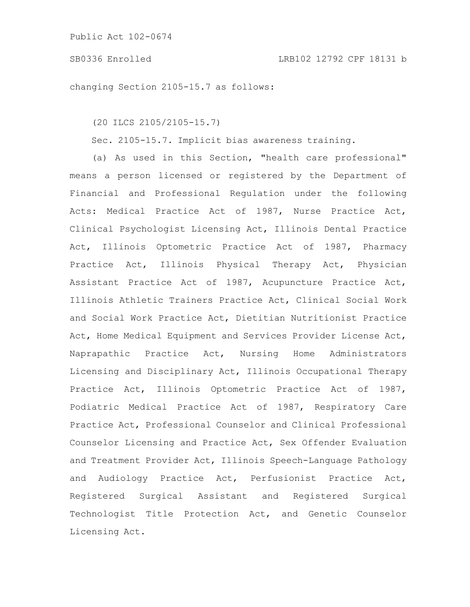#### SB0336 Enrolled LRB102 12792 CPF 18131 b

changing Section 2105-15.7 as follows:

(20 ILCS 2105/2105-15.7)

Sec. 2105-15.7. Implicit bias awareness training.

(a) As used in this Section, "health care professional" means a person licensed or registered by the Department of Financial and Professional Regulation under the following Acts: Medical Practice Act of 1987, Nurse Practice Act, Clinical Psychologist Licensing Act, Illinois Dental Practice Act, Illinois Optometric Practice Act of 1987, Pharmacy Practice Act, Illinois Physical Therapy Act, Physician Assistant Practice Act of 1987, Acupuncture Practice Act, Illinois Athletic Trainers Practice Act, Clinical Social Work and Social Work Practice Act, Dietitian Nutritionist Practice Act, Home Medical Equipment and Services Provider License Act, Naprapathic Practice Act, Nursing Home Administrators Licensing and Disciplinary Act, Illinois Occupational Therapy Practice Act, Illinois Optometric Practice Act of 1987, Podiatric Medical Practice Act of 1987, Respiratory Care Practice Act, Professional Counselor and Clinical Professional Counselor Licensing and Practice Act, Sex Offender Evaluation and Treatment Provider Act, Illinois Speech-Language Pathology and Audiology Practice Act, Perfusionist Practice Act, Registered Surgical Assistant and Registered Surgical Technologist Title Protection Act, and Genetic Counselor Licensing Act.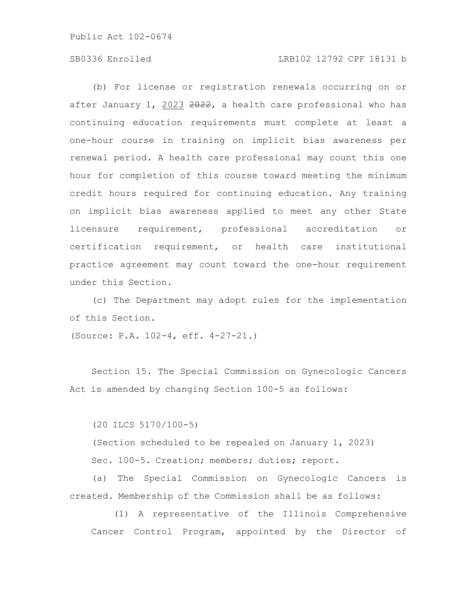# SB0336 Enrolled LRB102 12792 CPF 18131 b

(b) For license or registration renewals occurring on or after January 1, 2023 2022, a health care professional who has continuing education requirements must complete at least a one-hour course in training on implicit bias awareness per renewal period. A health care professional may count this one hour for completion of this course toward meeting the minimum credit hours required for continuing education. Any training on implicit bias awareness applied to meet any other State licensure requirement, professional accreditation or certification requirement, or health care institutional practice agreement may count toward the one-hour requirement under this Section.

(c) The Department may adopt rules for the implementation of this Section.

(Source: P.A. 102-4, eff. 4-27-21.)

Section 15. The Special Commission on Gynecologic Cancers Act is amended by changing Section 100-5 as follows:

(20 ILCS 5170/100-5)

(Section scheduled to be repealed on January 1, 2023) Sec. 100-5. Creation; members; duties; report.

(a) The Special Commission on Gynecologic Cancers is created. Membership of the Commission shall be as follows:

(1) A representative of the Illinois Comprehensive Cancer Control Program, appointed by the Director of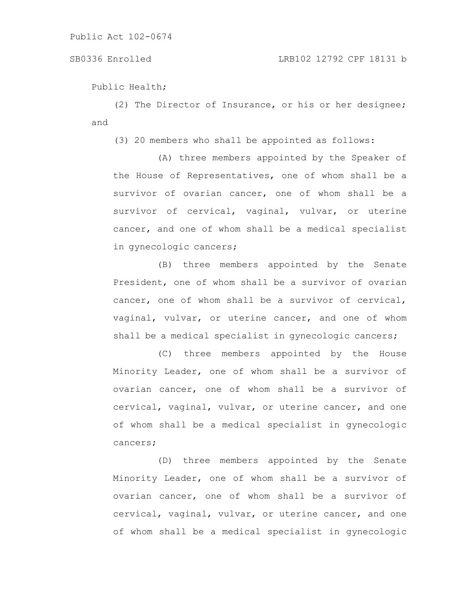### SB0336 Enrolled LRB102 12792 CPF 18131 b

Public Health;

(2) The Director of Insurance, or his or her designee; and

(3) 20 members who shall be appointed as follows:

(A) three members appointed by the Speaker of the House of Representatives, one of whom shall be a survivor of ovarian cancer, one of whom shall be a survivor of cervical, vaginal, vulvar, or uterine cancer, and one of whom shall be a medical specialist in gynecologic cancers;

(B) three members appointed by the Senate President, one of whom shall be a survivor of ovarian cancer, one of whom shall be a survivor of cervical, vaginal, vulvar, or uterine cancer, and one of whom shall be a medical specialist in gynecologic cancers;

(C) three members appointed by the House Minority Leader, one of whom shall be a survivor of ovarian cancer, one of whom shall be a survivor of cervical, vaginal, vulvar, or uterine cancer, and one of whom shall be a medical specialist in gynecologic cancers;

(D) three members appointed by the Senate Minority Leader, one of whom shall be a survivor of ovarian cancer, one of whom shall be a survivor of cervical, vaginal, vulvar, or uterine cancer, and one of whom shall be a medical specialist in gynecologic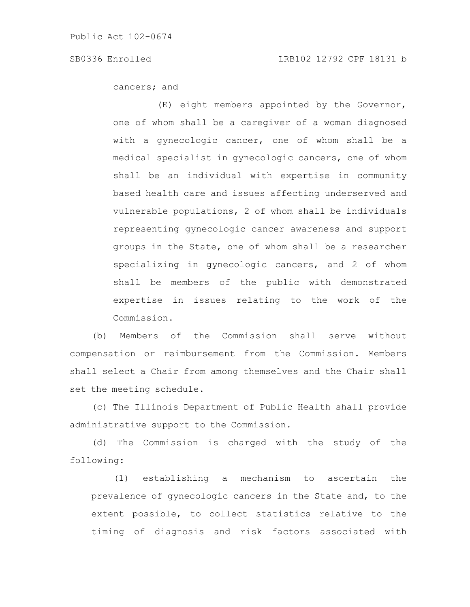cancers; and

(E) eight members appointed by the Governor, one of whom shall be a caregiver of a woman diagnosed with a gynecologic cancer, one of whom shall be a medical specialist in gynecologic cancers, one of whom shall be an individual with expertise in community based health care and issues affecting underserved and vulnerable populations, 2 of whom shall be individuals representing gynecologic cancer awareness and support groups in the State, one of whom shall be a researcher specializing in gynecologic cancers, and 2 of whom shall be members of the public with demonstrated expertise in issues relating to the work of the Commission.

(b) Members of the Commission shall serve without compensation or reimbursement from the Commission. Members shall select a Chair from among themselves and the Chair shall set the meeting schedule.

(c) The Illinois Department of Public Health shall provide administrative support to the Commission.

(d) The Commission is charged with the study of the following:

(1) establishing a mechanism to ascertain the prevalence of gynecologic cancers in the State and, to the extent possible, to collect statistics relative to the timing of diagnosis and risk factors associated with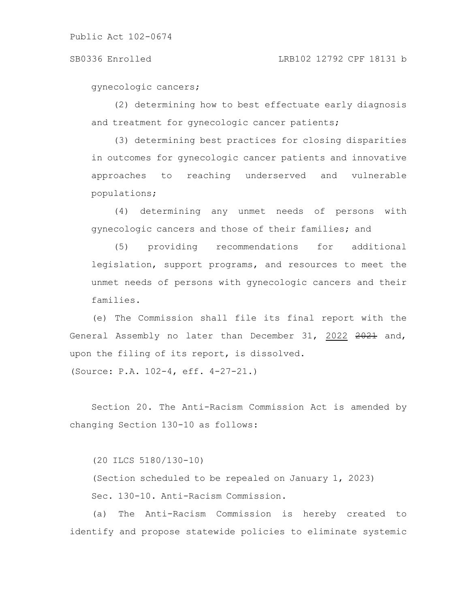#### SB0336 Enrolled LRB102 12792 CPF 18131 b

gynecologic cancers;

(2) determining how to best effectuate early diagnosis and treatment for gynecologic cancer patients;

(3) determining best practices for closing disparities in outcomes for gynecologic cancer patients and innovative approaches to reaching underserved and vulnerable populations;

(4) determining any unmet needs of persons with gynecologic cancers and those of their families; and

(5) providing recommendations for additional legislation, support programs, and resources to meet the unmet needs of persons with gynecologic cancers and their families.

(e) The Commission shall file its final report with the General Assembly no later than December 31, 2022 2021 and, upon the filing of its report, is dissolved.

(Source: P.A. 102-4, eff. 4-27-21.)

Section 20. The Anti-Racism Commission Act is amended by changing Section 130-10 as follows:

(20 ILCS 5180/130-10)

(Section scheduled to be repealed on January 1, 2023) Sec. 130-10. Anti-Racism Commission.

(a) The Anti-Racism Commission is hereby created to identify and propose statewide policies to eliminate systemic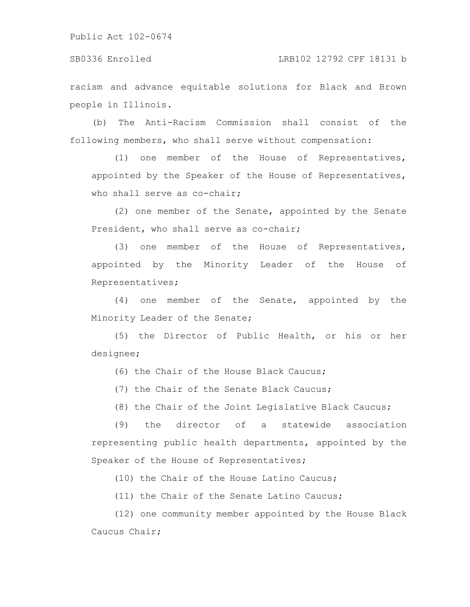SB0336 Enrolled LRB102 12792 CPF 18131 b

racism and advance equitable solutions for Black and Brown people in Illinois.

(b) The Anti-Racism Commission shall consist of the following members, who shall serve without compensation:

(1) one member of the House of Representatives, appointed by the Speaker of the House of Representatives, who shall serve as co-chair;

(2) one member of the Senate, appointed by the Senate President, who shall serve as co-chair;

(3) one member of the House of Representatives, appointed by the Minority Leader of the House of Representatives;

(4) one member of the Senate, appointed by the Minority Leader of the Senate;

(5) the Director of Public Health, or his or her designee;

(6) the Chair of the House Black Caucus;

(7) the Chair of the Senate Black Caucus;

(8) the Chair of the Joint Legislative Black Caucus;

(9) the director of a statewide association representing public health departments, appointed by the Speaker of the House of Representatives;

(10) the Chair of the House Latino Caucus;

(11) the Chair of the Senate Latino Caucus;

(12) one community member appointed by the House Black Caucus Chair;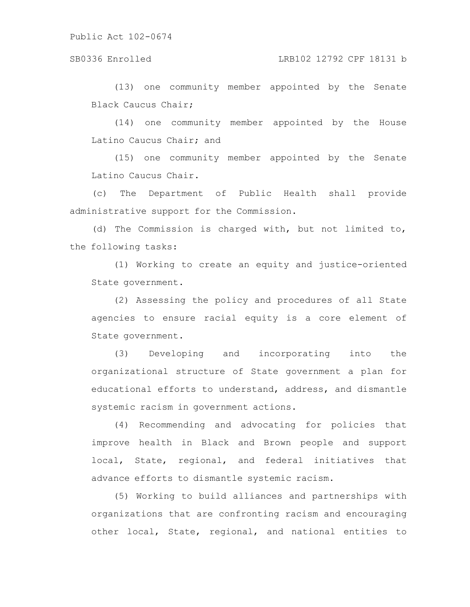### SB0336 Enrolled LRB102 12792 CPF 18131 b

(13) one community member appointed by the Senate Black Caucus Chair;

(14) one community member appointed by the House Latino Caucus Chair; and

(15) one community member appointed by the Senate Latino Caucus Chair.

(c) The Department of Public Health shall provide administrative support for the Commission.

(d) The Commission is charged with, but not limited to, the following tasks:

(1) Working to create an equity and justice-oriented State government.

(2) Assessing the policy and procedures of all State agencies to ensure racial equity is a core element of State government.

(3) Developing and incorporating into the organizational structure of State government a plan for educational efforts to understand, address, and dismantle systemic racism in government actions.

(4) Recommending and advocating for policies that improve health in Black and Brown people and support local, State, regional, and federal initiatives that advance efforts to dismantle systemic racism.

(5) Working to build alliances and partnerships with organizations that are confronting racism and encouraging other local, State, regional, and national entities to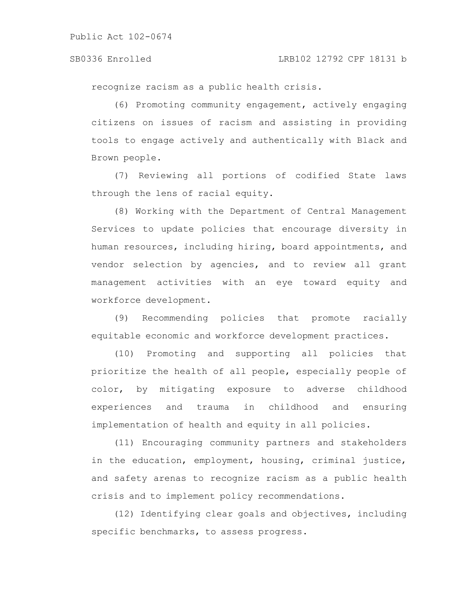recognize racism as a public health crisis.

(6) Promoting community engagement, actively engaging citizens on issues of racism and assisting in providing tools to engage actively and authentically with Black and Brown people.

(7) Reviewing all portions of codified State laws through the lens of racial equity.

(8) Working with the Department of Central Management Services to update policies that encourage diversity in human resources, including hiring, board appointments, and vendor selection by agencies, and to review all grant management activities with an eye toward equity and workforce development.

(9) Recommending policies that promote racially equitable economic and workforce development practices.

(10) Promoting and supporting all policies that prioritize the health of all people, especially people of color, by mitigating exposure to adverse childhood experiences and trauma in childhood and ensuring implementation of health and equity in all policies.

(11) Encouraging community partners and stakeholders in the education, employment, housing, criminal justice, and safety arenas to recognize racism as a public health crisis and to implement policy recommendations.

(12) Identifying clear goals and objectives, including specific benchmarks, to assess progress.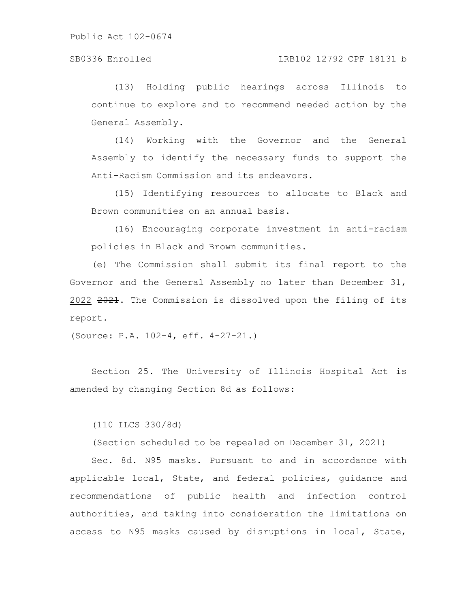### SB0336 Enrolled LRB102 12792 CPF 18131 b

(13) Holding public hearings across Illinois to continue to explore and to recommend needed action by the General Assembly.

(14) Working with the Governor and the General Assembly to identify the necessary funds to support the Anti-Racism Commission and its endeavors.

(15) Identifying resources to allocate to Black and Brown communities on an annual basis.

(16) Encouraging corporate investment in anti-racism policies in Black and Brown communities.

(e) The Commission shall submit its final report to the Governor and the General Assembly no later than December 31, 2022 2021. The Commission is dissolved upon the filing of its report.

(Source: P.A. 102-4, eff. 4-27-21.)

Section 25. The University of Illinois Hospital Act is amended by changing Section 8d as follows:

(110 ILCS 330/8d)

(Section scheduled to be repealed on December 31, 2021)

Sec. 8d. N95 masks. Pursuant to and in accordance with applicable local, State, and federal policies, guidance and recommendations of public health and infection control authorities, and taking into consideration the limitations on access to N95 masks caused by disruptions in local, State,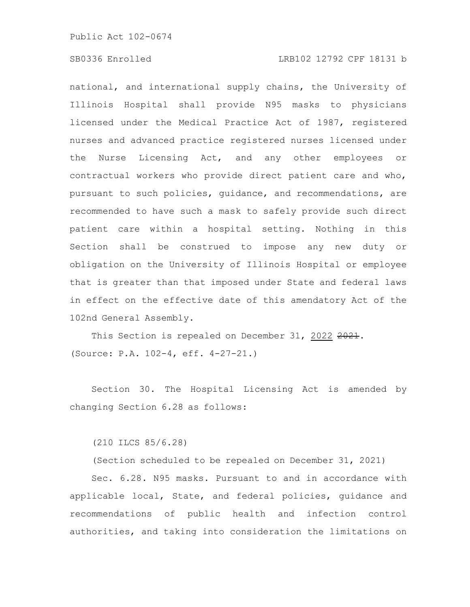# SB0336 Enrolled LRB102 12792 CPF 18131 b

national, and international supply chains, the University of Illinois Hospital shall provide N95 masks to physicians licensed under the Medical Practice Act of 1987, registered nurses and advanced practice registered nurses licensed under the Nurse Licensing Act, and any other employees or contractual workers who provide direct patient care and who, pursuant to such policies, guidance, and recommendations, are recommended to have such a mask to safely provide such direct patient care within a hospital setting. Nothing in this Section shall be construed to impose any new duty or obligation on the University of Illinois Hospital or employee that is greater than that imposed under State and federal laws in effect on the effective date of this amendatory Act of the 102nd General Assembly.

This Section is repealed on December 31, 2022 2021. (Source: P.A. 102-4, eff. 4-27-21.)

Section 30. The Hospital Licensing Act is amended by changing Section 6.28 as follows:

(210 ILCS 85/6.28)

(Section scheduled to be repealed on December 31, 2021)

Sec. 6.28. N95 masks. Pursuant to and in accordance with applicable local, State, and federal policies, guidance and recommendations of public health and infection control authorities, and taking into consideration the limitations on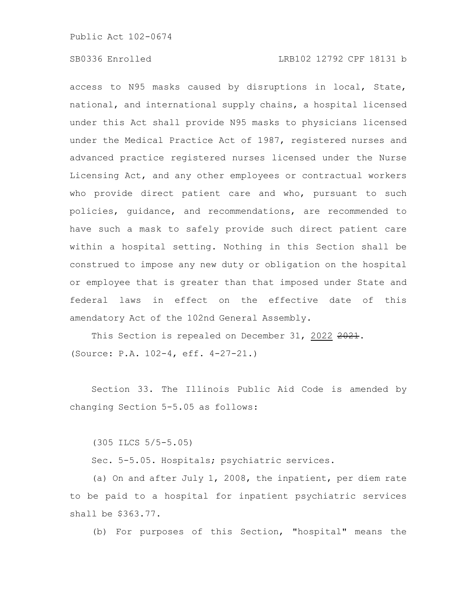# SB0336 Enrolled LRB102 12792 CPF 18131 b

access to N95 masks caused by disruptions in local, State, national, and international supply chains, a hospital licensed under this Act shall provide N95 masks to physicians licensed under the Medical Practice Act of 1987, registered nurses and advanced practice registered nurses licensed under the Nurse Licensing Act, and any other employees or contractual workers who provide direct patient care and who, pursuant to such policies, guidance, and recommendations, are recommended to have such a mask to safely provide such direct patient care within a hospital setting. Nothing in this Section shall be construed to impose any new duty or obligation on the hospital or employee that is greater than that imposed under State and federal laws in effect on the effective date of this amendatory Act of the 102nd General Assembly.

This Section is repealed on December 31, 2022 2021. (Source: P.A. 102-4, eff. 4-27-21.)

Section 33. The Illinois Public Aid Code is amended by changing Section 5-5.05 as follows:

(305 ILCS 5/5-5.05)

Sec. 5-5.05. Hospitals; psychiatric services.

(a) On and after July 1, 2008, the inpatient, per diem rate to be paid to a hospital for inpatient psychiatric services shall be \$363.77.

(b) For purposes of this Section, "hospital" means the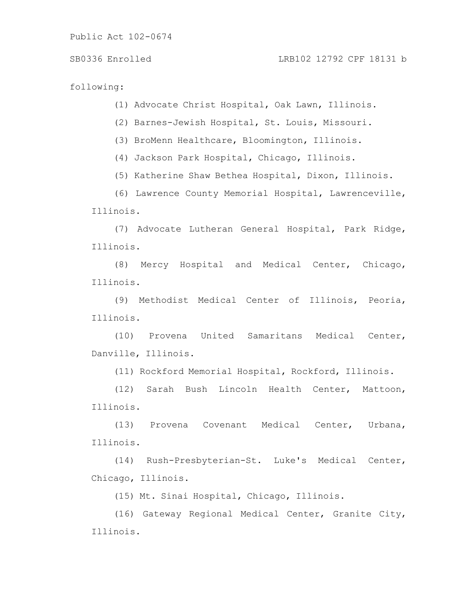following:

(1) Advocate Christ Hospital, Oak Lawn, Illinois.

(2) Barnes-Jewish Hospital, St. Louis, Missouri.

(3) BroMenn Healthcare, Bloomington, Illinois.

(4) Jackson Park Hospital, Chicago, Illinois.

(5) Katherine Shaw Bethea Hospital, Dixon, Illinois.

(6) Lawrence County Memorial Hospital, Lawrenceville, Illinois.

(7) Advocate Lutheran General Hospital, Park Ridge, Illinois.

(8) Mercy Hospital and Medical Center, Chicago, Illinois.

(9) Methodist Medical Center of Illinois, Peoria, Illinois.

(10) Provena United Samaritans Medical Center, Danville, Illinois.

(11) Rockford Memorial Hospital, Rockford, Illinois.

(12) Sarah Bush Lincoln Health Center, Mattoon, Illinois.

(13) Provena Covenant Medical Center, Urbana, Illinois.

(14) Rush-Presbyterian-St. Luke's Medical Center, Chicago, Illinois.

(15) Mt. Sinai Hospital, Chicago, Illinois.

(16) Gateway Regional Medical Center, Granite City, Illinois.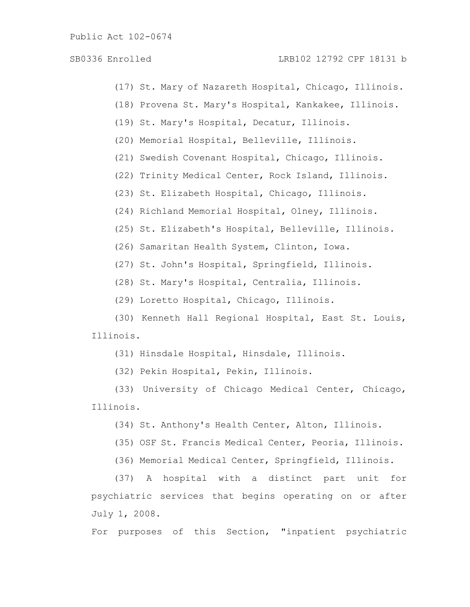SB0336 Enrolled LRB102 12792 CPF 18131 b

- (17) St. Mary of Nazareth Hospital, Chicago, Illinois.
- (18) Provena St. Mary's Hospital, Kankakee, Illinois.
- (19) St. Mary's Hospital, Decatur, Illinois.
- (20) Memorial Hospital, Belleville, Illinois.
- (21) Swedish Covenant Hospital, Chicago, Illinois.
- (22) Trinity Medical Center, Rock Island, Illinois.
- (23) St. Elizabeth Hospital, Chicago, Illinois.
- (24) Richland Memorial Hospital, Olney, Illinois.
- (25) St. Elizabeth's Hospital, Belleville, Illinois.
- (26) Samaritan Health System, Clinton, Iowa.
- (27) St. John's Hospital, Springfield, Illinois.
- (28) St. Mary's Hospital, Centralia, Illinois.
- (29) Loretto Hospital, Chicago, Illinois.

(30) Kenneth Hall Regional Hospital, East St. Louis, Illinois.

- (31) Hinsdale Hospital, Hinsdale, Illinois.
- (32) Pekin Hospital, Pekin, Illinois.
- (33) University of Chicago Medical Center, Chicago, Illinois.
	- (34) St. Anthony's Health Center, Alton, Illinois.
	- (35) OSF St. Francis Medical Center, Peoria, Illinois.
	- (36) Memorial Medical Center, Springfield, Illinois.

(37) A hospital with a distinct part unit for psychiatric services that begins operating on or after July 1, 2008.

For purposes of this Section, "inpatient psychiatric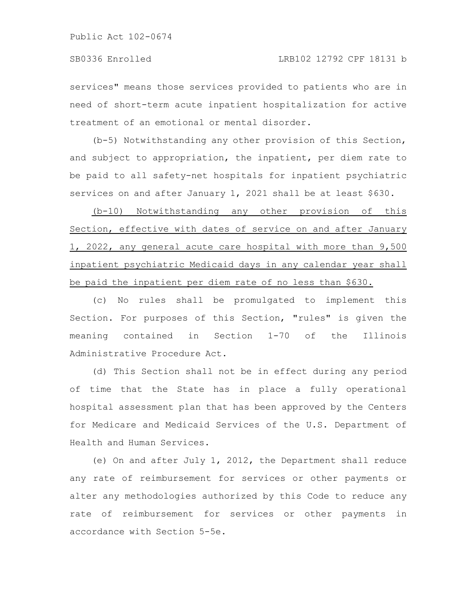services" means those services provided to patients who are in need of short-term acute inpatient hospitalization for active treatment of an emotional or mental disorder.

(b-5) Notwithstanding any other provision of this Section, and subject to appropriation, the inpatient, per diem rate to be paid to all safety-net hospitals for inpatient psychiatric services on and after January 1, 2021 shall be at least \$630.

(b-10) Notwithstanding any other provision of this Section, effective with dates of service on and after January 1, 2022, any general acute care hospital with more than 9,500 inpatient psychiatric Medicaid days in any calendar year shall be paid the inpatient per diem rate of no less than \$630.

(c) No rules shall be promulgated to implement this Section. For purposes of this Section, "rules" is given the meaning contained in Section 1-70 of the Illinois Administrative Procedure Act.

(d) This Section shall not be in effect during any period of time that the State has in place a fully operational hospital assessment plan that has been approved by the Centers for Medicare and Medicaid Services of the U.S. Department of Health and Human Services.

(e) On and after July 1, 2012, the Department shall reduce any rate of reimbursement for services or other payments or alter any methodologies authorized by this Code to reduce any rate of reimbursement for services or other payments in accordance with Section 5-5e.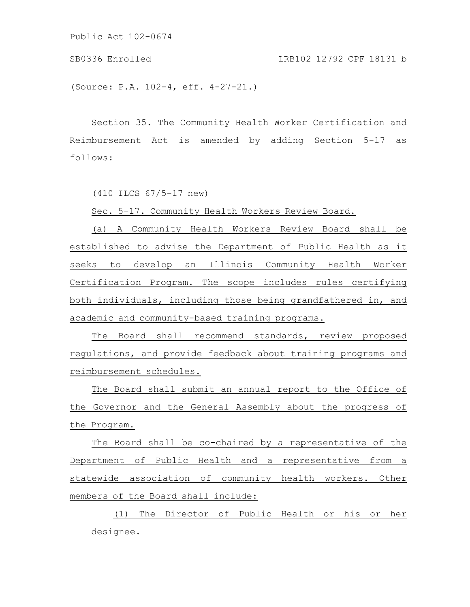SB0336 Enrolled LRB102 12792 CPF 18131 b

(Source: P.A. 102-4, eff. 4-27-21.)

Section 35. The Community Health Worker Certification and Reimbursement Act is amended by adding Section 5-17 as follows:

(410 ILCS 67/5-17 new)

Sec. 5-17. Community Health Workers Review Board.

(a) A Community Health Workers Review Board shall be established to advise the Department of Public Health as it seeks to develop an Illinois Community Health Worker Certification Program. The scope includes rules certifying both individuals, including those being grandfathered in, and academic and community-based training programs.

The Board shall recommend standards, review proposed regulations, and provide feedback about training programs and reimbursement schedules.

The Board shall submit an annual report to the Office of the Governor and the General Assembly about the progress of the Program.

The Board shall be co-chaired by a representative of the Department of Public Health and a representative from a statewide association of community health workers. Other members of the Board shall include:

(1) The Director of Public Health or his or her designee.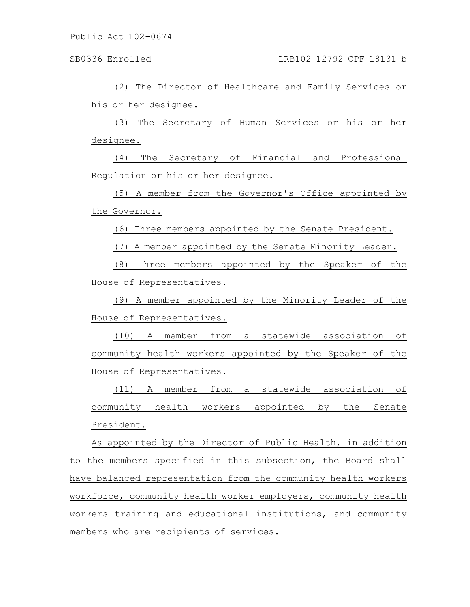(2) The Director of Healthcare and Family Services or his or her designee.

(3) The Secretary of Human Services or his or her designee.

(4) The Secretary of Financial and Professional Regulation or his or her designee.

(5) A member from the Governor's Office appointed by the Governor.

(6) Three members appointed by the Senate President.

(7) A member appointed by the Senate Minority Leader.

(8) Three members appointed by the Speaker of the House of Representatives.

(9) A member appointed by the Minority Leader of the House of Representatives.

(10) A member from a statewide association of community health workers appointed by the Speaker of the House of Representatives.

(11) A member from a statewide association of community health workers appointed by the Senate President.

As appointed by the Director of Public Health, in addition to the members specified in this subsection, the Board shall have balanced representation from the community health workers workforce, community health worker employers, community health workers training and educational institutions, and community members who are recipients of services.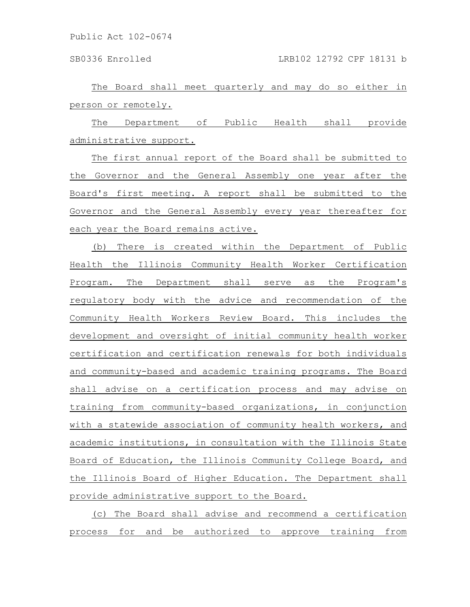The Board shall meet quarterly and may do so either in person or remotely.

The Department of Public Health shall provide administrative support.

The first annual report of the Board shall be submitted to the Governor and the General Assembly one year after the Board's first meeting. A report shall be submitted to the Governor and the General Assembly every year thereafter for each year the Board remains active.

(b) There is created within the Department of Public Health the Illinois Community Health Worker Certification Program. The Department shall serve as the Program's regulatory body with the advice and recommendation of the Community Health Workers Review Board. This includes the development and oversight of initial community health worker certification and certification renewals for both individuals and community-based and academic training programs. The Board shall advise on a certification process and may advise on training from community-based organizations, in conjunction with a statewide association of community health workers, and academic institutions, in consultation with the Illinois State Board of Education, the Illinois Community College Board, and the Illinois Board of Higher Education. The Department shall provide administrative support to the Board.

(c) The Board shall advise and recommend a certification process for and be authorized to approve training from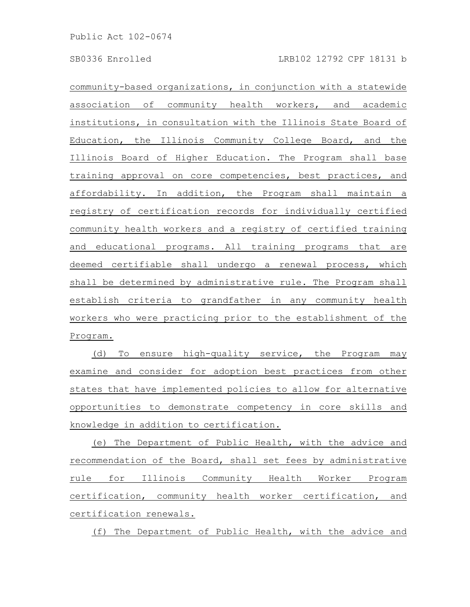community-based organizations, in conjunction with a statewide association of community health workers, and academic institutions, in consultation with the Illinois State Board of Education, the Illinois Community College Board, and the Illinois Board of Higher Education. The Program shall base training approval on core competencies, best practices, and affordability. In addition, the Program shall maintain a registry of certification records for individually certified community health workers and a registry of certified training and educational programs. All training programs that are deemed certifiable shall undergo a renewal process, which shall be determined by administrative rule. The Program shall establish criteria to grandfather in any community health workers who were practicing prior to the establishment of the Program.

(d) To ensure high-quality service, the Program may examine and consider for adoption best practices from other states that have implemented policies to allow for alternative opportunities to demonstrate competency in core skills and knowledge in addition to certification.

(e) The Department of Public Health, with the advice and recommendation of the Board, shall set fees by administrative rule for Illinois Community Health Worker Program certification, community health worker certification, and certification renewals.

(f) The Department of Public Health, with the advice and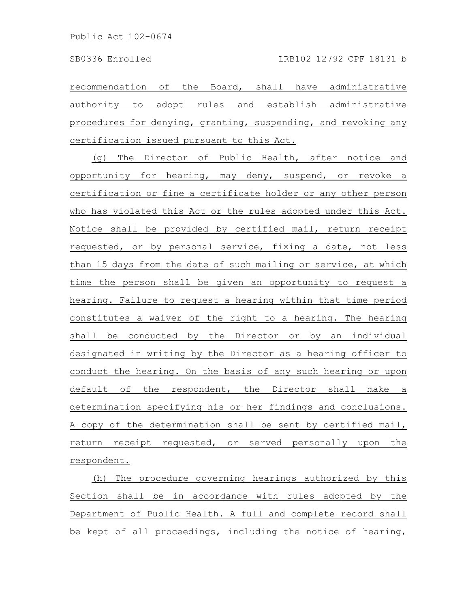recommendation of the Board, shall have administrative authority to adopt rules and establish administrative procedures for denying, granting, suspending, and revoking any certification issued pursuant to this Act.

(g) The Director of Public Health, after notice and opportunity for hearing, may deny, suspend, or revoke a certification or fine a certificate holder or any other person who has violated this Act or the rules adopted under this Act. Notice shall be provided by certified mail, return receipt requested, or by personal service, fixing a date, not less than 15 days from the date of such mailing or service, at which time the person shall be given an opportunity to request a hearing. Failure to request a hearing within that time period constitutes a waiver of the right to a hearing. The hearing shall be conducted by the Director or by an individual designated in writing by the Director as a hearing officer to conduct the hearing. On the basis of any such hearing or upon default of the respondent, the Director shall make a determination specifying his or her findings and conclusions. A copy of the determination shall be sent by certified mail, return receipt requested, or served personally upon the respondent.

(h) The procedure governing hearings authorized by this Section shall be in accordance with rules adopted by the Department of Public Health. A full and complete record shall be kept of all proceedings, including the notice of hearing,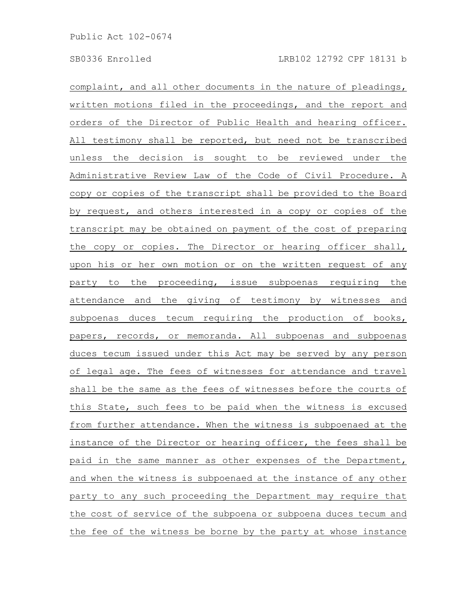complaint, and all other documents in the nature of pleadings, written motions filed in the proceedings, and the report and orders of the Director of Public Health and hearing officer. All testimony shall be reported, but need not be transcribed unless the decision is sought to be reviewed under the Administrative Review Law of the Code of Civil Procedure. A copy or copies of the transcript shall be provided to the Board by request, and others interested in a copy or copies of the transcript may be obtained on payment of the cost of preparing the copy or copies. The Director or hearing officer shall, upon his or her own motion or on the written request of any party to the proceeding, issue subpoenas requiring the attendance and the giving of testimony by witnesses and subpoenas duces tecum requiring the production of books, papers, records, or memoranda. All subpoenas and subpoenas duces tecum issued under this Act may be served by any person of legal age. The fees of witnesses for attendance and travel shall be the same as the fees of witnesses before the courts of this State, such fees to be paid when the witness is excused from further attendance. When the witness is subpoenaed at the instance of the Director or hearing officer, the fees shall be paid in the same manner as other expenses of the Department, and when the witness is subpoenaed at the instance of any other party to any such proceeding the Department may require that the cost of service of the subpoena or subpoena duces tecum and the fee of the witness be borne by the party at whose instance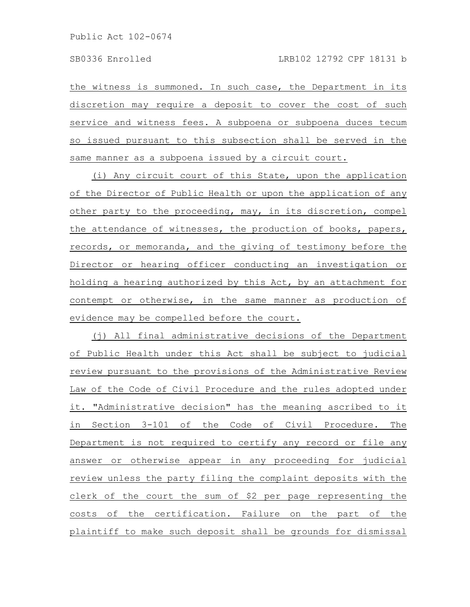the witness is summoned. In such case, the Department in its discretion may require a deposit to cover the cost of such service and witness fees. A subpoena or subpoena duces tecum so issued pursuant to this subsection shall be served in the same manner as a subpoena issued by a circuit court.

(i) Any circuit court of this State, upon the application of the Director of Public Health or upon the application of any other party to the proceeding, may, in its discretion, compel the attendance of witnesses, the production of books, papers, records, or memoranda, and the giving of testimony before the Director or hearing officer conducting an investigation or holding a hearing authorized by this Act, by an attachment for contempt or otherwise, in the same manner as production of evidence may be compelled before the court.

(j) All final administrative decisions of the Department of Public Health under this Act shall be subject to judicial review pursuant to the provisions of the Administrative Review Law of the Code of Civil Procedure and the rules adopted under it. "Administrative decision" has the meaning ascribed to it in Section 3-101 of the Code of Civil Procedure. The Department is not required to certify any record or file any answer or otherwise appear in any proceeding for judicial review unless the party filing the complaint deposits with the clerk of the court the sum of \$2 per page representing the costs of the certification. Failure on the part of the plaintiff to make such deposit shall be grounds for dismissal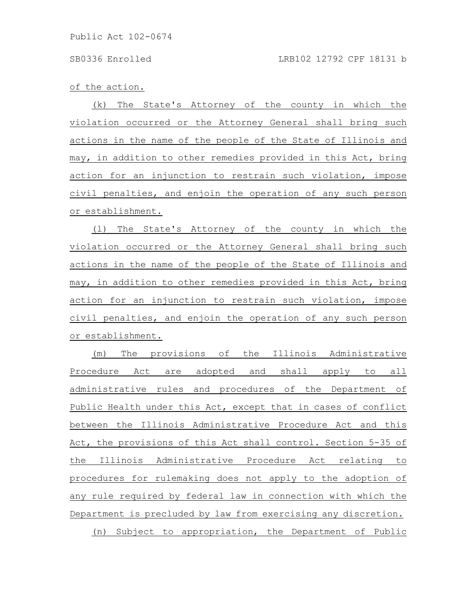of the action.

(k) The State's Attorney of the county in which the violation occurred or the Attorney General shall bring such actions in the name of the people of the State of Illinois and may, in addition to other remedies provided in this Act, bring action for an injunction to restrain such violation, impose civil penalties, and enjoin the operation of any such person or establishment.

(l) The State's Attorney of the county in which the violation occurred or the Attorney General shall bring such actions in the name of the people of the State of Illinois and may, in addition to other remedies provided in this Act, bring action for an injunction to restrain such violation, impose civil penalties, and enjoin the operation of any such person or establishment.

(m) The provisions of the Illinois Administrative Procedure Act are adopted and shall apply to all administrative rules and procedures of the Department of Public Health under this Act, except that in cases of conflict between the Illinois Administrative Procedure Act and this Act, the provisions of this Act shall control. Section 5-35 of the Illinois Administrative Procedure Act relating to procedures for rulemaking does not apply to the adoption of any rule required by federal law in connection with which the Department is precluded by law from exercising any discretion. (n) Subject to appropriation, the Department of Public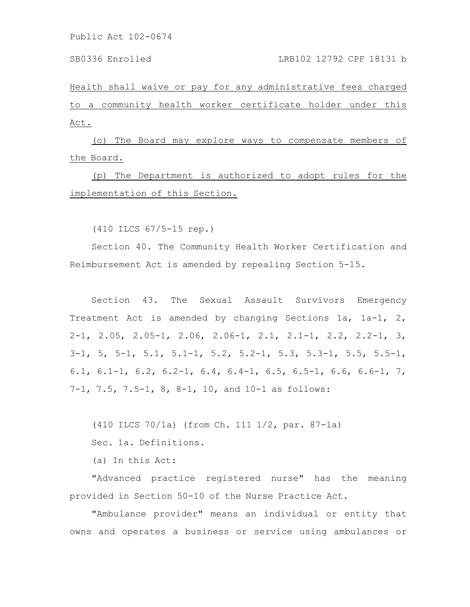SB0336 Enrolled LRB102 12792 CPF 18131 b

Health shall waive or pay for any administrative fees charged to a community health worker certificate holder under this Act.

(o) The Board may explore ways to compensate members of the Board.

(p) The Department is authorized to adopt rules for the implementation of this Section.

(410 ILCS 67/5-15 rep.)

Section 40. The Community Health Worker Certification and Reimbursement Act is amended by repealing Section 5-15.

Section 43. The Sexual Assault Survivors Emergency Treatment Act is amended by changing Sections 1a, 1a-1, 2, 2-1, 2.05, 2.05-1, 2.06, 2.06-1, 2.1, 2.1-1, 2.2, 2.2-1, 3, 3-1, 5, 5-1, 5.1, 5.1-1, 5.2, 5.2-1, 5.3, 5.3-1, 5.5, 5.5-1, 6.1, 6.1-1, 6.2, 6.2-1, 6.4, 6.4-1, 6.5, 6.5-1, 6.6, 6.6-1, 7, 7-1, 7.5, 7.5-1, 8, 8-1, 10, and 10-1 as follows:

(410 ILCS 70/1a) (from Ch. 111 1/2, par. 87-1a)

Sec. 1a. Definitions.

(a) In this Act:

"Advanced practice registered nurse" has the meaning provided in Section 50-10 of the Nurse Practice Act.

"Ambulance provider" means an individual or entity that owns and operates a business or service using ambulances or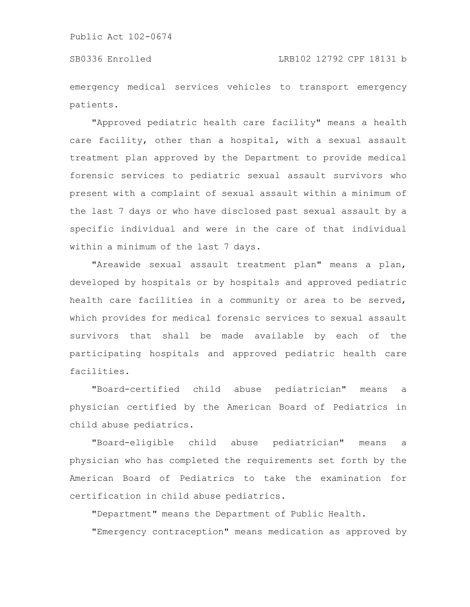emergency medical services vehicles to transport emergency patients.

"Approved pediatric health care facility" means a health care facility, other than a hospital, with a sexual assault treatment plan approved by the Department to provide medical forensic services to pediatric sexual assault survivors who present with a complaint of sexual assault within a minimum of the last 7 days or who have disclosed past sexual assault by a specific individual and were in the care of that individual within a minimum of the last 7 days.

"Areawide sexual assault treatment plan" means a plan, developed by hospitals or by hospitals and approved pediatric health care facilities in a community or area to be served, which provides for medical forensic services to sexual assault survivors that shall be made available by each of the participating hospitals and approved pediatric health care facilities.

"Board-certified child abuse pediatrician" means a physician certified by the American Board of Pediatrics in child abuse pediatrics.

"Board-eligible child abuse pediatrician" means a physician who has completed the requirements set forth by the American Board of Pediatrics to take the examination for certification in child abuse pediatrics.

"Department" means the Department of Public Health.

"Emergency contraception" means medication as approved by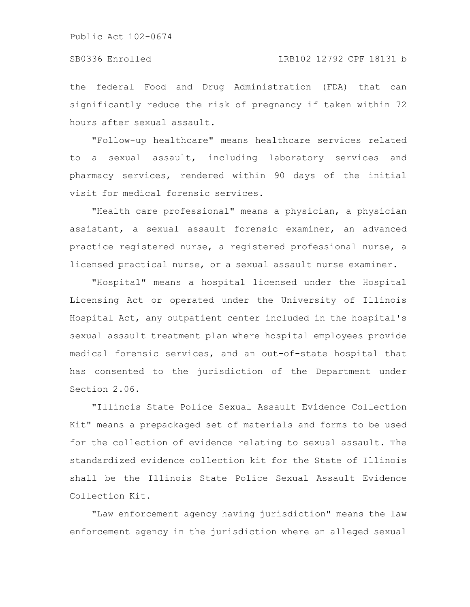### SB0336 Enrolled LRB102 12792 CPF 18131 b

the federal Food and Drug Administration (FDA) that can significantly reduce the risk of pregnancy if taken within 72 hours after sexual assault.

"Follow-up healthcare" means healthcare services related to a sexual assault, including laboratory services and pharmacy services, rendered within 90 days of the initial visit for medical forensic services.

"Health care professional" means a physician, a physician assistant, a sexual assault forensic examiner, an advanced practice registered nurse, a registered professional nurse, a licensed practical nurse, or a sexual assault nurse examiner.

"Hospital" means a hospital licensed under the Hospital Licensing Act or operated under the University of Illinois Hospital Act, any outpatient center included in the hospital's sexual assault treatment plan where hospital employees provide medical forensic services, and an out-of-state hospital that has consented to the jurisdiction of the Department under Section 2.06.

"Illinois State Police Sexual Assault Evidence Collection Kit" means a prepackaged set of materials and forms to be used for the collection of evidence relating to sexual assault. The standardized evidence collection kit for the State of Illinois shall be the Illinois State Police Sexual Assault Evidence Collection Kit.

"Law enforcement agency having jurisdiction" means the law enforcement agency in the jurisdiction where an alleged sexual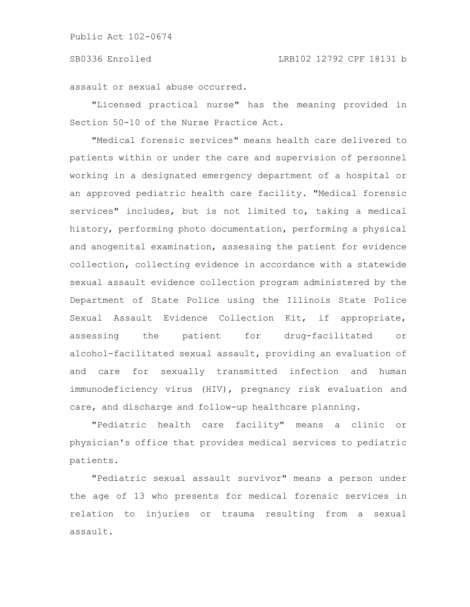assault or sexual abuse occurred.

"Licensed practical nurse" has the meaning provided in Section 50-10 of the Nurse Practice Act.

"Medical forensic services" means health care delivered to patients within or under the care and supervision of personnel working in a designated emergency department of a hospital or an approved pediatric health care facility. "Medical forensic services" includes, but is not limited to, taking a medical history, performing photo documentation, performing a physical and anogenital examination, assessing the patient for evidence collection, collecting evidence in accordance with a statewide sexual assault evidence collection program administered by the Department of State Police using the Illinois State Police Sexual Assault Evidence Collection Kit, if appropriate, assessing the patient for drug-facilitated or alcohol-facilitated sexual assault, providing an evaluation of and care for sexually transmitted infection and human immunodeficiency virus (HIV), pregnancy risk evaluation and care, and discharge and follow-up healthcare planning.

"Pediatric health care facility" means a clinic or physician's office that provides medical services to pediatric patients.

"Pediatric sexual assault survivor" means a person under the age of 13 who presents for medical forensic services in relation to injuries or trauma resulting from a sexual assault.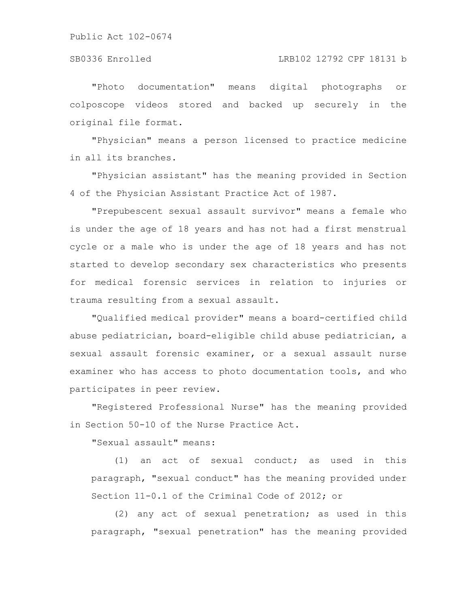# SB0336 Enrolled LRB102 12792 CPF 18131 b

"Photo documentation" means digital photographs or colposcope videos stored and backed up securely in the original file format.

"Physician" means a person licensed to practice medicine in all its branches.

"Physician assistant" has the meaning provided in Section 4 of the Physician Assistant Practice Act of 1987.

"Prepubescent sexual assault survivor" means a female who is under the age of 18 years and has not had a first menstrual cycle or a male who is under the age of 18 years and has not started to develop secondary sex characteristics who presents for medical forensic services in relation to injuries or trauma resulting from a sexual assault.

"Qualified medical provider" means a board-certified child abuse pediatrician, board-eligible child abuse pediatrician, a sexual assault forensic examiner, or a sexual assault nurse examiner who has access to photo documentation tools, and who participates in peer review.

"Registered Professional Nurse" has the meaning provided in Section 50-10 of the Nurse Practice Act.

"Sexual assault" means:

(1) an act of sexual conduct; as used in this paragraph, "sexual conduct" has the meaning provided under Section 11-0.1 of the Criminal Code of 2012; or

(2) any act of sexual penetration; as used in this paragraph, "sexual penetration" has the meaning provided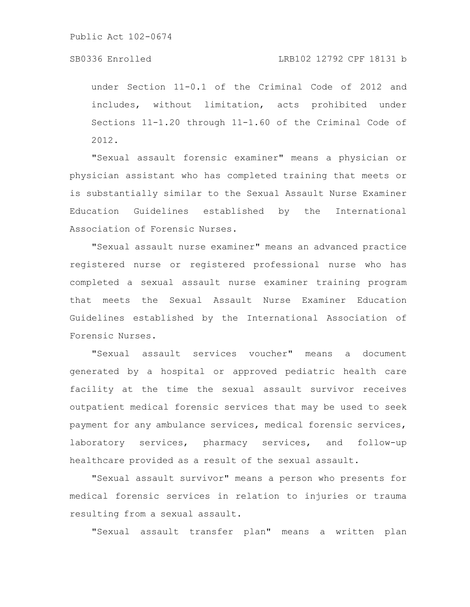# SB0336 Enrolled LRB102 12792 CPF 18131 b

under Section 11-0.1 of the Criminal Code of 2012 and includes, without limitation, acts prohibited under Sections 11-1.20 through 11-1.60 of the Criminal Code of 2012.

"Sexual assault forensic examiner" means a physician or physician assistant who has completed training that meets or is substantially similar to the Sexual Assault Nurse Examiner Education Guidelines established by the International Association of Forensic Nurses.

"Sexual assault nurse examiner" means an advanced practice registered nurse or registered professional nurse who has completed a sexual assault nurse examiner training program that meets the Sexual Assault Nurse Examiner Education Guidelines established by the International Association of Forensic Nurses.

"Sexual assault services voucher" means a document generated by a hospital or approved pediatric health care facility at the time the sexual assault survivor receives outpatient medical forensic services that may be used to seek payment for any ambulance services, medical forensic services, laboratory services, pharmacy services, and follow-up healthcare provided as a result of the sexual assault.

"Sexual assault survivor" means a person who presents for medical forensic services in relation to injuries or trauma resulting from a sexual assault.

"Sexual assault transfer plan" means a written plan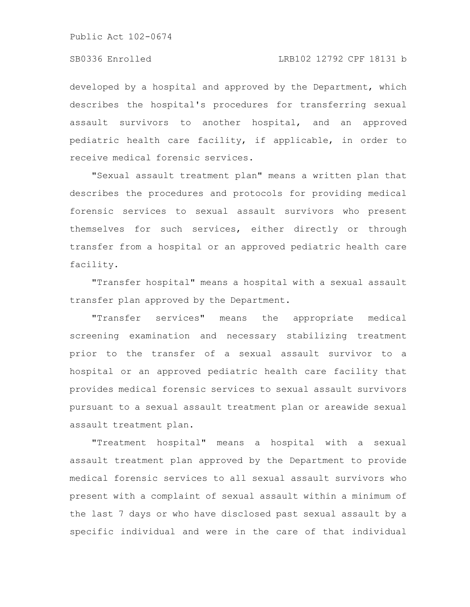developed by a hospital and approved by the Department, which describes the hospital's procedures for transferring sexual assault survivors to another hospital, and an approved pediatric health care facility, if applicable, in order to receive medical forensic services.

"Sexual assault treatment plan" means a written plan that describes the procedures and protocols for providing medical forensic services to sexual assault survivors who present themselves for such services, either directly or through transfer from a hospital or an approved pediatric health care facility.

"Transfer hospital" means a hospital with a sexual assault transfer plan approved by the Department.

"Transfer services" means the appropriate medical screening examination and necessary stabilizing treatment prior to the transfer of a sexual assault survivor to a hospital or an approved pediatric health care facility that provides medical forensic services to sexual assault survivors pursuant to a sexual assault treatment plan or areawide sexual assault treatment plan.

"Treatment hospital" means a hospital with a sexual assault treatment plan approved by the Department to provide medical forensic services to all sexual assault survivors who present with a complaint of sexual assault within a minimum of the last 7 days or who have disclosed past sexual assault by a specific individual and were in the care of that individual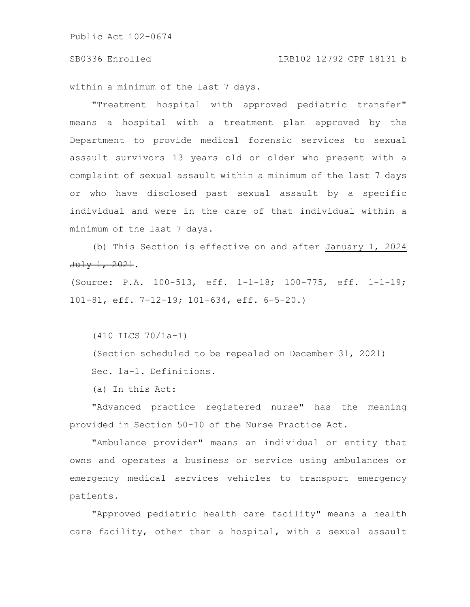within a minimum of the last 7 days.

"Treatment hospital with approved pediatric transfer" means a hospital with a treatment plan approved by the Department to provide medical forensic services to sexual assault survivors 13 years old or older who present with a complaint of sexual assault within a minimum of the last 7 days or who have disclosed past sexual assault by a specific individual and were in the care of that individual within a minimum of the last 7 days.

(b) This Section is effective on and after January 1, 2024 July 1, 2021.

(Source: P.A. 100-513, eff. 1-1-18; 100-775, eff. 1-1-19; 101-81, eff. 7-12-19; 101-634, eff. 6-5-20.)

(410 ILCS 70/1a-1)

(Section scheduled to be repealed on December 31, 2021) Sec. 1a-1. Definitions.

(a) In this Act:

"Advanced practice registered nurse" has the meaning provided in Section 50-10 of the Nurse Practice Act.

"Ambulance provider" means an individual or entity that owns and operates a business or service using ambulances or emergency medical services vehicles to transport emergency patients.

"Approved pediatric health care facility" means a health care facility, other than a hospital, with a sexual assault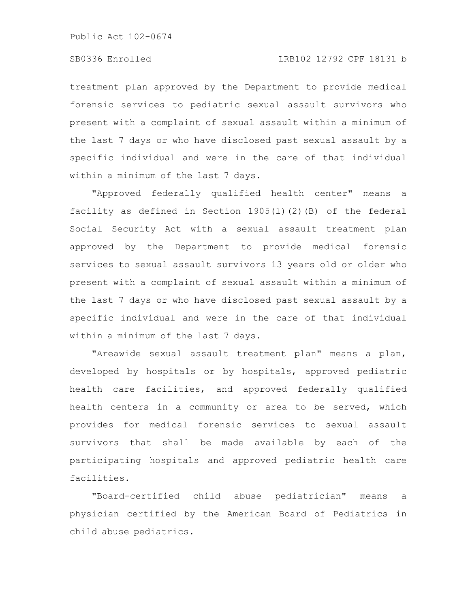# SB0336 Enrolled LRB102 12792 CPF 18131 b

treatment plan approved by the Department to provide medical forensic services to pediatric sexual assault survivors who present with a complaint of sexual assault within a minimum of the last 7 days or who have disclosed past sexual assault by a specific individual and were in the care of that individual within a minimum of the last 7 days.

"Approved federally qualified health center" means a facility as defined in Section 1905(l)(2)(B) of the federal Social Security Act with a sexual assault treatment plan approved by the Department to provide medical forensic services to sexual assault survivors 13 years old or older who present with a complaint of sexual assault within a minimum of the last 7 days or who have disclosed past sexual assault by a specific individual and were in the care of that individual within a minimum of the last 7 days.

"Areawide sexual assault treatment plan" means a plan, developed by hospitals or by hospitals, approved pediatric health care facilities, and approved federally qualified health centers in a community or area to be served, which provides for medical forensic services to sexual assault survivors that shall be made available by each of the participating hospitals and approved pediatric health care facilities.

"Board-certified child abuse pediatrician" means a physician certified by the American Board of Pediatrics in child abuse pediatrics.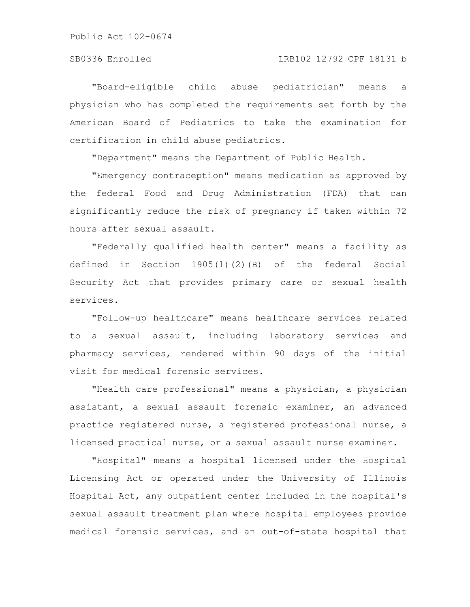"Board-eligible child abuse pediatrician" means a physician who has completed the requirements set forth by the American Board of Pediatrics to take the examination for certification in child abuse pediatrics.

"Department" means the Department of Public Health.

"Emergency contraception" means medication as approved by the federal Food and Drug Administration (FDA) that can significantly reduce the risk of pregnancy if taken within 72 hours after sexual assault.

"Federally qualified health center" means a facility as defined in Section 1905(l)(2)(B) of the federal Social Security Act that provides primary care or sexual health services.

"Follow-up healthcare" means healthcare services related to a sexual assault, including laboratory services and pharmacy services, rendered within 90 days of the initial visit for medical forensic services.

"Health care professional" means a physician, a physician assistant, a sexual assault forensic examiner, an advanced practice registered nurse, a registered professional nurse, a licensed practical nurse, or a sexual assault nurse examiner.

"Hospital" means a hospital licensed under the Hospital Licensing Act or operated under the University of Illinois Hospital Act, any outpatient center included in the hospital's sexual assault treatment plan where hospital employees provide medical forensic services, and an out-of-state hospital that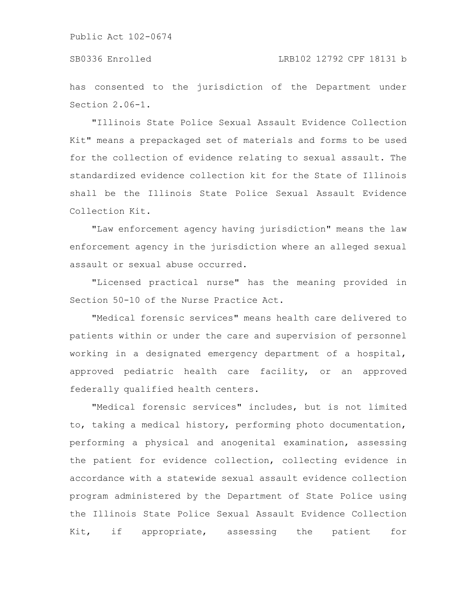has consented to the jurisdiction of the Department under Section 2.06-1.

"Illinois State Police Sexual Assault Evidence Collection Kit" means a prepackaged set of materials and forms to be used for the collection of evidence relating to sexual assault. The standardized evidence collection kit for the State of Illinois shall be the Illinois State Police Sexual Assault Evidence Collection Kit.

"Law enforcement agency having jurisdiction" means the law enforcement agency in the jurisdiction where an alleged sexual assault or sexual abuse occurred.

"Licensed practical nurse" has the meaning provided in Section 50-10 of the Nurse Practice Act.

"Medical forensic services" means health care delivered to patients within or under the care and supervision of personnel working in a designated emergency department of a hospital, approved pediatric health care facility, or an approved federally qualified health centers.

"Medical forensic services" includes, but is not limited to, taking a medical history, performing photo documentation, performing a physical and anogenital examination, assessing the patient for evidence collection, collecting evidence in accordance with a statewide sexual assault evidence collection program administered by the Department of State Police using the Illinois State Police Sexual Assault Evidence Collection Kit, if appropriate, assessing the patient for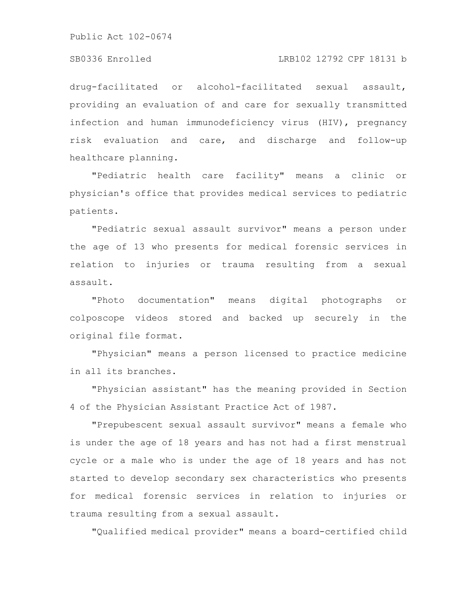### SB0336 Enrolled LRB102 12792 CPF 18131 b

drug-facilitated or alcohol-facilitated sexual assault, providing an evaluation of and care for sexually transmitted infection and human immunodeficiency virus (HIV), pregnancy risk evaluation and care, and discharge and follow-up healthcare planning.

"Pediatric health care facility" means a clinic or physician's office that provides medical services to pediatric patients.

"Pediatric sexual assault survivor" means a person under the age of 13 who presents for medical forensic services in relation to injuries or trauma resulting from a sexual assault.

"Photo documentation" means digital photographs or colposcope videos stored and backed up securely in the original file format.

"Physician" means a person licensed to practice medicine in all its branches.

"Physician assistant" has the meaning provided in Section 4 of the Physician Assistant Practice Act of 1987.

"Prepubescent sexual assault survivor" means a female who is under the age of 18 years and has not had a first menstrual cycle or a male who is under the age of 18 years and has not started to develop secondary sex characteristics who presents for medical forensic services in relation to injuries or trauma resulting from a sexual assault.

"Qualified medical provider" means a board-certified child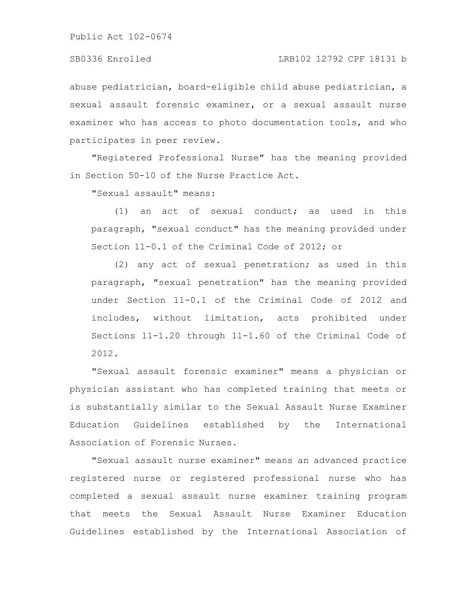abuse pediatrician, board-eligible child abuse pediatrician, a sexual assault forensic examiner, or a sexual assault nurse examiner who has access to photo documentation tools, and who participates in peer review.

"Registered Professional Nurse" has the meaning provided in Section 50-10 of the Nurse Practice Act.

"Sexual assault" means:

(1) an act of sexual conduct; as used in this paragraph, "sexual conduct" has the meaning provided under Section 11-0.1 of the Criminal Code of 2012; or

(2) any act of sexual penetration; as used in this paragraph, "sexual penetration" has the meaning provided under Section 11-0.1 of the Criminal Code of 2012 and includes, without limitation, acts prohibited under Sections 11-1.20 through 11-1.60 of the Criminal Code of 2012.

"Sexual assault forensic examiner" means a physician or physician assistant who has completed training that meets or is substantially similar to the Sexual Assault Nurse Examiner Education Guidelines established by the International Association of Forensic Nurses.

"Sexual assault nurse examiner" means an advanced practice registered nurse or registered professional nurse who has completed a sexual assault nurse examiner training program that meets the Sexual Assault Nurse Examiner Education Guidelines established by the International Association of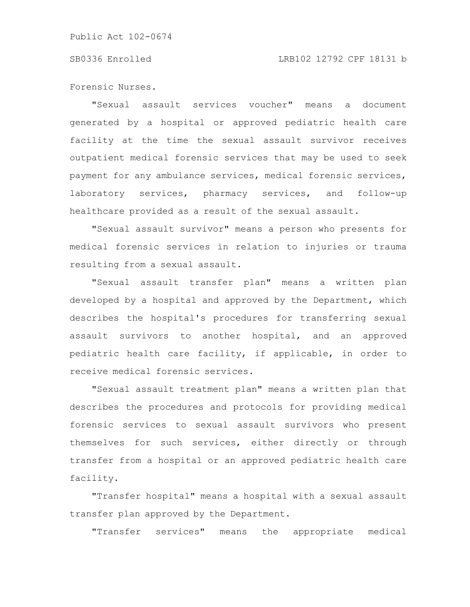### SB0336 Enrolled LRB102 12792 CPF 18131 b

Forensic Nurses.

"Sexual assault services voucher" means a document generated by a hospital or approved pediatric health care facility at the time the sexual assault survivor receives outpatient medical forensic services that may be used to seek payment for any ambulance services, medical forensic services, laboratory services, pharmacy services, and follow-up healthcare provided as a result of the sexual assault.

"Sexual assault survivor" means a person who presents for medical forensic services in relation to injuries or trauma resulting from a sexual assault.

"Sexual assault transfer plan" means a written plan developed by a hospital and approved by the Department, which describes the hospital's procedures for transferring sexual assault survivors to another hospital, and an approved pediatric health care facility, if applicable, in order to receive medical forensic services.

"Sexual assault treatment plan" means a written plan that describes the procedures and protocols for providing medical forensic services to sexual assault survivors who present themselves for such services, either directly or through transfer from a hospital or an approved pediatric health care facility.

"Transfer hospital" means a hospital with a sexual assault transfer plan approved by the Department.

"Transfer services" means the appropriate medical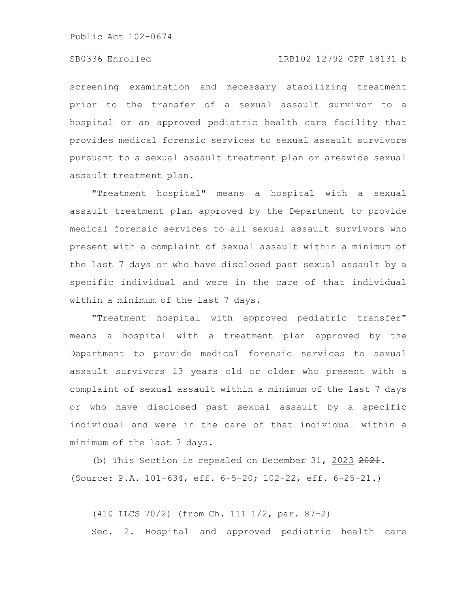### SB0336 Enrolled LRB102 12792 CPF 18131 b

screening examination and necessary stabilizing treatment prior to the transfer of a sexual assault survivor to a hospital or an approved pediatric health care facility that provides medical forensic services to sexual assault survivors pursuant to a sexual assault treatment plan or areawide sexual assault treatment plan.

"Treatment hospital" means a hospital with a sexual assault treatment plan approved by the Department to provide medical forensic services to all sexual assault survivors who present with a complaint of sexual assault within a minimum of the last 7 days or who have disclosed past sexual assault by a specific individual and were in the care of that individual within a minimum of the last 7 days.

"Treatment hospital with approved pediatric transfer" means a hospital with a treatment plan approved by the Department to provide medical forensic services to sexual assault survivors 13 years old or older who present with a complaint of sexual assault within a minimum of the last 7 days or who have disclosed past sexual assault by a specific individual and were in the care of that individual within a minimum of the last 7 days.

(b) This Section is repealed on December 31, 2023 2021. (Source: P.A. 101-634, eff. 6-5-20; 102-22, eff. 6-25-21.)

(410 ILCS 70/2) (from Ch. 111 1/2, par. 87-2) Sec. 2. Hospital and approved pediatric health care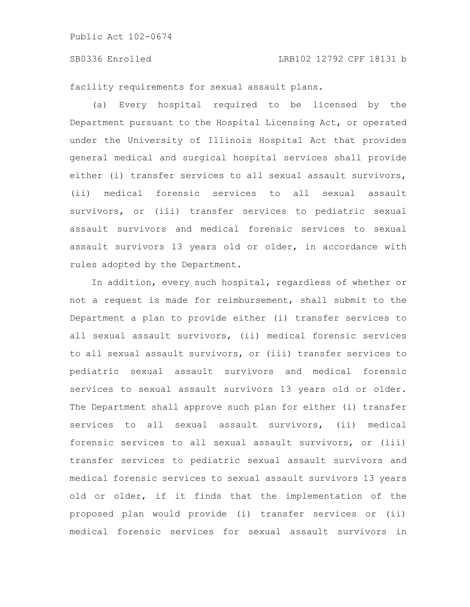### SB0336 Enrolled LRB102 12792 CPF 18131 b

facility requirements for sexual assault plans.

(a) Every hospital required to be licensed by the Department pursuant to the Hospital Licensing Act, or operated under the University of Illinois Hospital Act that provides general medical and surgical hospital services shall provide either (i) transfer services to all sexual assault survivors, (ii) medical forensic services to all sexual assault survivors, or (iii) transfer services to pediatric sexual assault survivors and medical forensic services to sexual assault survivors 13 years old or older, in accordance with rules adopted by the Department.

In addition, every such hospital, regardless of whether or not a request is made for reimbursement, shall submit to the Department a plan to provide either (i) transfer services to all sexual assault survivors, (ii) medical forensic services to all sexual assault survivors, or (iii) transfer services to pediatric sexual assault survivors and medical forensic services to sexual assault survivors 13 years old or older. The Department shall approve such plan for either (i) transfer services to all sexual assault survivors, (ii) medical forensic services to all sexual assault survivors, or (iii) transfer services to pediatric sexual assault survivors and medical forensic services to sexual assault survivors 13 years old or older, if it finds that the implementation of the proposed plan would provide (i) transfer services or (ii) medical forensic services for sexual assault survivors in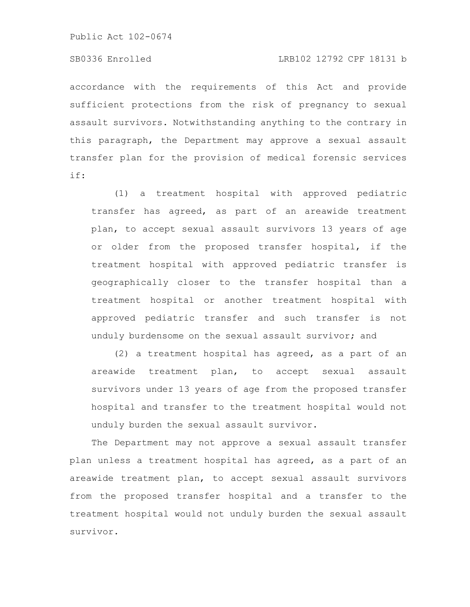# SB0336 Enrolled LRB102 12792 CPF 18131 b

accordance with the requirements of this Act and provide sufficient protections from the risk of pregnancy to sexual assault survivors. Notwithstanding anything to the contrary in this paragraph, the Department may approve a sexual assault transfer plan for the provision of medical forensic services if:

(1) a treatment hospital with approved pediatric transfer has agreed, as part of an areawide treatment plan, to accept sexual assault survivors 13 years of age or older from the proposed transfer hospital, if the treatment hospital with approved pediatric transfer is geographically closer to the transfer hospital than a treatment hospital or another treatment hospital with approved pediatric transfer and such transfer is not unduly burdensome on the sexual assault survivor; and

(2) a treatment hospital has agreed, as a part of an areawide treatment plan, to accept sexual assault survivors under 13 years of age from the proposed transfer hospital and transfer to the treatment hospital would not unduly burden the sexual assault survivor.

The Department may not approve a sexual assault transfer plan unless a treatment hospital has agreed, as a part of an areawide treatment plan, to accept sexual assault survivors from the proposed transfer hospital and a transfer to the treatment hospital would not unduly burden the sexual assault survivor.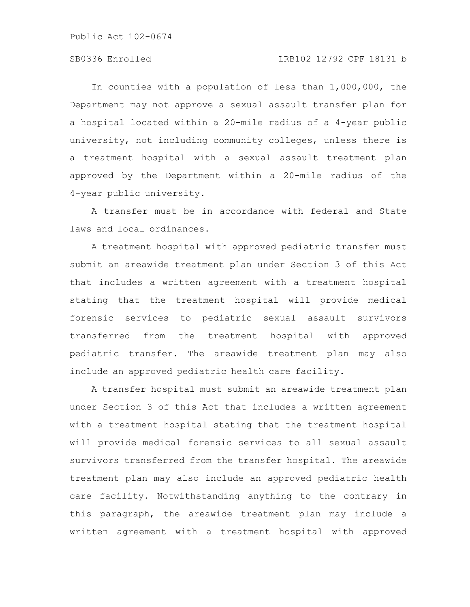# SB0336 Enrolled LRB102 12792 CPF 18131 b

In counties with a population of less than 1,000,000, the Department may not approve a sexual assault transfer plan for a hospital located within a 20-mile radius of a 4-year public university, not including community colleges, unless there is a treatment hospital with a sexual assault treatment plan approved by the Department within a 20-mile radius of the 4-year public university.

A transfer must be in accordance with federal and State laws and local ordinances.

A treatment hospital with approved pediatric transfer must submit an areawide treatment plan under Section 3 of this Act that includes a written agreement with a treatment hospital stating that the treatment hospital will provide medical forensic services to pediatric sexual assault survivors transferred from the treatment hospital with approved pediatric transfer. The areawide treatment plan may also include an approved pediatric health care facility.

A transfer hospital must submit an areawide treatment plan under Section 3 of this Act that includes a written agreement with a treatment hospital stating that the treatment hospital will provide medical forensic services to all sexual assault survivors transferred from the transfer hospital. The areawide treatment plan may also include an approved pediatric health care facility. Notwithstanding anything to the contrary in this paragraph, the areawide treatment plan may include a written agreement with a treatment hospital with approved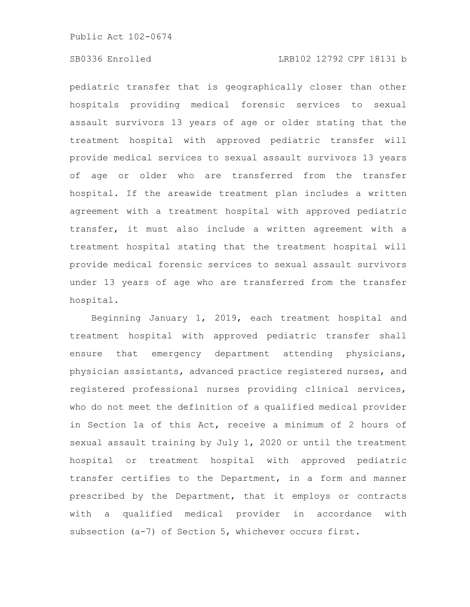# SB0336 Enrolled LRB102 12792 CPF 18131 b

pediatric transfer that is geographically closer than other hospitals providing medical forensic services to sexual assault survivors 13 years of age or older stating that the treatment hospital with approved pediatric transfer will provide medical services to sexual assault survivors 13 years of age or older who are transferred from the transfer hospital. If the areawide treatment plan includes a written agreement with a treatment hospital with approved pediatric transfer, it must also include a written agreement with a treatment hospital stating that the treatment hospital will provide medical forensic services to sexual assault survivors under 13 years of age who are transferred from the transfer hospital.

Beginning January 1, 2019, each treatment hospital and treatment hospital with approved pediatric transfer shall ensure that emergency department attending physicians, physician assistants, advanced practice registered nurses, and registered professional nurses providing clinical services, who do not meet the definition of a qualified medical provider in Section 1a of this Act, receive a minimum of 2 hours of sexual assault training by July 1, 2020 or until the treatment hospital or treatment hospital with approved pediatric transfer certifies to the Department, in a form and manner prescribed by the Department, that it employs or contracts with a qualified medical provider in accordance with subsection (a-7) of Section 5, whichever occurs first.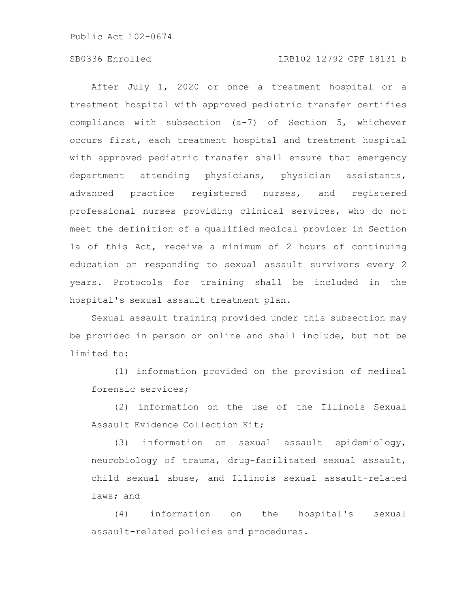# SB0336 Enrolled LRB102 12792 CPF 18131 b

After July 1, 2020 or once a treatment hospital or a treatment hospital with approved pediatric transfer certifies compliance with subsection (a-7) of Section 5, whichever occurs first, each treatment hospital and treatment hospital with approved pediatric transfer shall ensure that emergency department attending physicians, physician assistants, advanced practice registered nurses, and registered professional nurses providing clinical services, who do not meet the definition of a qualified medical provider in Section 1a of this Act, receive a minimum of 2 hours of continuing education on responding to sexual assault survivors every 2 years. Protocols for training shall be included in the hospital's sexual assault treatment plan.

Sexual assault training provided under this subsection may be provided in person or online and shall include, but not be limited to:

(1) information provided on the provision of medical forensic services;

(2) information on the use of the Illinois Sexual Assault Evidence Collection Kit;

(3) information on sexual assault epidemiology, neurobiology of trauma, drug-facilitated sexual assault, child sexual abuse, and Illinois sexual assault-related laws; and

(4) information on the hospital's sexual assault-related policies and procedures.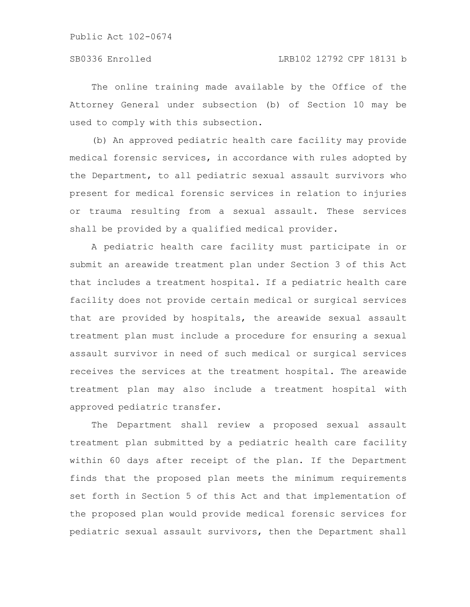The online training made available by the Office of the Attorney General under subsection (b) of Section 10 may be used to comply with this subsection.

(b) An approved pediatric health care facility may provide medical forensic services, in accordance with rules adopted by the Department, to all pediatric sexual assault survivors who present for medical forensic services in relation to injuries or trauma resulting from a sexual assault. These services shall be provided by a qualified medical provider.

A pediatric health care facility must participate in or submit an areawide treatment plan under Section 3 of this Act that includes a treatment hospital. If a pediatric health care facility does not provide certain medical or surgical services that are provided by hospitals, the areawide sexual assault treatment plan must include a procedure for ensuring a sexual assault survivor in need of such medical or surgical services receives the services at the treatment hospital. The areawide treatment plan may also include a treatment hospital with approved pediatric transfer.

The Department shall review a proposed sexual assault treatment plan submitted by a pediatric health care facility within 60 days after receipt of the plan. If the Department finds that the proposed plan meets the minimum requirements set forth in Section 5 of this Act and that implementation of the proposed plan would provide medical forensic services for pediatric sexual assault survivors, then the Department shall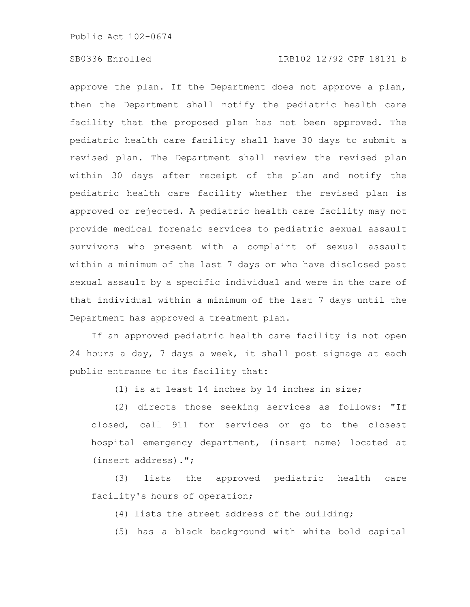# SB0336 Enrolled LRB102 12792 CPF 18131 b

approve the plan. If the Department does not approve a plan, then the Department shall notify the pediatric health care facility that the proposed plan has not been approved. The pediatric health care facility shall have 30 days to submit a revised plan. The Department shall review the revised plan within 30 days after receipt of the plan and notify the pediatric health care facility whether the revised plan is approved or rejected. A pediatric health care facility may not provide medical forensic services to pediatric sexual assault survivors who present with a complaint of sexual assault within a minimum of the last 7 days or who have disclosed past sexual assault by a specific individual and were in the care of that individual within a minimum of the last 7 days until the Department has approved a treatment plan.

If an approved pediatric health care facility is not open 24 hours a day, 7 days a week, it shall post signage at each public entrance to its facility that:

(1) is at least 14 inches by 14 inches in size;

(2) directs those seeking services as follows: "If closed, call 911 for services or go to the closest hospital emergency department, (insert name) located at (insert address).";

(3) lists the approved pediatric health care facility's hours of operation;

(4) lists the street address of the building;

(5) has a black background with white bold capital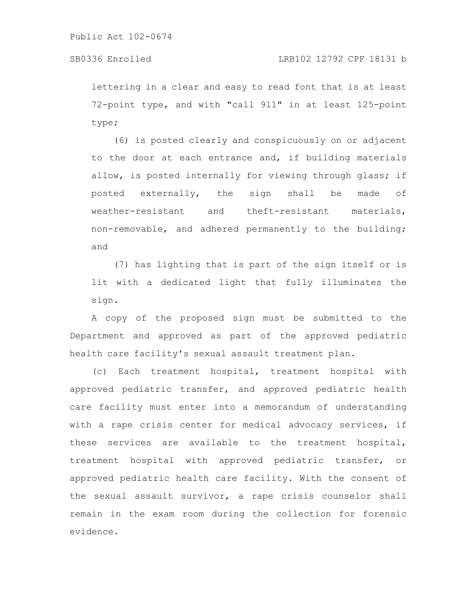lettering in a clear and easy to read font that is at least 72-point type, and with "call 911" in at least 125-point type;

(6) is posted clearly and conspicuously on or adjacent to the door at each entrance and, if building materials allow, is posted internally for viewing through glass; if posted externally, the sign shall be made of weather-resistant and theft-resistant materials, non-removable, and adhered permanently to the building; and

(7) has lighting that is part of the sign itself or is lit with a dedicated light that fully illuminates the sign.

A copy of the proposed sign must be submitted to the Department and approved as part of the approved pediatric health care facility's sexual assault treatment plan.

(c) Each treatment hospital, treatment hospital with approved pediatric transfer, and approved pediatric health care facility must enter into a memorandum of understanding with a rape crisis center for medical advocacy services, if these services are available to the treatment hospital, treatment hospital with approved pediatric transfer, or approved pediatric health care facility. With the consent of the sexual assault survivor, a rape crisis counselor shall remain in the exam room during the collection for forensic evidence.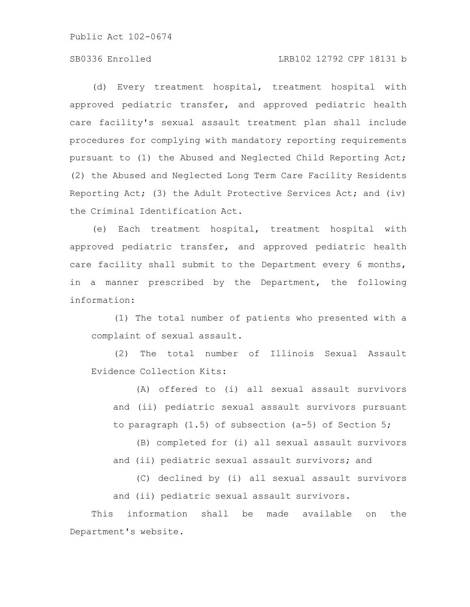# SB0336 Enrolled LRB102 12792 CPF 18131 b

(d) Every treatment hospital, treatment hospital with approved pediatric transfer, and approved pediatric health care facility's sexual assault treatment plan shall include procedures for complying with mandatory reporting requirements pursuant to (1) the Abused and Neglected Child Reporting Act; (2) the Abused and Neglected Long Term Care Facility Residents Reporting Act; (3) the Adult Protective Services Act; and (iv) the Criminal Identification Act.

(e) Each treatment hospital, treatment hospital with approved pediatric transfer, and approved pediatric health care facility shall submit to the Department every 6 months, in a manner prescribed by the Department, the following information:

(1) The total number of patients who presented with a complaint of sexual assault.

(2) The total number of Illinois Sexual Assault Evidence Collection Kits:

(A) offered to (i) all sexual assault survivors and (ii) pediatric sexual assault survivors pursuant to paragraph (1.5) of subsection (a-5) of Section 5;

(B) completed for (i) all sexual assault survivors and (ii) pediatric sexual assault survivors; and

(C) declined by (i) all sexual assault survivors and (ii) pediatric sexual assault survivors.

This information shall be made available on the Department's website.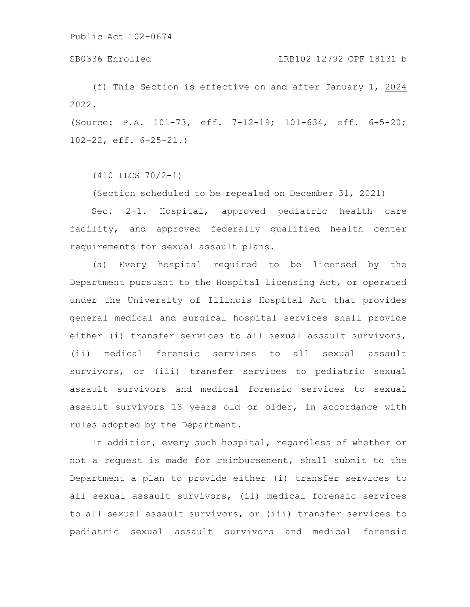(f) This Section is effective on and after January 1, 2024 2022.

(Source: P.A. 101-73, eff. 7-12-19; 101-634, eff. 6-5-20; 102-22, eff. 6-25-21.)

(410 ILCS 70/2-1)

(Section scheduled to be repealed on December 31, 2021)

Sec. 2-1. Hospital, approved pediatric health care facility, and approved federally qualified health center requirements for sexual assault plans.

(a) Every hospital required to be licensed by the Department pursuant to the Hospital Licensing Act, or operated under the University of Illinois Hospital Act that provides general medical and surgical hospital services shall provide either (i) transfer services to all sexual assault survivors, (ii) medical forensic services to all sexual assault survivors, or (iii) transfer services to pediatric sexual assault survivors and medical forensic services to sexual assault survivors 13 years old or older, in accordance with rules adopted by the Department.

In addition, every such hospital, regardless of whether or not a request is made for reimbursement, shall submit to the Department a plan to provide either (i) transfer services to all sexual assault survivors, (ii) medical forensic services to all sexual assault survivors, or (iii) transfer services to pediatric sexual assault survivors and medical forensic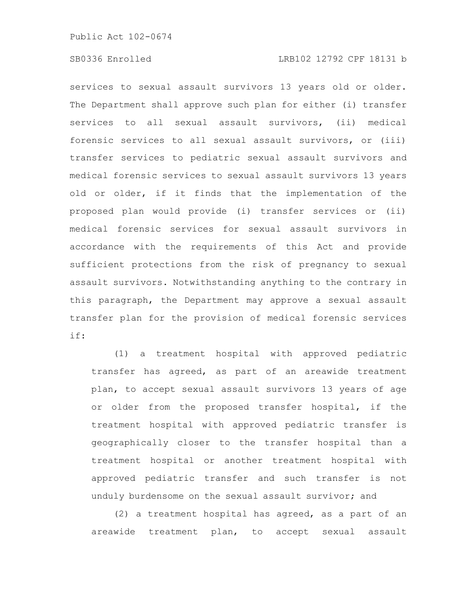services to sexual assault survivors 13 years old or older. The Department shall approve such plan for either (i) transfer services to all sexual assault survivors, (ii) medical forensic services to all sexual assault survivors, or (iii) transfer services to pediatric sexual assault survivors and medical forensic services to sexual assault survivors 13 years old or older, if it finds that the implementation of the proposed plan would provide (i) transfer services or (ii) medical forensic services for sexual assault survivors in accordance with the requirements of this Act and provide sufficient protections from the risk of pregnancy to sexual assault survivors. Notwithstanding anything to the contrary in this paragraph, the Department may approve a sexual assault transfer plan for the provision of medical forensic services if:

(1) a treatment hospital with approved pediatric transfer has agreed, as part of an areawide treatment plan, to accept sexual assault survivors 13 years of age or older from the proposed transfer hospital, if the treatment hospital with approved pediatric transfer is geographically closer to the transfer hospital than a treatment hospital or another treatment hospital with approved pediatric transfer and such transfer is not unduly burdensome on the sexual assault survivor; and

(2) a treatment hospital has agreed, as a part of an areawide treatment plan, to accept sexual assault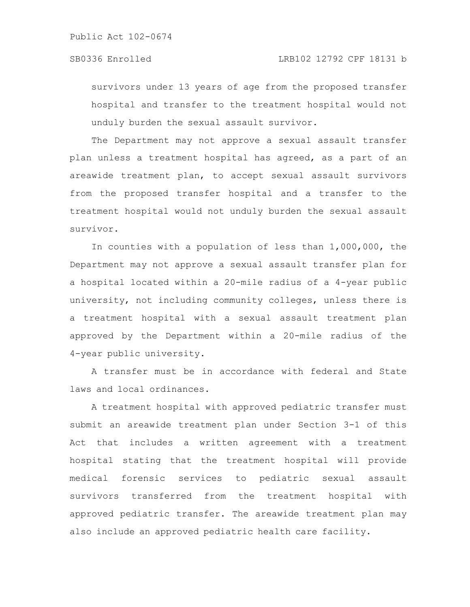## SB0336 Enrolled LRB102 12792 CPF 18131 b

survivors under 13 years of age from the proposed transfer hospital and transfer to the treatment hospital would not unduly burden the sexual assault survivor.

The Department may not approve a sexual assault transfer plan unless a treatment hospital has agreed, as a part of an areawide treatment plan, to accept sexual assault survivors from the proposed transfer hospital and a transfer to the treatment hospital would not unduly burden the sexual assault survivor.

In counties with a population of less than 1,000,000, the Department may not approve a sexual assault transfer plan for a hospital located within a 20-mile radius of a 4-year public university, not including community colleges, unless there is a treatment hospital with a sexual assault treatment plan approved by the Department within a 20-mile radius of the 4-year public university.

A transfer must be in accordance with federal and State laws and local ordinances.

A treatment hospital with approved pediatric transfer must submit an areawide treatment plan under Section 3-1 of this Act that includes a written agreement with a treatment hospital stating that the treatment hospital will provide medical forensic services to pediatric sexual assault survivors transferred from the treatment hospital with approved pediatric transfer. The areawide treatment plan may also include an approved pediatric health care facility.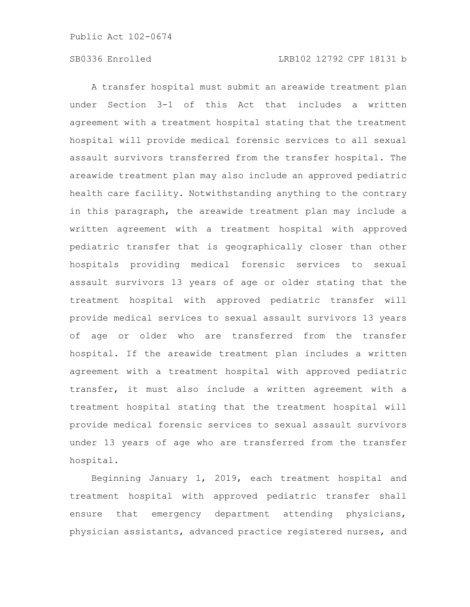A transfer hospital must submit an areawide treatment plan under Section 3-1 of this Act that includes a written agreement with a treatment hospital stating that the treatment hospital will provide medical forensic services to all sexual assault survivors transferred from the transfer hospital. The areawide treatment plan may also include an approved pediatric health care facility. Notwithstanding anything to the contrary in this paragraph, the areawide treatment plan may include a written agreement with a treatment hospital with approved pediatric transfer that is geographically closer than other hospitals providing medical forensic services to sexual assault survivors 13 years of age or older stating that the treatment hospital with approved pediatric transfer will provide medical services to sexual assault survivors 13 years of age or older who are transferred from the transfer hospital. If the areawide treatment plan includes a written agreement with a treatment hospital with approved pediatric transfer, it must also include a written agreement with a treatment hospital stating that the treatment hospital will provide medical forensic services to sexual assault survivors under 13 years of age who are transferred from the transfer hospital.

Beginning January 1, 2019, each treatment hospital and treatment hospital with approved pediatric transfer shall ensure that emergency department attending physicians, physician assistants, advanced practice registered nurses, and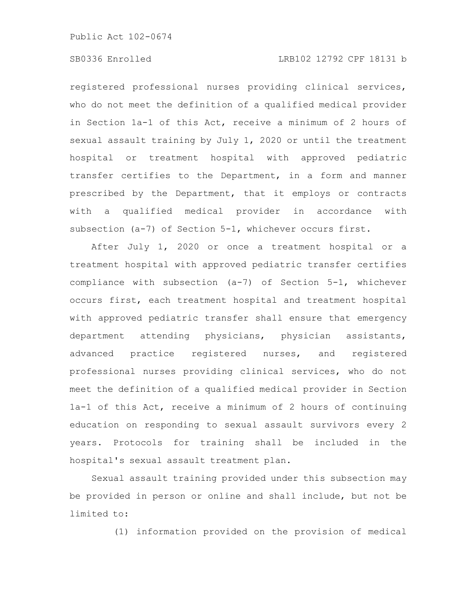# SB0336 Enrolled LRB102 12792 CPF 18131 b

registered professional nurses providing clinical services, who do not meet the definition of a qualified medical provider in Section 1a-1 of this Act, receive a minimum of 2 hours of sexual assault training by July 1, 2020 or until the treatment hospital or treatment hospital with approved pediatric transfer certifies to the Department, in a form and manner prescribed by the Department, that it employs or contracts with a qualified medical provider in accordance with subsection (a-7) of Section 5-1, whichever occurs first.

After July 1, 2020 or once a treatment hospital or a treatment hospital with approved pediatric transfer certifies compliance with subsection (a-7) of Section 5-1, whichever occurs first, each treatment hospital and treatment hospital with approved pediatric transfer shall ensure that emergency department attending physicians, physician assistants, advanced practice registered nurses, and registered professional nurses providing clinical services, who do not meet the definition of a qualified medical provider in Section 1a-1 of this Act, receive a minimum of 2 hours of continuing education on responding to sexual assault survivors every 2 years. Protocols for training shall be included in the hospital's sexual assault treatment plan.

Sexual assault training provided under this subsection may be provided in person or online and shall include, but not be limited to:

(1) information provided on the provision of medical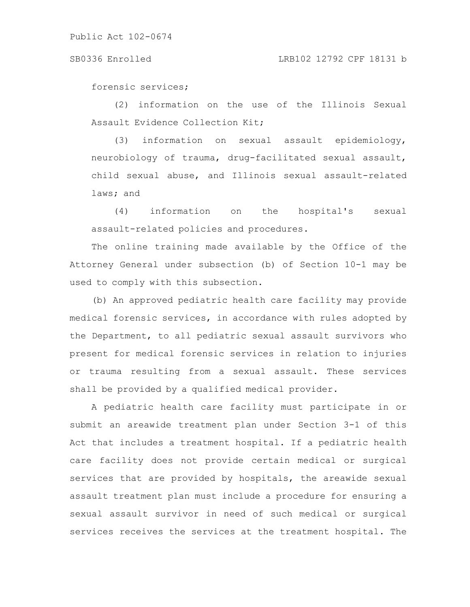### SB0336 Enrolled LRB102 12792 CPF 18131 b

forensic services;

(2) information on the use of the Illinois Sexual Assault Evidence Collection Kit;

(3) information on sexual assault epidemiology, neurobiology of trauma, drug-facilitated sexual assault, child sexual abuse, and Illinois sexual assault-related laws; and

(4) information on the hospital's sexual assault-related policies and procedures.

The online training made available by the Office of the Attorney General under subsection (b) of Section 10-1 may be used to comply with this subsection.

(b) An approved pediatric health care facility may provide medical forensic services, in accordance with rules adopted by the Department, to all pediatric sexual assault survivors who present for medical forensic services in relation to injuries or trauma resulting from a sexual assault. These services shall be provided by a qualified medical provider.

A pediatric health care facility must participate in or submit an areawide treatment plan under Section 3-1 of this Act that includes a treatment hospital. If a pediatric health care facility does not provide certain medical or surgical services that are provided by hospitals, the areawide sexual assault treatment plan must include a procedure for ensuring a sexual assault survivor in need of such medical or surgical services receives the services at the treatment hospital. The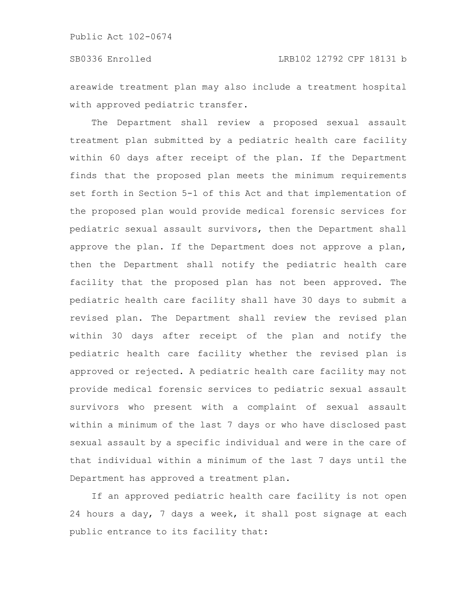areawide treatment plan may also include a treatment hospital with approved pediatric transfer.

The Department shall review a proposed sexual assault treatment plan submitted by a pediatric health care facility within 60 days after receipt of the plan. If the Department finds that the proposed plan meets the minimum requirements set forth in Section 5-1 of this Act and that implementation of the proposed plan would provide medical forensic services for pediatric sexual assault survivors, then the Department shall approve the plan. If the Department does not approve a plan, then the Department shall notify the pediatric health care facility that the proposed plan has not been approved. The pediatric health care facility shall have 30 days to submit a revised plan. The Department shall review the revised plan within 30 days after receipt of the plan and notify the pediatric health care facility whether the revised plan is approved or rejected. A pediatric health care facility may not provide medical forensic services to pediatric sexual assault survivors who present with a complaint of sexual assault within a minimum of the last 7 days or who have disclosed past sexual assault by a specific individual and were in the care of that individual within a minimum of the last 7 days until the Department has approved a treatment plan.

If an approved pediatric health care facility is not open 24 hours a day, 7 days a week, it shall post signage at each public entrance to its facility that: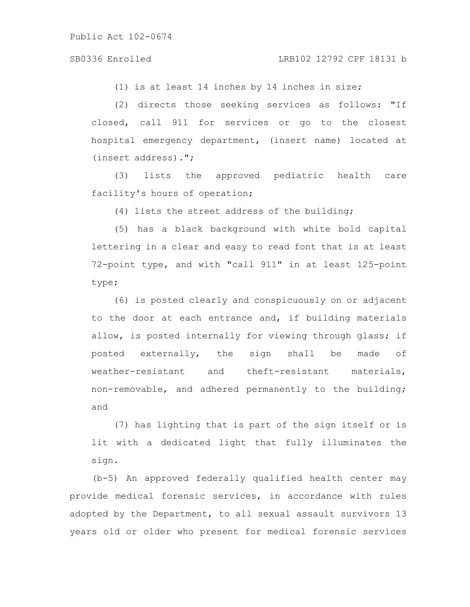### SB0336 Enrolled LRB102 12792 CPF 18131 b

(1) is at least 14 inches by 14 inches in size;

(2) directs those seeking services as follows: "If closed, call 911 for services or go to the closest hospital emergency department, (insert name) located at (insert address).";

(3) lists the approved pediatric health care facility's hours of operation;

(4) lists the street address of the building;

(5) has a black background with white bold capital lettering in a clear and easy to read font that is at least 72-point type, and with "call 911" in at least 125-point type;

(6) is posted clearly and conspicuously on or adjacent to the door at each entrance and, if building materials allow, is posted internally for viewing through glass; if posted externally, the sign shall be made of weather-resistant and theft-resistant materials, non-removable, and adhered permanently to the building; and

(7) has lighting that is part of the sign itself or is lit with a dedicated light that fully illuminates the sign.

(b-5) An approved federally qualified health center may provide medical forensic services, in accordance with rules adopted by the Department, to all sexual assault survivors 13 years old or older who present for medical forensic services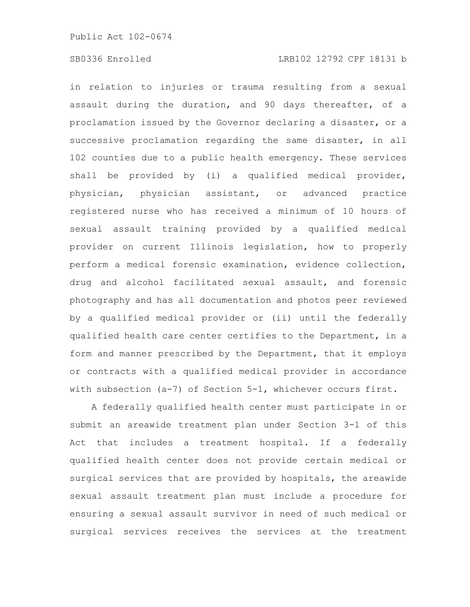# SB0336 Enrolled LRB102 12792 CPF 18131 b

in relation to injuries or trauma resulting from a sexual assault during the duration, and 90 days thereafter, of a proclamation issued by the Governor declaring a disaster, or a successive proclamation regarding the same disaster, in all 102 counties due to a public health emergency. These services shall be provided by (i) a qualified medical provider, physician, physician assistant, or advanced practice registered nurse who has received a minimum of 10 hours of sexual assault training provided by a qualified medical provider on current Illinois legislation, how to properly perform a medical forensic examination, evidence collection, drug and alcohol facilitated sexual assault, and forensic photography and has all documentation and photos peer reviewed by a qualified medical provider or (ii) until the federally qualified health care center certifies to the Department, in a form and manner prescribed by the Department, that it employs or contracts with a qualified medical provider in accordance with subsection (a-7) of Section 5-1, whichever occurs first.

A federally qualified health center must participate in or submit an areawide treatment plan under Section 3-1 of this Act that includes a treatment hospital. If a federally qualified health center does not provide certain medical or surgical services that are provided by hospitals, the areawide sexual assault treatment plan must include a procedure for ensuring a sexual assault survivor in need of such medical or surgical services receives the services at the treatment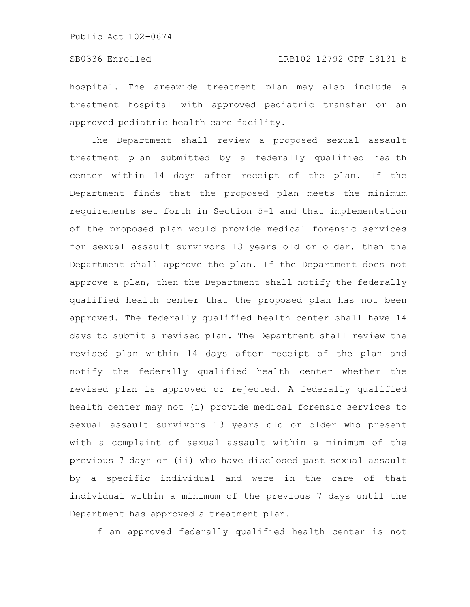hospital. The areawide treatment plan may also include a treatment hospital with approved pediatric transfer or an approved pediatric health care facility.

The Department shall review a proposed sexual assault treatment plan submitted by a federally qualified health center within 14 days after receipt of the plan. If the Department finds that the proposed plan meets the minimum requirements set forth in Section 5-1 and that implementation of the proposed plan would provide medical forensic services for sexual assault survivors 13 years old or older, then the Department shall approve the plan. If the Department does not approve a plan, then the Department shall notify the federally qualified health center that the proposed plan has not been approved. The federally qualified health center shall have 14 days to submit a revised plan. The Department shall review the revised plan within 14 days after receipt of the plan and notify the federally qualified health center whether the revised plan is approved or rejected. A federally qualified health center may not (i) provide medical forensic services to sexual assault survivors 13 years old or older who present with a complaint of sexual assault within a minimum of the previous 7 days or (ii) who have disclosed past sexual assault by a specific individual and were in the care of that individual within a minimum of the previous 7 days until the Department has approved a treatment plan.

If an approved federally qualified health center is not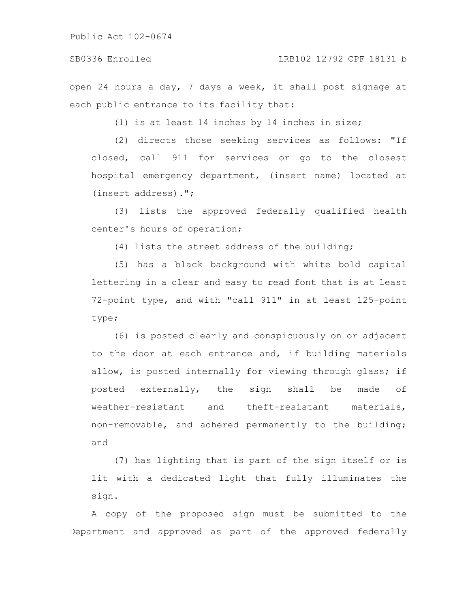### SB0336 Enrolled LRB102 12792 CPF 18131 b

open 24 hours a day, 7 days a week, it shall post signage at each public entrance to its facility that:

(1) is at least 14 inches by 14 inches in size;

(2) directs those seeking services as follows: "If closed, call 911 for services or go to the closest hospital emergency department, (insert name) located at (insert address).";

(3) lists the approved federally qualified health center's hours of operation;

(4) lists the street address of the building;

(5) has a black background with white bold capital lettering in a clear and easy to read font that is at least 72-point type, and with "call 911" in at least 125-point type;

(6) is posted clearly and conspicuously on or adjacent to the door at each entrance and, if building materials allow, is posted internally for viewing through glass; if posted externally, the sign shall be made of weather-resistant and theft-resistant materials, non-removable, and adhered permanently to the building; and

(7) has lighting that is part of the sign itself or is lit with a dedicated light that fully illuminates the sign.

A copy of the proposed sign must be submitted to the Department and approved as part of the approved federally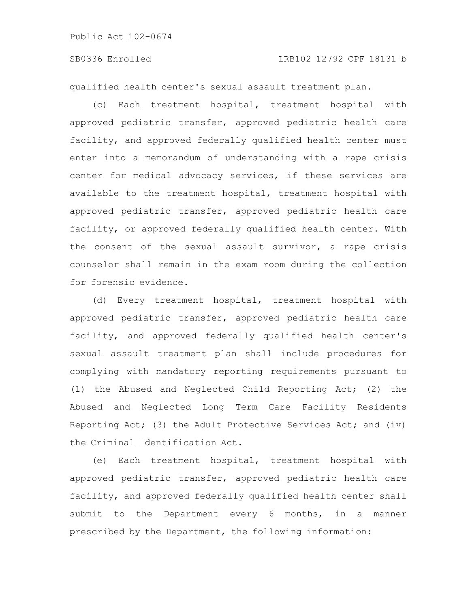qualified health center's sexual assault treatment plan.

(c) Each treatment hospital, treatment hospital with approved pediatric transfer, approved pediatric health care facility, and approved federally qualified health center must enter into a memorandum of understanding with a rape crisis center for medical advocacy services, if these services are available to the treatment hospital, treatment hospital with approved pediatric transfer, approved pediatric health care facility, or approved federally qualified health center. With the consent of the sexual assault survivor, a rape crisis counselor shall remain in the exam room during the collection for forensic evidence.

(d) Every treatment hospital, treatment hospital with approved pediatric transfer, approved pediatric health care facility, and approved federally qualified health center's sexual assault treatment plan shall include procedures for complying with mandatory reporting requirements pursuant to (1) the Abused and Neglected Child Reporting Act; (2) the Abused and Neglected Long Term Care Facility Residents Reporting Act; (3) the Adult Protective Services Act; and (iv) the Criminal Identification Act.

(e) Each treatment hospital, treatment hospital with approved pediatric transfer, approved pediatric health care facility, and approved federally qualified health center shall submit to the Department every 6 months, in a manner prescribed by the Department, the following information: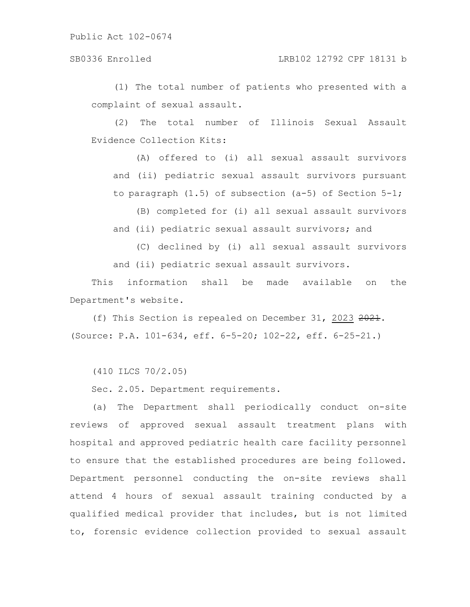# SB0336 Enrolled LRB102 12792 CPF 18131 b

(1) The total number of patients who presented with a complaint of sexual assault.

(2) The total number of Illinois Sexual Assault Evidence Collection Kits:

(A) offered to (i) all sexual assault survivors and (ii) pediatric sexual assault survivors pursuant to paragraph (1.5) of subsection (a-5) of Section 5-1;

(B) completed for (i) all sexual assault survivors and (ii) pediatric sexual assault survivors; and

(C) declined by (i) all sexual assault survivors

and (ii) pediatric sexual assault survivors.

This information shall be made available on the Department's website.

(f) This Section is repealed on December 31, 2023 2021. (Source: P.A. 101-634, eff. 6-5-20; 102-22, eff. 6-25-21.)

(410 ILCS 70/2.05)

Sec. 2.05. Department requirements.

(a) The Department shall periodically conduct on-site reviews of approved sexual assault treatment plans with hospital and approved pediatric health care facility personnel to ensure that the established procedures are being followed. Department personnel conducting the on-site reviews shall attend 4 hours of sexual assault training conducted by a qualified medical provider that includes, but is not limited to, forensic evidence collection provided to sexual assault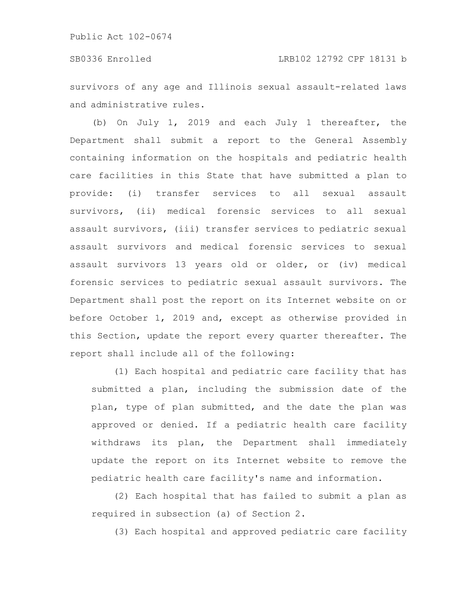survivors of any age and Illinois sexual assault-related laws and administrative rules.

(b) On July 1, 2019 and each July 1 thereafter, the Department shall submit a report to the General Assembly containing information on the hospitals and pediatric health care facilities in this State that have submitted a plan to provide: (i) transfer services to all sexual assault survivors, (ii) medical forensic services to all sexual assault survivors, (iii) transfer services to pediatric sexual assault survivors and medical forensic services to sexual assault survivors 13 years old or older, or (iv) medical forensic services to pediatric sexual assault survivors. The Department shall post the report on its Internet website on or before October 1, 2019 and, except as otherwise provided in this Section, update the report every quarter thereafter. The report shall include all of the following:

(1) Each hospital and pediatric care facility that has submitted a plan, including the submission date of the plan, type of plan submitted, and the date the plan was approved or denied. If a pediatric health care facility withdraws its plan, the Department shall immediately update the report on its Internet website to remove the pediatric health care facility's name and information.

(2) Each hospital that has failed to submit a plan as required in subsection (a) of Section 2.

(3) Each hospital and approved pediatric care facility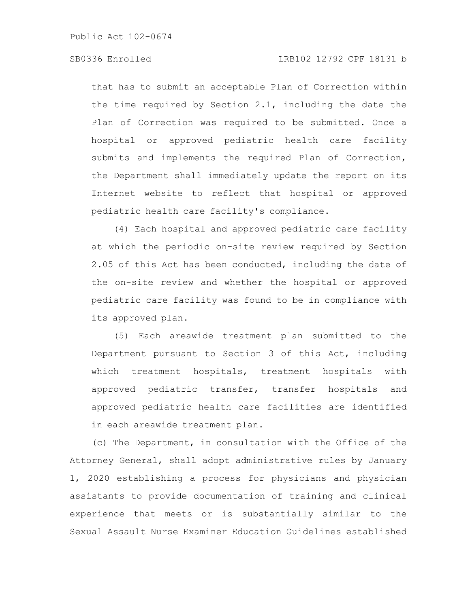# SB0336 Enrolled LRB102 12792 CPF 18131 b

that has to submit an acceptable Plan of Correction within the time required by Section 2.1, including the date the Plan of Correction was required to be submitted. Once a hospital or approved pediatric health care facility submits and implements the required Plan of Correction, the Department shall immediately update the report on its Internet website to reflect that hospital or approved pediatric health care facility's compliance.

(4) Each hospital and approved pediatric care facility at which the periodic on-site review required by Section 2.05 of this Act has been conducted, including the date of the on-site review and whether the hospital or approved pediatric care facility was found to be in compliance with its approved plan.

(5) Each areawide treatment plan submitted to the Department pursuant to Section 3 of this Act, including which treatment hospitals, treatment hospitals with approved pediatric transfer, transfer hospitals and approved pediatric health care facilities are identified in each areawide treatment plan.

(c) The Department, in consultation with the Office of the Attorney General, shall adopt administrative rules by January 1, 2020 establishing a process for physicians and physician assistants to provide documentation of training and clinical experience that meets or is substantially similar to the Sexual Assault Nurse Examiner Education Guidelines established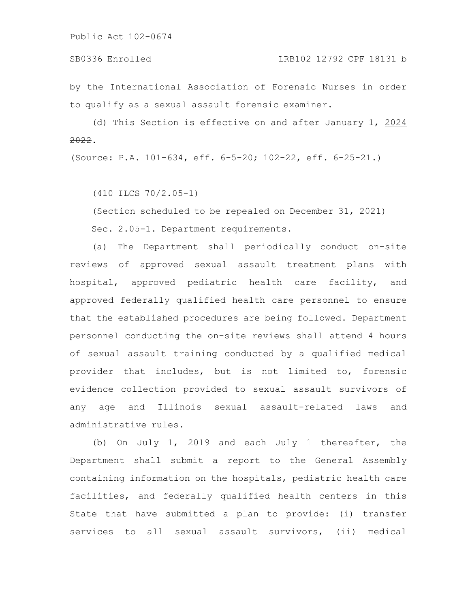by the International Association of Forensic Nurses in order to qualify as a sexual assault forensic examiner.

(d) This Section is effective on and after January 1, 2024 2022.

(Source: P.A. 101-634, eff. 6-5-20; 102-22, eff. 6-25-21.)

(410 ILCS 70/2.05-1)

(Section scheduled to be repealed on December 31, 2021)

Sec. 2.05-1. Department requirements.

(a) The Department shall periodically conduct on-site reviews of approved sexual assault treatment plans with hospital, approved pediatric health care facility, and approved federally qualified health care personnel to ensure that the established procedures are being followed. Department personnel conducting the on-site reviews shall attend 4 hours of sexual assault training conducted by a qualified medical provider that includes, but is not limited to, forensic evidence collection provided to sexual assault survivors of any age and Illinois sexual assault-related laws and administrative rules.

(b) On July 1, 2019 and each July 1 thereafter, the Department shall submit a report to the General Assembly containing information on the hospitals, pediatric health care facilities, and federally qualified health centers in this State that have submitted a plan to provide: (i) transfer services to all sexual assault survivors, (ii) medical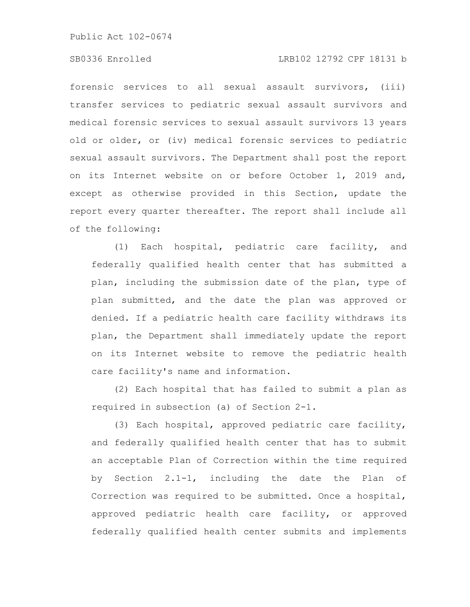# SB0336 Enrolled LRB102 12792 CPF 18131 b

forensic services to all sexual assault survivors, (iii) transfer services to pediatric sexual assault survivors and medical forensic services to sexual assault survivors 13 years old or older, or (iv) medical forensic services to pediatric sexual assault survivors. The Department shall post the report on its Internet website on or before October 1, 2019 and, except as otherwise provided in this Section, update the report every quarter thereafter. The report shall include all of the following:

(1) Each hospital, pediatric care facility, and federally qualified health center that has submitted a plan, including the submission date of the plan, type of plan submitted, and the date the plan was approved or denied. If a pediatric health care facility withdraws its plan, the Department shall immediately update the report on its Internet website to remove the pediatric health care facility's name and information.

(2) Each hospital that has failed to submit a plan as required in subsection (a) of Section 2-1.

(3) Each hospital, approved pediatric care facility, and federally qualified health center that has to submit an acceptable Plan of Correction within the time required by Section 2.1-1, including the date the Plan of Correction was required to be submitted. Once a hospital, approved pediatric health care facility, or approved federally qualified health center submits and implements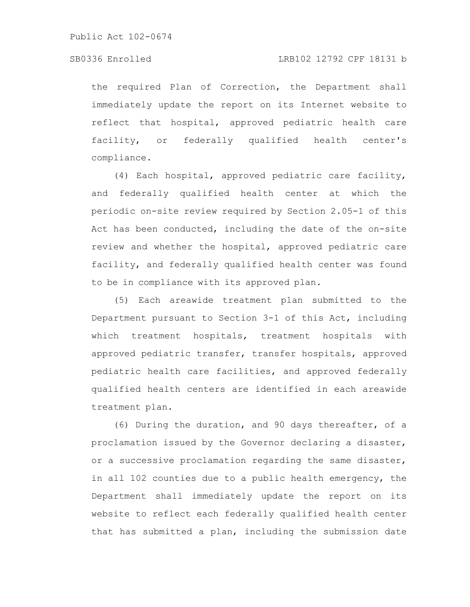the required Plan of Correction, the Department shall immediately update the report on its Internet website to reflect that hospital, approved pediatric health care facility, or federally qualified health center's compliance.

(4) Each hospital, approved pediatric care facility, and federally qualified health center at which the periodic on-site review required by Section 2.05-1 of this Act has been conducted, including the date of the on-site review and whether the hospital, approved pediatric care facility, and federally qualified health center was found to be in compliance with its approved plan.

(5) Each areawide treatment plan submitted to the Department pursuant to Section 3-1 of this Act, including which treatment hospitals, treatment hospitals with approved pediatric transfer, transfer hospitals, approved pediatric health care facilities, and approved federally qualified health centers are identified in each areawide treatment plan.

(6) During the duration, and 90 days thereafter, of a proclamation issued by the Governor declaring a disaster, or a successive proclamation regarding the same disaster, in all 102 counties due to a public health emergency, the Department shall immediately update the report on its website to reflect each federally qualified health center that has submitted a plan, including the submission date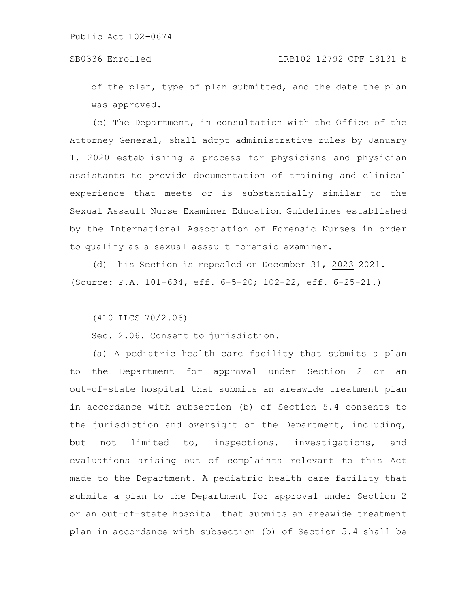of the plan, type of plan submitted, and the date the plan was approved.

(c) The Department, in consultation with the Office of the Attorney General, shall adopt administrative rules by January 1, 2020 establishing a process for physicians and physician assistants to provide documentation of training and clinical experience that meets or is substantially similar to the Sexual Assault Nurse Examiner Education Guidelines established by the International Association of Forensic Nurses in order to qualify as a sexual assault forensic examiner.

(d) This Section is repealed on December 31, 2023 2021. (Source: P.A. 101-634, eff. 6-5-20; 102-22, eff. 6-25-21.)

(410 ILCS 70/2.06)

Sec. 2.06. Consent to jurisdiction.

(a) A pediatric health care facility that submits a plan to the Department for approval under Section 2 or an out-of-state hospital that submits an areawide treatment plan in accordance with subsection (b) of Section 5.4 consents to the jurisdiction and oversight of the Department, including, but not limited to, inspections, investigations, and evaluations arising out of complaints relevant to this Act made to the Department. A pediatric health care facility that submits a plan to the Department for approval under Section 2 or an out-of-state hospital that submits an areawide treatment plan in accordance with subsection (b) of Section 5.4 shall be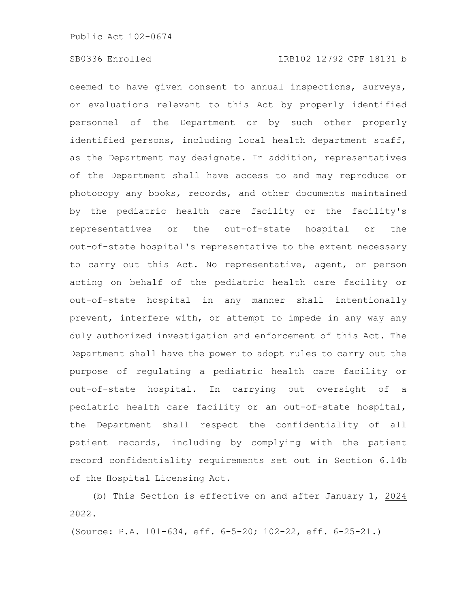deemed to have given consent to annual inspections, surveys, or evaluations relevant to this Act by properly identified personnel of the Department or by such other properly identified persons, including local health department staff, as the Department may designate. In addition, representatives of the Department shall have access to and may reproduce or photocopy any books, records, and other documents maintained by the pediatric health care facility or the facility's representatives or the out-of-state hospital or the out-of-state hospital's representative to the extent necessary to carry out this Act. No representative, agent, or person acting on behalf of the pediatric health care facility or out-of-state hospital in any manner shall intentionally prevent, interfere with, or attempt to impede in any way any duly authorized investigation and enforcement of this Act. The Department shall have the power to adopt rules to carry out the purpose of regulating a pediatric health care facility or out-of-state hospital. In carrying out oversight of a pediatric health care facility or an out-of-state hospital, the Department shall respect the confidentiality of all patient records, including by complying with the patient record confidentiality requirements set out in Section 6.14b of the Hospital Licensing Act.

(b) This Section is effective on and after January 1, 2024 2022.

(Source: P.A. 101-634, eff. 6-5-20; 102-22, eff. 6-25-21.)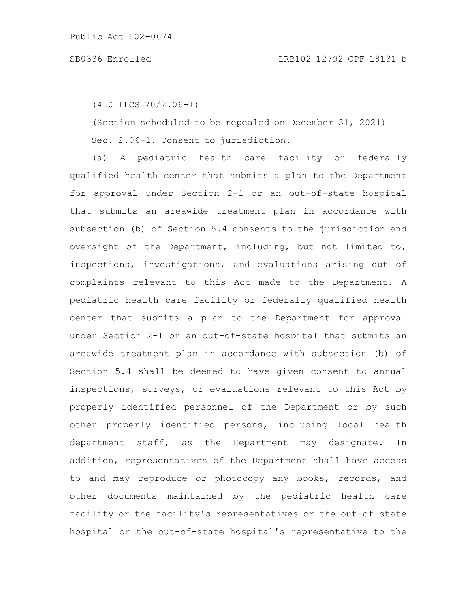(410 ILCS 70/2.06-1)

(Section scheduled to be repealed on December 31, 2021) Sec. 2.06-1. Consent to jurisdiction.

(a) A pediatric health care facility or federally qualified health center that submits a plan to the Department for approval under Section 2-1 or an out-of-state hospital that submits an areawide treatment plan in accordance with subsection (b) of Section 5.4 consents to the jurisdiction and oversight of the Department, including, but not limited to, inspections, investigations, and evaluations arising out of complaints relevant to this Act made to the Department. A pediatric health care facility or federally qualified health center that submits a plan to the Department for approval under Section 2-1 or an out-of-state hospital that submits an areawide treatment plan in accordance with subsection (b) of Section 5.4 shall be deemed to have given consent to annual inspections, surveys, or evaluations relevant to this Act by properly identified personnel of the Department or by such other properly identified persons, including local health department staff, as the Department may designate. In addition, representatives of the Department shall have access to and may reproduce or photocopy any books, records, and other documents maintained by the pediatric health care facility or the facility's representatives or the out-of-state hospital or the out-of-state hospital's representative to the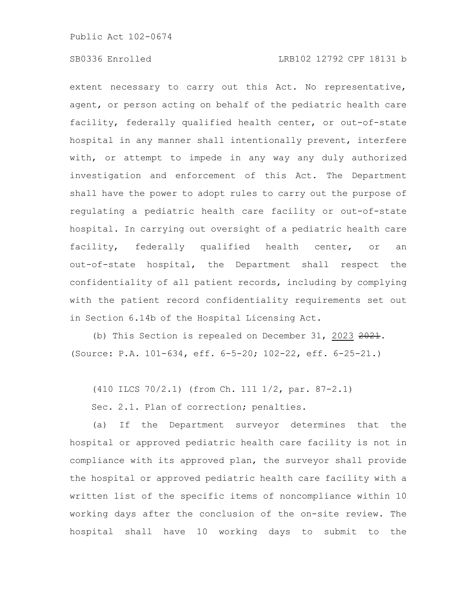# SB0336 Enrolled LRB102 12792 CPF 18131 b

extent necessary to carry out this Act. No representative, agent, or person acting on behalf of the pediatric health care facility, federally qualified health center, or out-of-state hospital in any manner shall intentionally prevent, interfere with, or attempt to impede in any way any duly authorized investigation and enforcement of this Act. The Department shall have the power to adopt rules to carry out the purpose of regulating a pediatric health care facility or out-of-state hospital. In carrying out oversight of a pediatric health care facility, federally qualified health center, or an out-of-state hospital, the Department shall respect the confidentiality of all patient records, including by complying with the patient record confidentiality requirements set out in Section 6.14b of the Hospital Licensing Act.

(b) This Section is repealed on December 31, 2023  $2021$ . (Source: P.A. 101-634, eff. 6-5-20; 102-22, eff. 6-25-21.)

(410 ILCS 70/2.1) (from Ch. 111 1/2, par. 87-2.1)

Sec. 2.1. Plan of correction; penalties.

(a) If the Department surveyor determines that the hospital or approved pediatric health care facility is not in compliance with its approved plan, the surveyor shall provide the hospital or approved pediatric health care facility with a written list of the specific items of noncompliance within 10 working days after the conclusion of the on-site review. The hospital shall have 10 working days to submit to the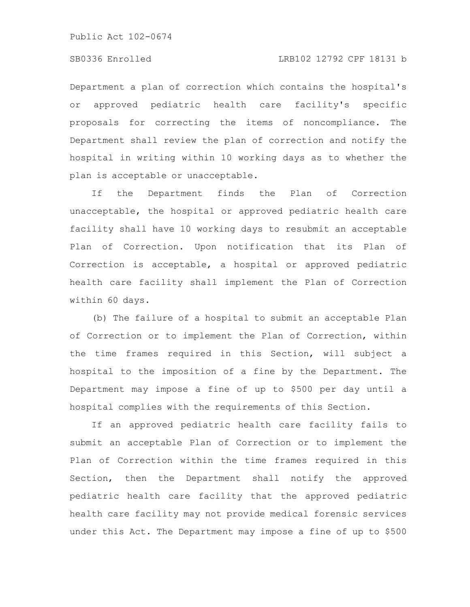# SB0336 Enrolled LRB102 12792 CPF 18131 b

Department a plan of correction which contains the hospital's or approved pediatric health care facility's specific proposals for correcting the items of noncompliance. The Department shall review the plan of correction and notify the hospital in writing within 10 working days as to whether the plan is acceptable or unacceptable.

If the Department finds the Plan of Correction unacceptable, the hospital or approved pediatric health care facility shall have 10 working days to resubmit an acceptable Plan of Correction. Upon notification that its Plan of Correction is acceptable, a hospital or approved pediatric health care facility shall implement the Plan of Correction within 60 days.

(b) The failure of a hospital to submit an acceptable Plan of Correction or to implement the Plan of Correction, within the time frames required in this Section, will subject a hospital to the imposition of a fine by the Department. The Department may impose a fine of up to \$500 per day until a hospital complies with the requirements of this Section.

If an approved pediatric health care facility fails to submit an acceptable Plan of Correction or to implement the Plan of Correction within the time frames required in this Section, then the Department shall notify the approved pediatric health care facility that the approved pediatric health care facility may not provide medical forensic services under this Act. The Department may impose a fine of up to \$500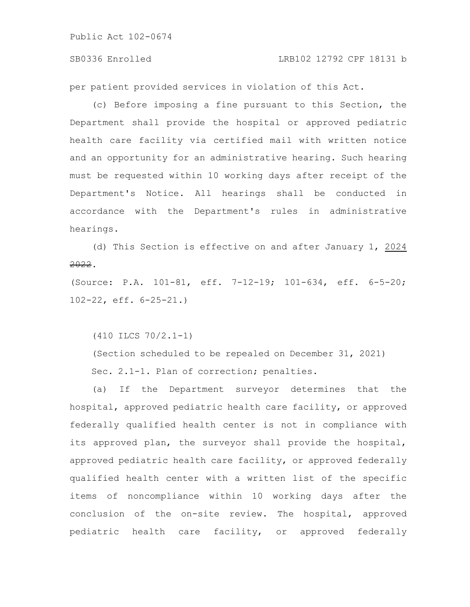### SB0336 Enrolled LRB102 12792 CPF 18131 b

per patient provided services in violation of this Act.

(c) Before imposing a fine pursuant to this Section, the Department shall provide the hospital or approved pediatric health care facility via certified mail with written notice and an opportunity for an administrative hearing. Such hearing must be requested within 10 working days after receipt of the Department's Notice. All hearings shall be conducted in accordance with the Department's rules in administrative hearings.

(d) This Section is effective on and after January 1, 2024 2022.

(Source: P.A. 101-81, eff. 7-12-19; 101-634, eff. 6-5-20; 102-22, eff. 6-25-21.)

(410 ILCS 70/2.1-1)

(Section scheduled to be repealed on December 31, 2021) Sec. 2.1-1. Plan of correction; penalties.

(a) If the Department surveyor determines that the hospital, approved pediatric health care facility, or approved federally qualified health center is not in compliance with its approved plan, the surveyor shall provide the hospital, approved pediatric health care facility, or approved federally qualified health center with a written list of the specific items of noncompliance within 10 working days after the conclusion of the on-site review. The hospital, approved pediatric health care facility, or approved federally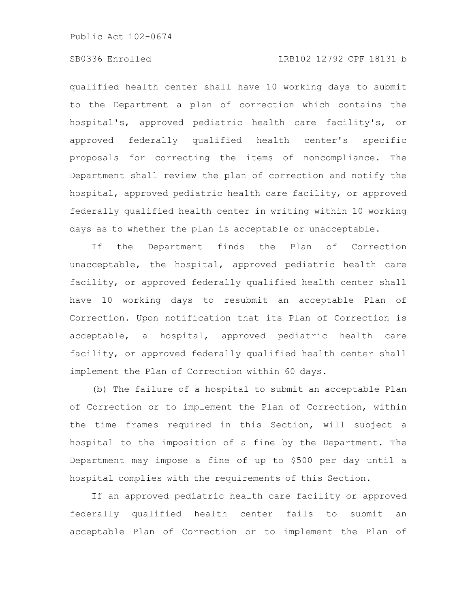# SB0336 Enrolled LRB102 12792 CPF 18131 b

qualified health center shall have 10 working days to submit to the Department a plan of correction which contains the hospital's, approved pediatric health care facility's, or approved federally qualified health center's specific proposals for correcting the items of noncompliance. The Department shall review the plan of correction and notify the hospital, approved pediatric health care facility, or approved federally qualified health center in writing within 10 working days as to whether the plan is acceptable or unacceptable.

If the Department finds the Plan of Correction unacceptable, the hospital, approved pediatric health care facility, or approved federally qualified health center shall have 10 working days to resubmit an acceptable Plan of Correction. Upon notification that its Plan of Correction is acceptable, a hospital, approved pediatric health care facility, or approved federally qualified health center shall implement the Plan of Correction within 60 days.

(b) The failure of a hospital to submit an acceptable Plan of Correction or to implement the Plan of Correction, within the time frames required in this Section, will subject a hospital to the imposition of a fine by the Department. The Department may impose a fine of up to \$500 per day until a hospital complies with the requirements of this Section.

If an approved pediatric health care facility or approved federally qualified health center fails to submit an acceptable Plan of Correction or to implement the Plan of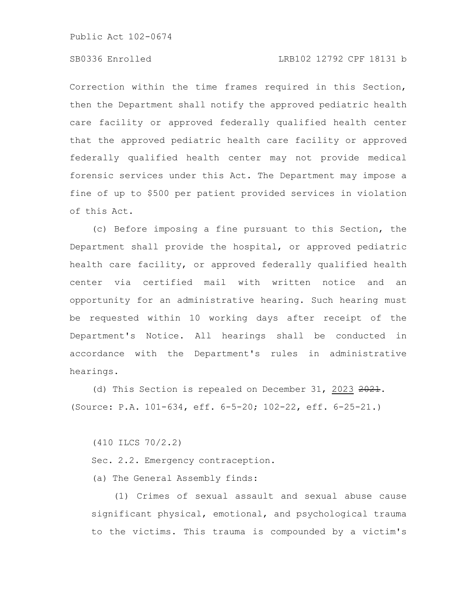# SB0336 Enrolled LRB102 12792 CPF 18131 b

Correction within the time frames required in this Section, then the Department shall notify the approved pediatric health care facility or approved federally qualified health center that the approved pediatric health care facility or approved federally qualified health center may not provide medical forensic services under this Act. The Department may impose a fine of up to \$500 per patient provided services in violation of this Act.

(c) Before imposing a fine pursuant to this Section, the Department shall provide the hospital, or approved pediatric health care facility, or approved federally qualified health center via certified mail with written notice and an opportunity for an administrative hearing. Such hearing must be requested within 10 working days after receipt of the Department's Notice. All hearings shall be conducted in accordance with the Department's rules in administrative hearings.

(d) This Section is repealed on December 31, 2023 2021. (Source: P.A. 101-634, eff. 6-5-20; 102-22, eff. 6-25-21.)

(410 ILCS 70/2.2)

Sec. 2.2. Emergency contraception.

(a) The General Assembly finds:

(1) Crimes of sexual assault and sexual abuse cause significant physical, emotional, and psychological trauma to the victims. This trauma is compounded by a victim's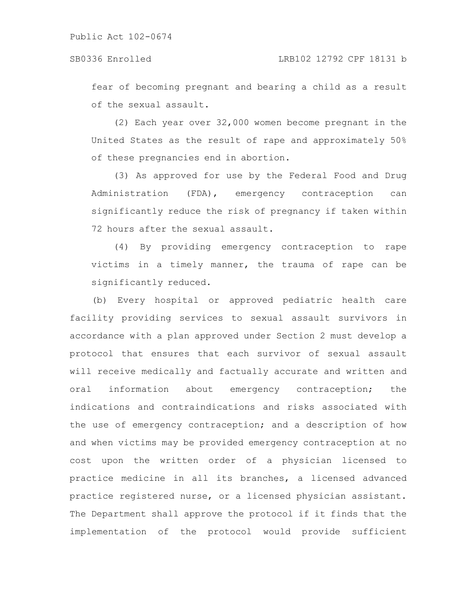fear of becoming pregnant and bearing a child as a result of the sexual assault.

(2) Each year over 32,000 women become pregnant in the United States as the result of rape and approximately 50% of these pregnancies end in abortion.

(3) As approved for use by the Federal Food and Drug Administration (FDA), emergency contraception can significantly reduce the risk of pregnancy if taken within 72 hours after the sexual assault.

(4) By providing emergency contraception to rape victims in a timely manner, the trauma of rape can be significantly reduced.

(b) Every hospital or approved pediatric health care facility providing services to sexual assault survivors in accordance with a plan approved under Section 2 must develop a protocol that ensures that each survivor of sexual assault will receive medically and factually accurate and written and oral information about emergency contraception; the indications and contraindications and risks associated with the use of emergency contraception; and a description of how and when victims may be provided emergency contraception at no cost upon the written order of a physician licensed to practice medicine in all its branches, a licensed advanced practice registered nurse, or a licensed physician assistant. The Department shall approve the protocol if it finds that the implementation of the protocol would provide sufficient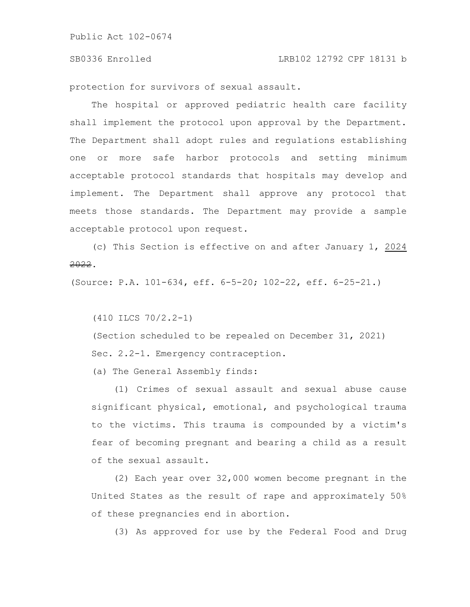protection for survivors of sexual assault.

The hospital or approved pediatric health care facility shall implement the protocol upon approval by the Department. The Department shall adopt rules and regulations establishing one or more safe harbor protocols and setting minimum acceptable protocol standards that hospitals may develop and implement. The Department shall approve any protocol that meets those standards. The Department may provide a sample acceptable protocol upon request.

(c) This Section is effective on and after January 1, 2024 2022.

(Source: P.A. 101-634, eff. 6-5-20; 102-22, eff. 6-25-21.)

(410 ILCS 70/2.2-1)

(Section scheduled to be repealed on December 31, 2021) Sec. 2.2-1. Emergency contraception.

(a) The General Assembly finds:

(1) Crimes of sexual assault and sexual abuse cause significant physical, emotional, and psychological trauma to the victims. This trauma is compounded by a victim's fear of becoming pregnant and bearing a child as a result of the sexual assault.

(2) Each year over 32,000 women become pregnant in the United States as the result of rape and approximately 50% of these pregnancies end in abortion.

(3) As approved for use by the Federal Food and Drug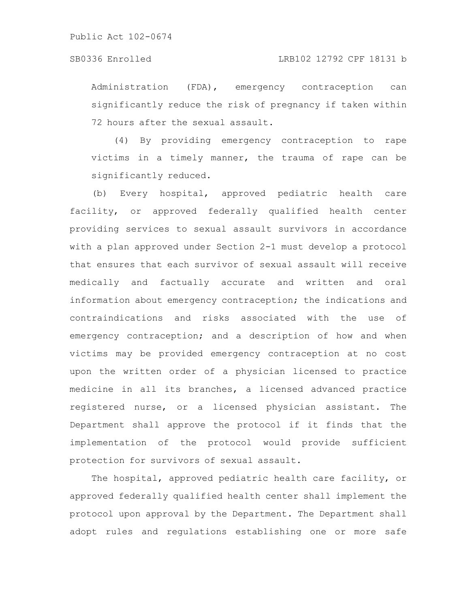### SB0336 Enrolled LRB102 12792 CPF 18131 b

Administration (FDA), emergency contraception can significantly reduce the risk of pregnancy if taken within 72 hours after the sexual assault.

(4) By providing emergency contraception to rape victims in a timely manner, the trauma of rape can be significantly reduced.

(b) Every hospital, approved pediatric health care facility, or approved federally qualified health center providing services to sexual assault survivors in accordance with a plan approved under Section 2-1 must develop a protocol that ensures that each survivor of sexual assault will receive medically and factually accurate and written and oral information about emergency contraception; the indications and contraindications and risks associated with the use of emergency contraception; and a description of how and when victims may be provided emergency contraception at no cost upon the written order of a physician licensed to practice medicine in all its branches, a licensed advanced practice registered nurse, or a licensed physician assistant. The Department shall approve the protocol if it finds that the implementation of the protocol would provide sufficient protection for survivors of sexual assault.

The hospital, approved pediatric health care facility, or approved federally qualified health center shall implement the protocol upon approval by the Department. The Department shall adopt rules and regulations establishing one or more safe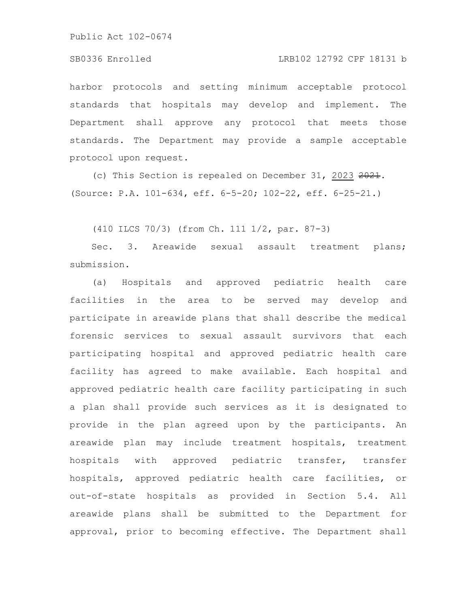# SB0336 Enrolled LRB102 12792 CPF 18131 b

harbor protocols and setting minimum acceptable protocol standards that hospitals may develop and implement. The Department shall approve any protocol that meets those standards. The Department may provide a sample acceptable protocol upon request.

(c) This Section is repealed on December 31, 2023 2021. (Source: P.A. 101-634, eff. 6-5-20; 102-22, eff. 6-25-21.)

(410 ILCS 70/3) (from Ch. 111 1/2, par. 87-3)

Sec. 3. Areawide sexual assault treatment plans; submission.

(a) Hospitals and approved pediatric health care facilities in the area to be served may develop and participate in areawide plans that shall describe the medical forensic services to sexual assault survivors that each participating hospital and approved pediatric health care facility has agreed to make available. Each hospital and approved pediatric health care facility participating in such a plan shall provide such services as it is designated to provide in the plan agreed upon by the participants. An areawide plan may include treatment hospitals, treatment hospitals with approved pediatric transfer, transfer hospitals, approved pediatric health care facilities, or out-of-state hospitals as provided in Section 5.4. All areawide plans shall be submitted to the Department for approval, prior to becoming effective. The Department shall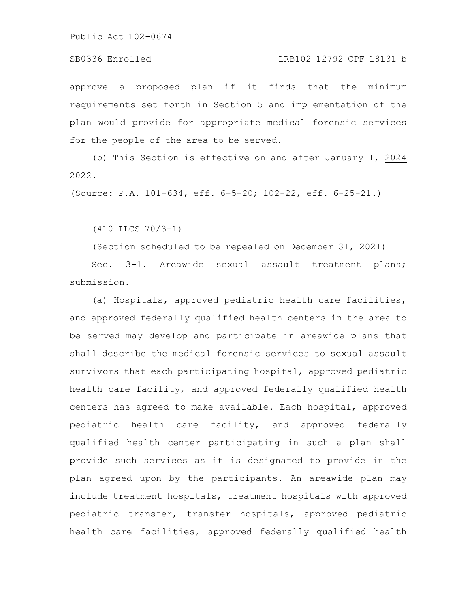### SB0336 Enrolled LRB102 12792 CPF 18131 b

approve a proposed plan if it finds that the minimum requirements set forth in Section 5 and implementation of the plan would provide for appropriate medical forensic services for the people of the area to be served.

(b) This Section is effective on and after January 1, 2024 2022.

(Source: P.A. 101-634, eff. 6-5-20; 102-22, eff. 6-25-21.)

(410 ILCS 70/3-1)

(Section scheduled to be repealed on December 31, 2021)

Sec. 3-1. Areawide sexual assault treatment plans; submission.

(a) Hospitals, approved pediatric health care facilities, and approved federally qualified health centers in the area to be served may develop and participate in areawide plans that shall describe the medical forensic services to sexual assault survivors that each participating hospital, approved pediatric health care facility, and approved federally qualified health centers has agreed to make available. Each hospital, approved pediatric health care facility, and approved federally qualified health center participating in such a plan shall provide such services as it is designated to provide in the plan agreed upon by the participants. An areawide plan may include treatment hospitals, treatment hospitals with approved pediatric transfer, transfer hospitals, approved pediatric health care facilities, approved federally qualified health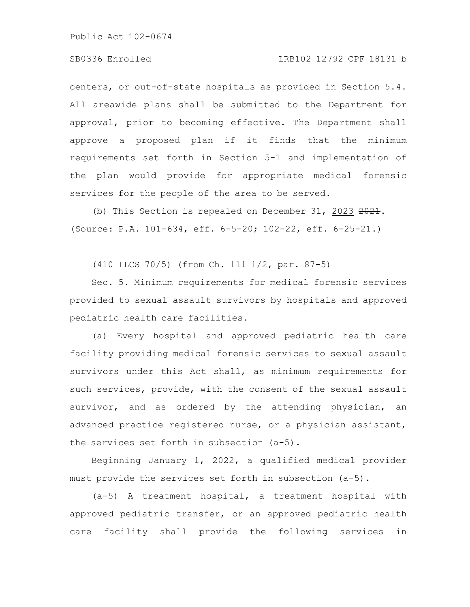# SB0336 Enrolled LRB102 12792 CPF 18131 b

centers, or out-of-state hospitals as provided in Section 5.4. All areawide plans shall be submitted to the Department for approval, prior to becoming effective. The Department shall approve a proposed plan if it finds that the minimum requirements set forth in Section 5-1 and implementation of the plan would provide for appropriate medical forensic services for the people of the area to be served.

(b) This Section is repealed on December 31, 2023 2021. (Source: P.A. 101-634, eff. 6-5-20; 102-22, eff. 6-25-21.)

(410 ILCS 70/5) (from Ch. 111 1/2, par. 87-5)

Sec. 5. Minimum requirements for medical forensic services provided to sexual assault survivors by hospitals and approved pediatric health care facilities.

(a) Every hospital and approved pediatric health care facility providing medical forensic services to sexual assault survivors under this Act shall, as minimum requirements for such services, provide, with the consent of the sexual assault survivor, and as ordered by the attending physician, an advanced practice registered nurse, or a physician assistant, the services set forth in subsection (a-5).

Beginning January 1, 2022, a qualified medical provider must provide the services set forth in subsection (a-5).

(a-5) A treatment hospital, a treatment hospital with approved pediatric transfer, or an approved pediatric health care facility shall provide the following services in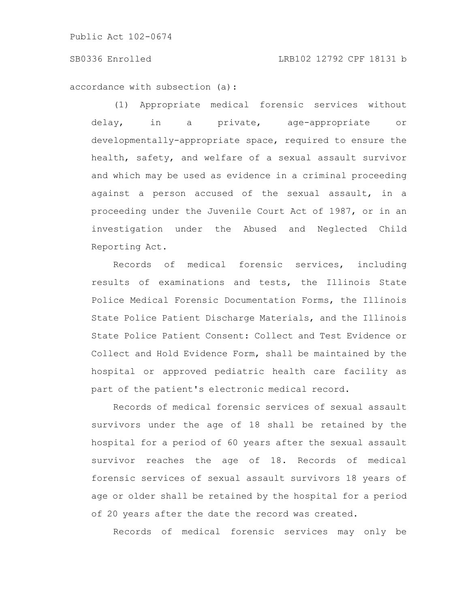### SB0336 Enrolled LRB102 12792 CPF 18131 b

accordance with subsection (a):

(1) Appropriate medical forensic services without delay, in a private, age-appropriate or developmentally-appropriate space, required to ensure the health, safety, and welfare of a sexual assault survivor and which may be used as evidence in a criminal proceeding against a person accused of the sexual assault, in a proceeding under the Juvenile Court Act of 1987, or in an investigation under the Abused and Neglected Child Reporting Act.

Records of medical forensic services, including results of examinations and tests, the Illinois State Police Medical Forensic Documentation Forms, the Illinois State Police Patient Discharge Materials, and the Illinois State Police Patient Consent: Collect and Test Evidence or Collect and Hold Evidence Form, shall be maintained by the hospital or approved pediatric health care facility as part of the patient's electronic medical record.

Records of medical forensic services of sexual assault survivors under the age of 18 shall be retained by the hospital for a period of 60 years after the sexual assault survivor reaches the age of 18. Records of medical forensic services of sexual assault survivors 18 years of age or older shall be retained by the hospital for a period of 20 years after the date the record was created.

Records of medical forensic services may only be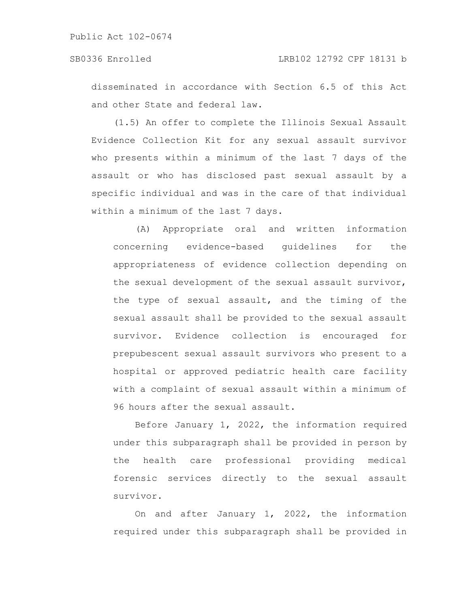disseminated in accordance with Section 6.5 of this Act and other State and federal law.

(1.5) An offer to complete the Illinois Sexual Assault Evidence Collection Kit for any sexual assault survivor who presents within a minimum of the last 7 days of the assault or who has disclosed past sexual assault by a specific individual and was in the care of that individual within a minimum of the last 7 days.

(A) Appropriate oral and written information concerning evidence-based guidelines for the appropriateness of evidence collection depending on the sexual development of the sexual assault survivor, the type of sexual assault, and the timing of the sexual assault shall be provided to the sexual assault survivor. Evidence collection is encouraged for prepubescent sexual assault survivors who present to a hospital or approved pediatric health care facility with a complaint of sexual assault within a minimum of 96 hours after the sexual assault.

Before January 1, 2022, the information required under this subparagraph shall be provided in person by the health care professional providing medical forensic services directly to the sexual assault survivor.

On and after January 1, 2022, the information required under this subparagraph shall be provided in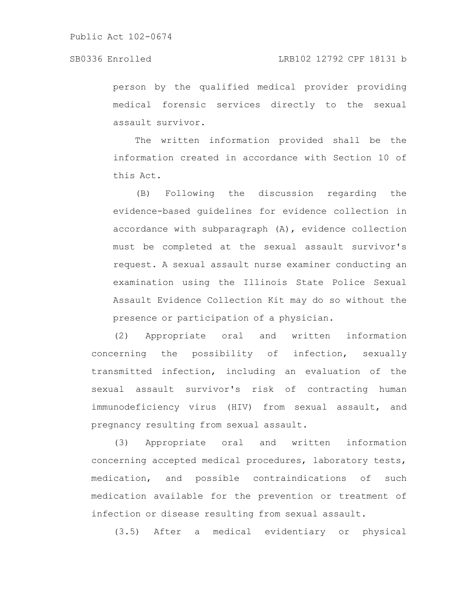### SB0336 Enrolled LRB102 12792 CPF 18131 b

person by the qualified medical provider providing medical forensic services directly to the sexual assault survivor.

The written information provided shall be the information created in accordance with Section 10 of this Act.

(B) Following the discussion regarding the evidence-based guidelines for evidence collection in accordance with subparagraph (A), evidence collection must be completed at the sexual assault survivor's request. A sexual assault nurse examiner conducting an examination using the Illinois State Police Sexual Assault Evidence Collection Kit may do so without the presence or participation of a physician.

(2) Appropriate oral and written information concerning the possibility of infection, sexually transmitted infection, including an evaluation of the sexual assault survivor's risk of contracting human immunodeficiency virus (HIV) from sexual assault, and pregnancy resulting from sexual assault.

(3) Appropriate oral and written information concerning accepted medical procedures, laboratory tests, medication, and possible contraindications of such medication available for the prevention or treatment of infection or disease resulting from sexual assault.

(3.5) After a medical evidentiary or physical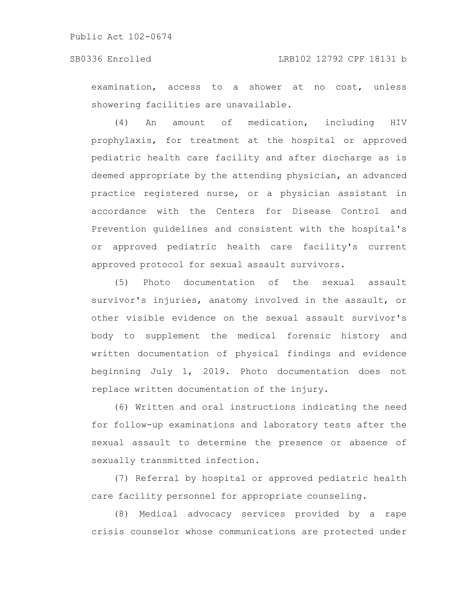### SB0336 Enrolled LRB102 12792 CPF 18131 b

examination, access to a shower at no cost, unless showering facilities are unavailable.

(4) An amount of medication, including HIV prophylaxis, for treatment at the hospital or approved pediatric health care facility and after discharge as is deemed appropriate by the attending physician, an advanced practice registered nurse, or a physician assistant in accordance with the Centers for Disease Control and Prevention guidelines and consistent with the hospital's or approved pediatric health care facility's current approved protocol for sexual assault survivors.

(5) Photo documentation of the sexual assault survivor's injuries, anatomy involved in the assault, or other visible evidence on the sexual assault survivor's body to supplement the medical forensic history and written documentation of physical findings and evidence beginning July 1, 2019. Photo documentation does not replace written documentation of the injury.

(6) Written and oral instructions indicating the need for follow-up examinations and laboratory tests after the sexual assault to determine the presence or absence of sexually transmitted infection.

(7) Referral by hospital or approved pediatric health care facility personnel for appropriate counseling.

(8) Medical advocacy services provided by a rape crisis counselor whose communications are protected under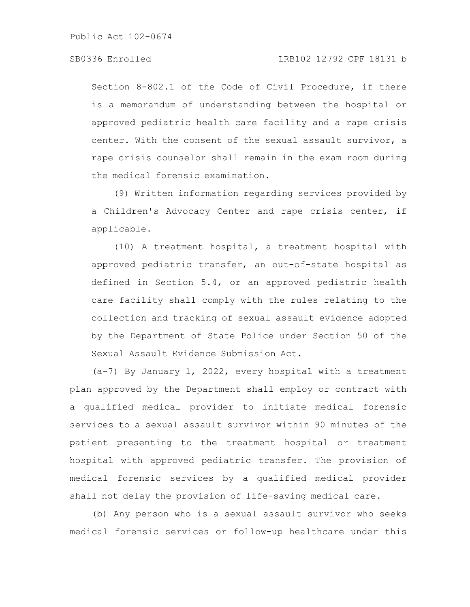### SB0336 Enrolled LRB102 12792 CPF 18131 b

Section 8-802.1 of the Code of Civil Procedure, if there is a memorandum of understanding between the hospital or approved pediatric health care facility and a rape crisis center. With the consent of the sexual assault survivor, a rape crisis counselor shall remain in the exam room during the medical forensic examination.

(9) Written information regarding services provided by a Children's Advocacy Center and rape crisis center, if applicable.

(10) A treatment hospital, a treatment hospital with approved pediatric transfer, an out-of-state hospital as defined in Section 5.4, or an approved pediatric health care facility shall comply with the rules relating to the collection and tracking of sexual assault evidence adopted by the Department of State Police under Section 50 of the Sexual Assault Evidence Submission Act.

(a-7) By January 1, 2022, every hospital with a treatment plan approved by the Department shall employ or contract with a qualified medical provider to initiate medical forensic services to a sexual assault survivor within 90 minutes of the patient presenting to the treatment hospital or treatment hospital with approved pediatric transfer. The provision of medical forensic services by a qualified medical provider shall not delay the provision of life-saving medical care.

(b) Any person who is a sexual assault survivor who seeks medical forensic services or follow-up healthcare under this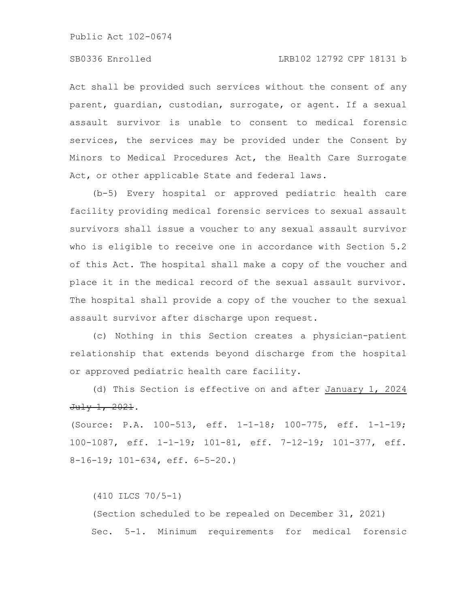Act shall be provided such services without the consent of any parent, guardian, custodian, surrogate, or agent. If a sexual assault survivor is unable to consent to medical forensic services, the services may be provided under the Consent by Minors to Medical Procedures Act, the Health Care Surrogate Act, or other applicable State and federal laws.

(b-5) Every hospital or approved pediatric health care facility providing medical forensic services to sexual assault survivors shall issue a voucher to any sexual assault survivor who is eligible to receive one in accordance with Section 5.2 of this Act. The hospital shall make a copy of the voucher and place it in the medical record of the sexual assault survivor. The hospital shall provide a copy of the voucher to the sexual assault survivor after discharge upon request.

(c) Nothing in this Section creates a physician-patient relationship that extends beyond discharge from the hospital or approved pediatric health care facility.

(d) This Section is effective on and after January 1, 2024 July 1, 2021.

(Source: P.A. 100-513, eff. 1-1-18; 100-775, eff. 1-1-19; 100-1087, eff. 1-1-19; 101-81, eff. 7-12-19; 101-377, eff. 8-16-19; 101-634, eff. 6-5-20.)

(410 ILCS 70/5-1)

(Section scheduled to be repealed on December 31, 2021) Sec. 5-1. Minimum requirements for medical forensic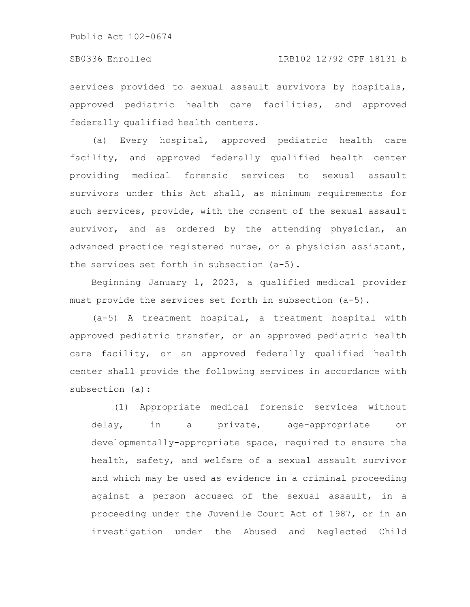services provided to sexual assault survivors by hospitals, approved pediatric health care facilities, and approved federally qualified health centers.

(a) Every hospital, approved pediatric health care facility, and approved federally qualified health center providing medical forensic services to sexual assault survivors under this Act shall, as minimum requirements for such services, provide, with the consent of the sexual assault survivor, and as ordered by the attending physician, an advanced practice registered nurse, or a physician assistant, the services set forth in subsection (a-5).

Beginning January 1, 2023, a qualified medical provider must provide the services set forth in subsection (a-5).

(a-5) A treatment hospital, a treatment hospital with approved pediatric transfer, or an approved pediatric health care facility, or an approved federally qualified health center shall provide the following services in accordance with subsection (a):

(1) Appropriate medical forensic services without delay, in a private, age-appropriate or developmentally-appropriate space, required to ensure the health, safety, and welfare of a sexual assault survivor and which may be used as evidence in a criminal proceeding against a person accused of the sexual assault, in a proceeding under the Juvenile Court Act of 1987, or in an investigation under the Abused and Neglected Child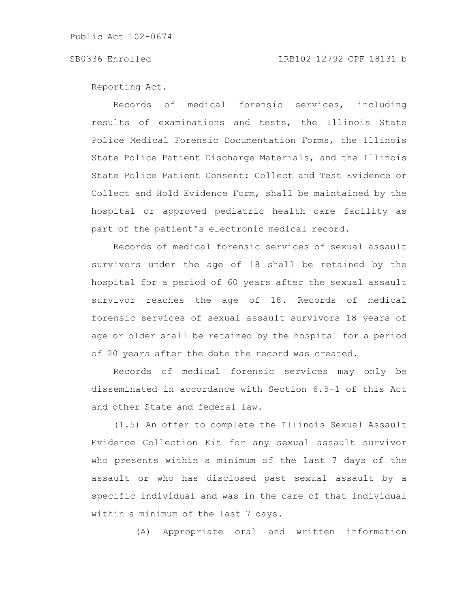Reporting Act.

Records of medical forensic services, including results of examinations and tests, the Illinois State Police Medical Forensic Documentation Forms, the Illinois State Police Patient Discharge Materials, and the Illinois State Police Patient Consent: Collect and Test Evidence or Collect and Hold Evidence Form, shall be maintained by the hospital or approved pediatric health care facility as part of the patient's electronic medical record.

Records of medical forensic services of sexual assault survivors under the age of 18 shall be retained by the hospital for a period of 60 years after the sexual assault survivor reaches the age of 18. Records of medical forensic services of sexual assault survivors 18 years of age or older shall be retained by the hospital for a period of 20 years after the date the record was created.

Records of medical forensic services may only be disseminated in accordance with Section 6.5-1 of this Act and other State and federal law.

(1.5) An offer to complete the Illinois Sexual Assault Evidence Collection Kit for any sexual assault survivor who presents within a minimum of the last 7 days of the assault or who has disclosed past sexual assault by a specific individual and was in the care of that individual within a minimum of the last 7 days.

(A) Appropriate oral and written information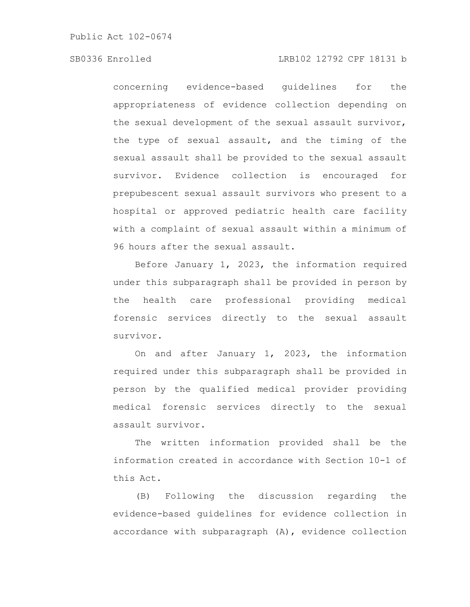# SB0336 Enrolled LRB102 12792 CPF 18131 b

concerning evidence-based guidelines for the appropriateness of evidence collection depending on the sexual development of the sexual assault survivor, the type of sexual assault, and the timing of the sexual assault shall be provided to the sexual assault survivor. Evidence collection is encouraged for prepubescent sexual assault survivors who present to a hospital or approved pediatric health care facility with a complaint of sexual assault within a minimum of 96 hours after the sexual assault.

Before January 1, 2023, the information required under this subparagraph shall be provided in person by the health care professional providing medical forensic services directly to the sexual assault survivor.

On and after January 1, 2023, the information required under this subparagraph shall be provided in person by the qualified medical provider providing medical forensic services directly to the sexual assault survivor.

The written information provided shall be the information created in accordance with Section 10-1 of this Act.

(B) Following the discussion regarding the evidence-based guidelines for evidence collection in accordance with subparagraph (A), evidence collection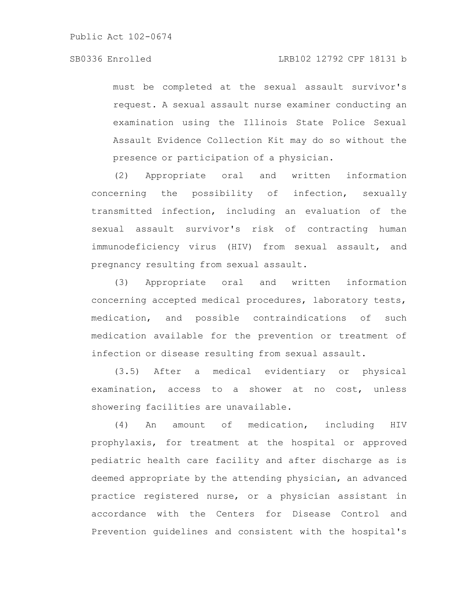must be completed at the sexual assault survivor's request. A sexual assault nurse examiner conducting an examination using the Illinois State Police Sexual Assault Evidence Collection Kit may do so without the presence or participation of a physician.

(2) Appropriate oral and written information concerning the possibility of infection, sexually transmitted infection, including an evaluation of the sexual assault survivor's risk of contracting human immunodeficiency virus (HIV) from sexual assault, and pregnancy resulting from sexual assault.

(3) Appropriate oral and written information concerning accepted medical procedures, laboratory tests, medication, and possible contraindications of such medication available for the prevention or treatment of infection or disease resulting from sexual assault.

(3.5) After a medical evidentiary or physical examination, access to a shower at no cost, unless showering facilities are unavailable.

(4) An amount of medication, including HIV prophylaxis, for treatment at the hospital or approved pediatric health care facility and after discharge as is deemed appropriate by the attending physician, an advanced practice registered nurse, or a physician assistant in accordance with the Centers for Disease Control and Prevention guidelines and consistent with the hospital's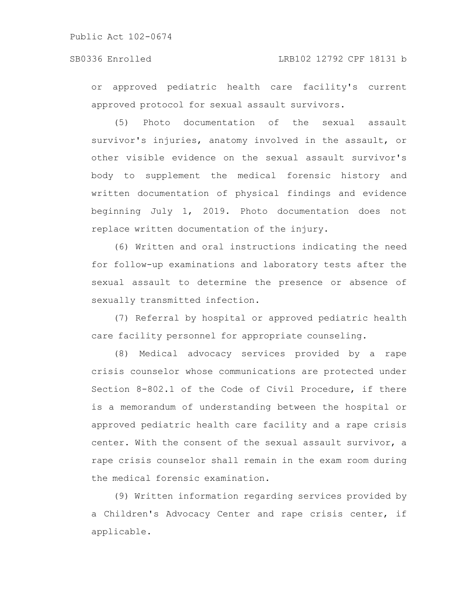# SB0336 Enrolled LRB102 12792 CPF 18131 b

or approved pediatric health care facility's current approved protocol for sexual assault survivors.

(5) Photo documentation of the sexual assault survivor's injuries, anatomy involved in the assault, or other visible evidence on the sexual assault survivor's body to supplement the medical forensic history and written documentation of physical findings and evidence beginning July 1, 2019. Photo documentation does not replace written documentation of the injury.

(6) Written and oral instructions indicating the need for follow-up examinations and laboratory tests after the sexual assault to determine the presence or absence of sexually transmitted infection.

(7) Referral by hospital or approved pediatric health care facility personnel for appropriate counseling.

(8) Medical advocacy services provided by a rape crisis counselor whose communications are protected under Section 8-802.1 of the Code of Civil Procedure, if there is a memorandum of understanding between the hospital or approved pediatric health care facility and a rape crisis center. With the consent of the sexual assault survivor, a rape crisis counselor shall remain in the exam room during the medical forensic examination.

(9) Written information regarding services provided by a Children's Advocacy Center and rape crisis center, if applicable.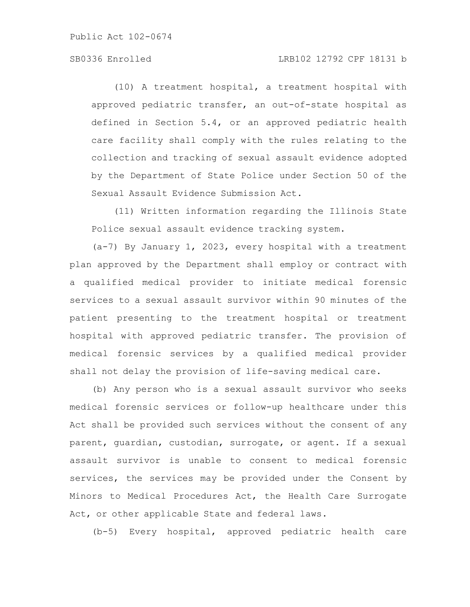# SB0336 Enrolled LRB102 12792 CPF 18131 b

(10) A treatment hospital, a treatment hospital with approved pediatric transfer, an out-of-state hospital as defined in Section 5.4, or an approved pediatric health care facility shall comply with the rules relating to the collection and tracking of sexual assault evidence adopted by the Department of State Police under Section 50 of the Sexual Assault Evidence Submission Act.

(11) Written information regarding the Illinois State Police sexual assault evidence tracking system.

(a-7) By January 1, 2023, every hospital with a treatment plan approved by the Department shall employ or contract with a qualified medical provider to initiate medical forensic services to a sexual assault survivor within 90 minutes of the patient presenting to the treatment hospital or treatment hospital with approved pediatric transfer. The provision of medical forensic services by a qualified medical provider shall not delay the provision of life-saving medical care.

(b) Any person who is a sexual assault survivor who seeks medical forensic services or follow-up healthcare under this Act shall be provided such services without the consent of any parent, guardian, custodian, surrogate, or agent. If a sexual assault survivor is unable to consent to medical forensic services, the services may be provided under the Consent by Minors to Medical Procedures Act, the Health Care Surrogate Act, or other applicable State and federal laws.

(b-5) Every hospital, approved pediatric health care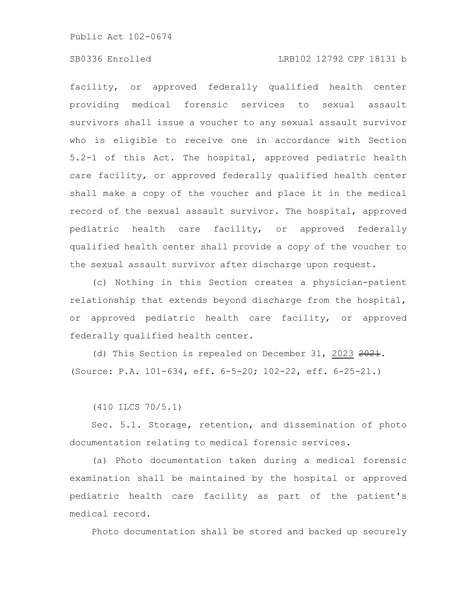# SB0336 Enrolled LRB102 12792 CPF 18131 b

facility, or approved federally qualified health center providing medical forensic services to sexual assault survivors shall issue a voucher to any sexual assault survivor who is eligible to receive one in accordance with Section 5.2-1 of this Act. The hospital, approved pediatric health care facility, or approved federally qualified health center shall make a copy of the voucher and place it in the medical record of the sexual assault survivor. The hospital, approved pediatric health care facility, or approved federally qualified health center shall provide a copy of the voucher to the sexual assault survivor after discharge upon request.

(c) Nothing in this Section creates a physician-patient relationship that extends beyond discharge from the hospital, or approved pediatric health care facility, or approved federally qualified health center.

(d) This Section is repealed on December 31, 2023 2021. (Source: P.A. 101-634, eff. 6-5-20; 102-22, eff. 6-25-21.)

(410 ILCS 70/5.1)

Sec. 5.1. Storage, retention, and dissemination of photo documentation relating to medical forensic services.

(a) Photo documentation taken during a medical forensic examination shall be maintained by the hospital or approved pediatric health care facility as part of the patient's medical record.

Photo documentation shall be stored and backed up securely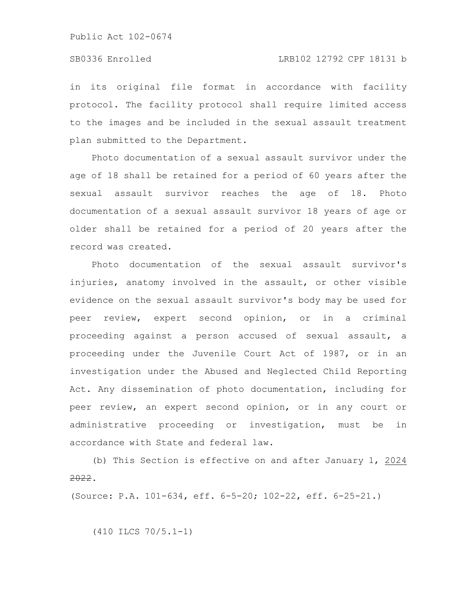in its original file format in accordance with facility protocol. The facility protocol shall require limited access to the images and be included in the sexual assault treatment plan submitted to the Department.

Photo documentation of a sexual assault survivor under the age of 18 shall be retained for a period of 60 years after the sexual assault survivor reaches the age of 18. Photo documentation of a sexual assault survivor 18 years of age or older shall be retained for a period of 20 years after the record was created.

Photo documentation of the sexual assault survivor's injuries, anatomy involved in the assault, or other visible evidence on the sexual assault survivor's body may be used for peer review, expert second opinion, or in a criminal proceeding against a person accused of sexual assault, a proceeding under the Juvenile Court Act of 1987, or in an investigation under the Abused and Neglected Child Reporting Act. Any dissemination of photo documentation, including for peer review, an expert second opinion, or in any court or administrative proceeding or investigation, must be in accordance with State and federal law.

(b) This Section is effective on and after January 1, 2024 2022.

(Source: P.A. 101-634, eff. 6-5-20; 102-22, eff. 6-25-21.)

(410 ILCS 70/5.1-1)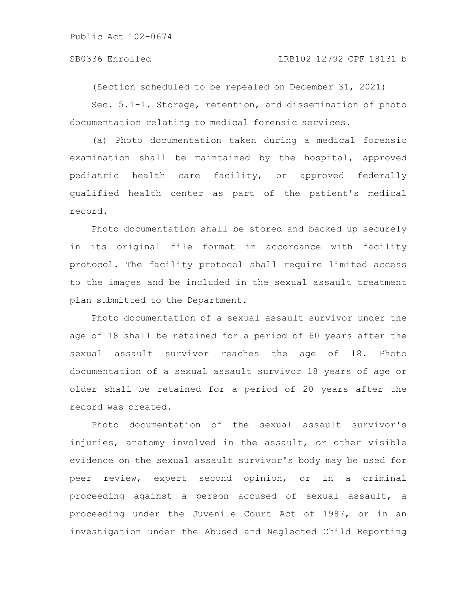### SB0336 Enrolled LRB102 12792 CPF 18131 b

(Section scheduled to be repealed on December 31, 2021)

Sec. 5.1-1. Storage, retention, and dissemination of photo documentation relating to medical forensic services.

(a) Photo documentation taken during a medical forensic examination shall be maintained by the hospital, approved pediatric health care facility, or approved federally qualified health center as part of the patient's medical record.

Photo documentation shall be stored and backed up securely in its original file format in accordance with facility protocol. The facility protocol shall require limited access to the images and be included in the sexual assault treatment plan submitted to the Department.

Photo documentation of a sexual assault survivor under the age of 18 shall be retained for a period of 60 years after the sexual assault survivor reaches the age of 18. Photo documentation of a sexual assault survivor 18 years of age or older shall be retained for a period of 20 years after the record was created.

Photo documentation of the sexual assault survivor's injuries, anatomy involved in the assault, or other visible evidence on the sexual assault survivor's body may be used for peer review, expert second opinion, or in a criminal proceeding against a person accused of sexual assault, a proceeding under the Juvenile Court Act of 1987, or in an investigation under the Abused and Neglected Child Reporting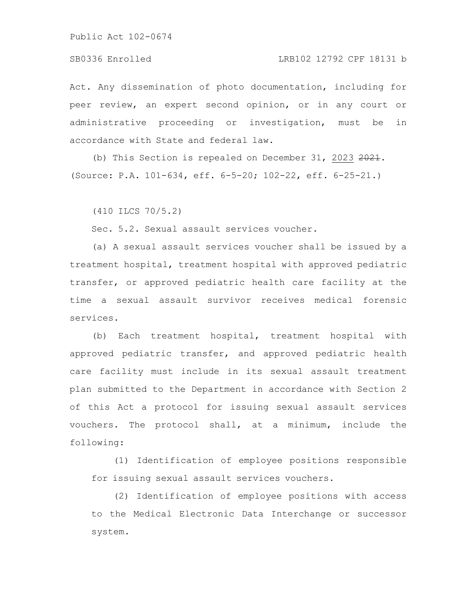Act. Any dissemination of photo documentation, including for peer review, an expert second opinion, or in any court or administrative proceeding or investigation, must be in accordance with State and federal law.

(b) This Section is repealed on December 31, 2023  $2021$ . (Source: P.A. 101-634, eff. 6-5-20; 102-22, eff. 6-25-21.)

(410 ILCS 70/5.2)

Sec. 5.2. Sexual assault services voucher.

(a) A sexual assault services voucher shall be issued by a treatment hospital, treatment hospital with approved pediatric transfer, or approved pediatric health care facility at the time a sexual assault survivor receives medical forensic services.

(b) Each treatment hospital, treatment hospital with approved pediatric transfer, and approved pediatric health care facility must include in its sexual assault treatment plan submitted to the Department in accordance with Section 2 of this Act a protocol for issuing sexual assault services vouchers. The protocol shall, at a minimum, include the following:

(1) Identification of employee positions responsible for issuing sexual assault services vouchers.

(2) Identification of employee positions with access to the Medical Electronic Data Interchange or successor system.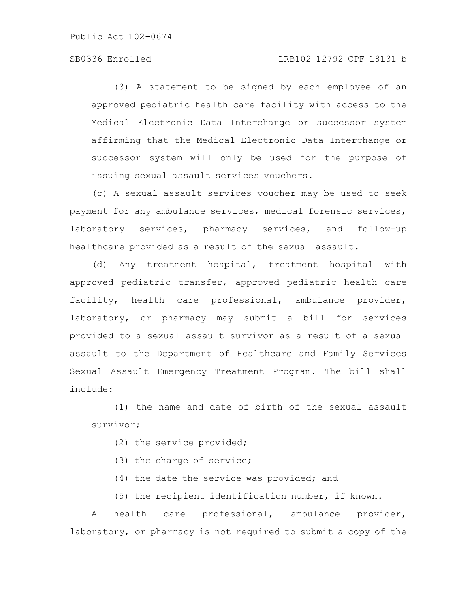# SB0336 Enrolled LRB102 12792 CPF 18131 b

(3) A statement to be signed by each employee of an approved pediatric health care facility with access to the Medical Electronic Data Interchange or successor system affirming that the Medical Electronic Data Interchange or successor system will only be used for the purpose of issuing sexual assault services vouchers.

(c) A sexual assault services voucher may be used to seek payment for any ambulance services, medical forensic services, laboratory services, pharmacy services, and follow-up healthcare provided as a result of the sexual assault.

(d) Any treatment hospital, treatment hospital with approved pediatric transfer, approved pediatric health care facility, health care professional, ambulance provider, laboratory, or pharmacy may submit a bill for services provided to a sexual assault survivor as a result of a sexual assault to the Department of Healthcare and Family Services Sexual Assault Emergency Treatment Program. The bill shall include:

(1) the name and date of birth of the sexual assault survivor;

- (2) the service provided;
- (3) the charge of service;
- (4) the date the service was provided; and
- (5) the recipient identification number, if known.

A health care professional, ambulance provider, laboratory, or pharmacy is not required to submit a copy of the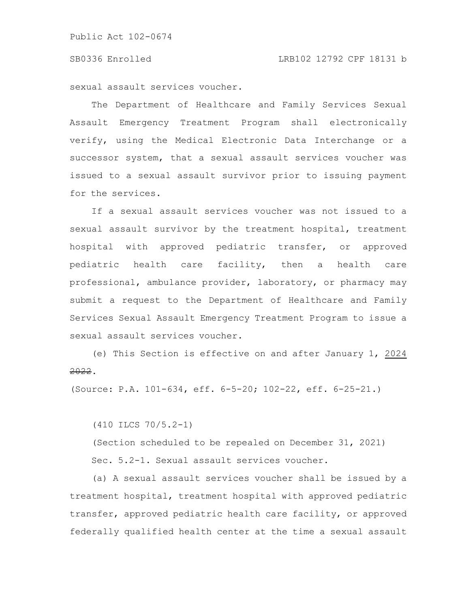sexual assault services voucher.

The Department of Healthcare and Family Services Sexual Assault Emergency Treatment Program shall electronically verify, using the Medical Electronic Data Interchange or a successor system, that a sexual assault services voucher was issued to a sexual assault survivor prior to issuing payment for the services.

If a sexual assault services voucher was not issued to a sexual assault survivor by the treatment hospital, treatment hospital with approved pediatric transfer, or approved pediatric health care facility, then a health care professional, ambulance provider, laboratory, or pharmacy may submit a request to the Department of Healthcare and Family Services Sexual Assault Emergency Treatment Program to issue a sexual assault services voucher.

(e) This Section is effective on and after January 1, 2024 2022.

(Source: P.A. 101-634, eff. 6-5-20; 102-22, eff. 6-25-21.)

(410 ILCS 70/5.2-1)

(Section scheduled to be repealed on December 31, 2021)

Sec. 5.2-1. Sexual assault services voucher.

(a) A sexual assault services voucher shall be issued by a treatment hospital, treatment hospital with approved pediatric transfer, approved pediatric health care facility, or approved federally qualified health center at the time a sexual assault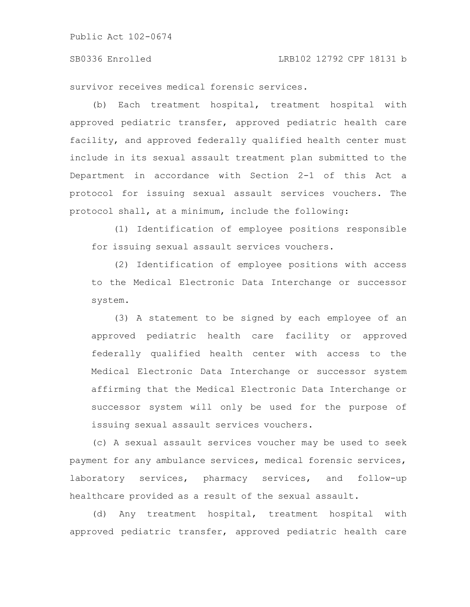#### SB0336 Enrolled LRB102 12792 CPF 18131 b

survivor receives medical forensic services.

(b) Each treatment hospital, treatment hospital with approved pediatric transfer, approved pediatric health care facility, and approved federally qualified health center must include in its sexual assault treatment plan submitted to the Department in accordance with Section 2-1 of this Act a protocol for issuing sexual assault services vouchers. The protocol shall, at a minimum, include the following:

(1) Identification of employee positions responsible for issuing sexual assault services vouchers.

(2) Identification of employee positions with access to the Medical Electronic Data Interchange or successor system.

(3) A statement to be signed by each employee of an approved pediatric health care facility or approved federally qualified health center with access to the Medical Electronic Data Interchange or successor system affirming that the Medical Electronic Data Interchange or successor system will only be used for the purpose of issuing sexual assault services vouchers.

(c) A sexual assault services voucher may be used to seek payment for any ambulance services, medical forensic services, laboratory services, pharmacy services, and follow-up healthcare provided as a result of the sexual assault.

(d) Any treatment hospital, treatment hospital with approved pediatric transfer, approved pediatric health care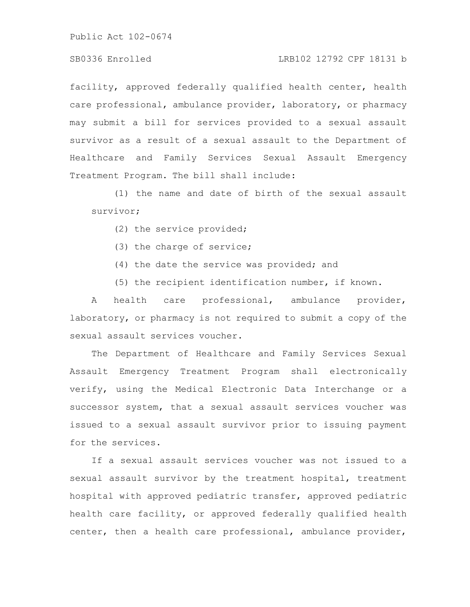# SB0336 Enrolled LRB102 12792 CPF 18131 b

facility, approved federally qualified health center, health care professional, ambulance provider, laboratory, or pharmacy may submit a bill for services provided to a sexual assault survivor as a result of a sexual assault to the Department of Healthcare and Family Services Sexual Assault Emergency Treatment Program. The bill shall include:

(1) the name and date of birth of the sexual assault survivor;

- (2) the service provided;
- (3) the charge of service;
- (4) the date the service was provided; and
- (5) the recipient identification number, if known.

A health care professional, ambulance provider, laboratory, or pharmacy is not required to submit a copy of the sexual assault services voucher.

The Department of Healthcare and Family Services Sexual Assault Emergency Treatment Program shall electronically verify, using the Medical Electronic Data Interchange or a successor system, that a sexual assault services voucher was issued to a sexual assault survivor prior to issuing payment for the services.

If a sexual assault services voucher was not issued to a sexual assault survivor by the treatment hospital, treatment hospital with approved pediatric transfer, approved pediatric health care facility, or approved federally qualified health center, then a health care professional, ambulance provider,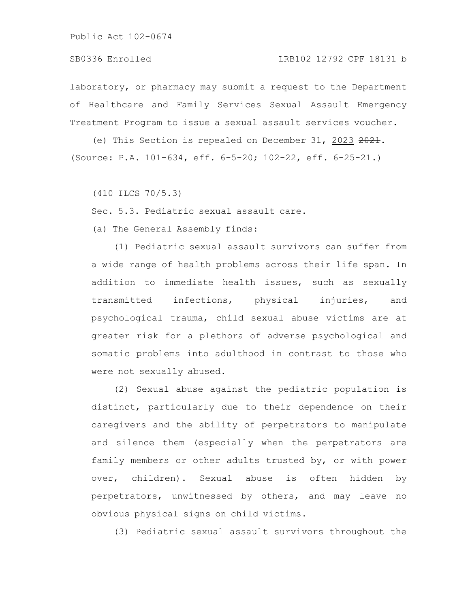### SB0336 Enrolled LRB102 12792 CPF 18131 b

laboratory, or pharmacy may submit a request to the Department of Healthcare and Family Services Sexual Assault Emergency Treatment Program to issue a sexual assault services voucher.

(e) This Section is repealed on December 31, 2023 2021. (Source: P.A. 101-634, eff. 6-5-20; 102-22, eff. 6-25-21.)

(410 ILCS 70/5.3)

Sec. 5.3. Pediatric sexual assault care.

(a) The General Assembly finds:

(1) Pediatric sexual assault survivors can suffer from a wide range of health problems across their life span. In addition to immediate health issues, such as sexually transmitted infections, physical injuries, and psychological trauma, child sexual abuse victims are at greater risk for a plethora of adverse psychological and somatic problems into adulthood in contrast to those who were not sexually abused.

(2) Sexual abuse against the pediatric population is distinct, particularly due to their dependence on their caregivers and the ability of perpetrators to manipulate and silence them (especially when the perpetrators are family members or other adults trusted by, or with power over, children). Sexual abuse is often hidden by perpetrators, unwitnessed by others, and may leave no obvious physical signs on child victims.

(3) Pediatric sexual assault survivors throughout the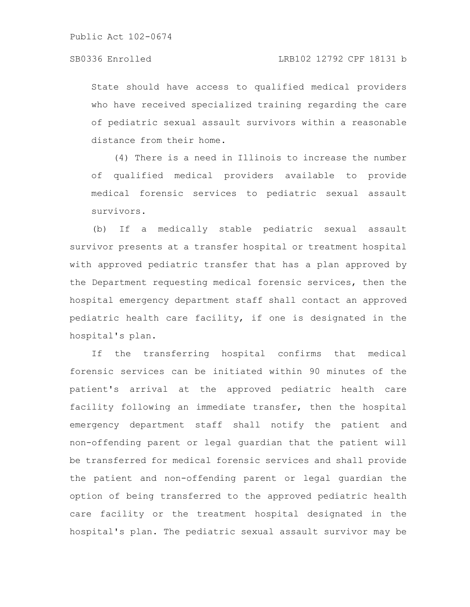State should have access to qualified medical providers who have received specialized training regarding the care of pediatric sexual assault survivors within a reasonable distance from their home.

(4) There is a need in Illinois to increase the number of qualified medical providers available to provide medical forensic services to pediatric sexual assault survivors.

(b) If a medically stable pediatric sexual assault survivor presents at a transfer hospital or treatment hospital with approved pediatric transfer that has a plan approved by the Department requesting medical forensic services, then the hospital emergency department staff shall contact an approved pediatric health care facility, if one is designated in the hospital's plan.

If the transferring hospital confirms that medical forensic services can be initiated within 90 minutes of the patient's arrival at the approved pediatric health care facility following an immediate transfer, then the hospital emergency department staff shall notify the patient and non-offending parent or legal guardian that the patient will be transferred for medical forensic services and shall provide the patient and non-offending parent or legal guardian the option of being transferred to the approved pediatric health care facility or the treatment hospital designated in the hospital's plan. The pediatric sexual assault survivor may be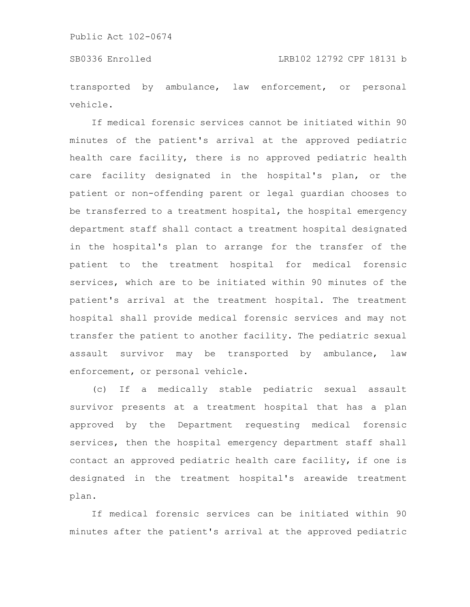transported by ambulance, law enforcement, or personal vehicle.

If medical forensic services cannot be initiated within 90 minutes of the patient's arrival at the approved pediatric health care facility, there is no approved pediatric health care facility designated in the hospital's plan, or the patient or non-offending parent or legal guardian chooses to be transferred to a treatment hospital, the hospital emergency department staff shall contact a treatment hospital designated in the hospital's plan to arrange for the transfer of the patient to the treatment hospital for medical forensic services, which are to be initiated within 90 minutes of the patient's arrival at the treatment hospital. The treatment hospital shall provide medical forensic services and may not transfer the patient to another facility. The pediatric sexual assault survivor may be transported by ambulance, law enforcement, or personal vehicle.

(c) If a medically stable pediatric sexual assault survivor presents at a treatment hospital that has a plan approved by the Department requesting medical forensic services, then the hospital emergency department staff shall contact an approved pediatric health care facility, if one is designated in the treatment hospital's areawide treatment plan.

If medical forensic services can be initiated within 90 minutes after the patient's arrival at the approved pediatric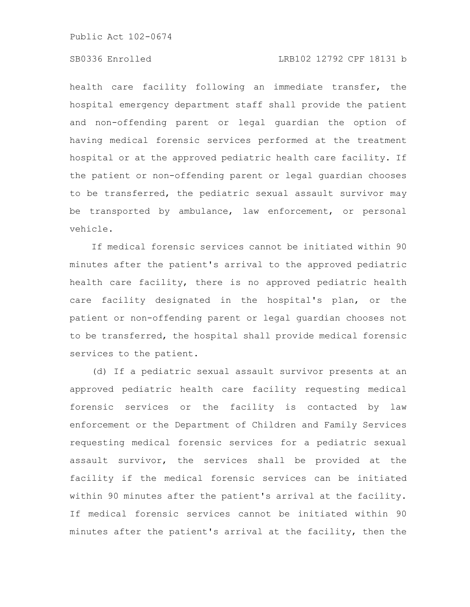# SB0336 Enrolled LRB102 12792 CPF 18131 b

health care facility following an immediate transfer, the hospital emergency department staff shall provide the patient and non-offending parent or legal guardian the option of having medical forensic services performed at the treatment hospital or at the approved pediatric health care facility. If the patient or non-offending parent or legal guardian chooses to be transferred, the pediatric sexual assault survivor may be transported by ambulance, law enforcement, or personal vehicle.

If medical forensic services cannot be initiated within 90 minutes after the patient's arrival to the approved pediatric health care facility, there is no approved pediatric health care facility designated in the hospital's plan, or the patient or non-offending parent or legal guardian chooses not to be transferred, the hospital shall provide medical forensic services to the patient.

(d) If a pediatric sexual assault survivor presents at an approved pediatric health care facility requesting medical forensic services or the facility is contacted by law enforcement or the Department of Children and Family Services requesting medical forensic services for a pediatric sexual assault survivor, the services shall be provided at the facility if the medical forensic services can be initiated within 90 minutes after the patient's arrival at the facility. If medical forensic services cannot be initiated within 90 minutes after the patient's arrival at the facility, then the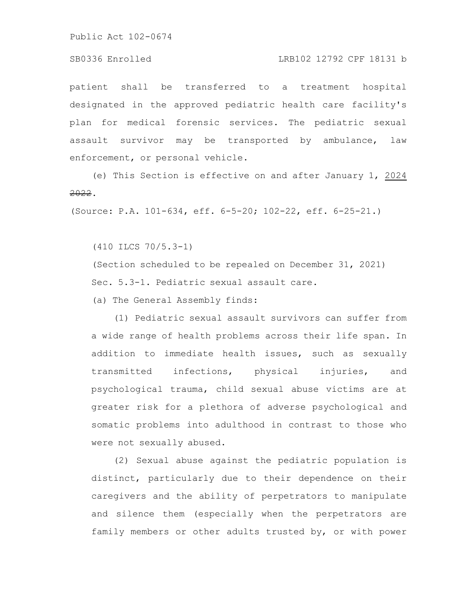#### SB0336 Enrolled LRB102 12792 CPF 18131 b

patient shall be transferred to a treatment hospital designated in the approved pediatric health care facility's plan for medical forensic services. The pediatric sexual assault survivor may be transported by ambulance, law enforcement, or personal vehicle.

(e) This Section is effective on and after January 1, 2024 2022.

(Source: P.A. 101-634, eff. 6-5-20; 102-22, eff. 6-25-21.)

(410 ILCS 70/5.3-1)

(Section scheduled to be repealed on December 31, 2021) Sec. 5.3-1. Pediatric sexual assault care.

(a) The General Assembly finds:

(1) Pediatric sexual assault survivors can suffer from a wide range of health problems across their life span. In addition to immediate health issues, such as sexually transmitted infections, physical injuries, and psychological trauma, child sexual abuse victims are at greater risk for a plethora of adverse psychological and somatic problems into adulthood in contrast to those who were not sexually abused.

(2) Sexual abuse against the pediatric population is distinct, particularly due to their dependence on their caregivers and the ability of perpetrators to manipulate and silence them (especially when the perpetrators are family members or other adults trusted by, or with power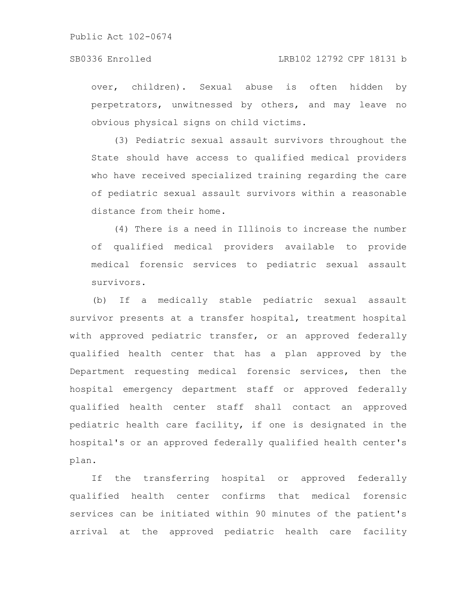### SB0336 Enrolled LRB102 12792 CPF 18131 b

over, children). Sexual abuse is often hidden by perpetrators, unwitnessed by others, and may leave no obvious physical signs on child victims.

(3) Pediatric sexual assault survivors throughout the State should have access to qualified medical providers who have received specialized training regarding the care of pediatric sexual assault survivors within a reasonable distance from their home.

(4) There is a need in Illinois to increase the number of qualified medical providers available to provide medical forensic services to pediatric sexual assault survivors.

(b) If a medically stable pediatric sexual assault survivor presents at a transfer hospital, treatment hospital with approved pediatric transfer, or an approved federally qualified health center that has a plan approved by the Department requesting medical forensic services, then the hospital emergency department staff or approved federally qualified health center staff shall contact an approved pediatric health care facility, if one is designated in the hospital's or an approved federally qualified health center's plan.

If the transferring hospital or approved federally qualified health center confirms that medical forensic services can be initiated within 90 minutes of the patient's arrival at the approved pediatric health care facility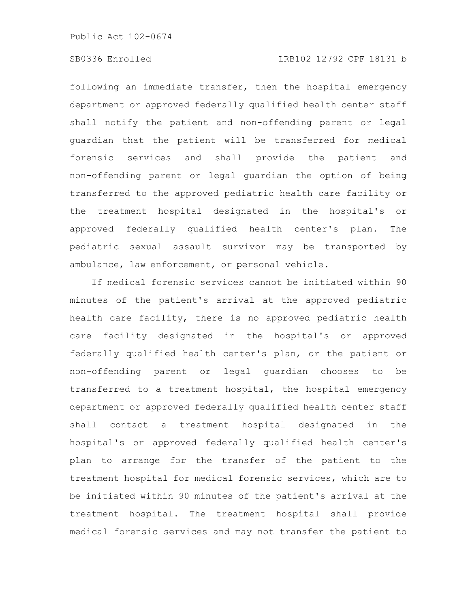# SB0336 Enrolled LRB102 12792 CPF 18131 b

following an immediate transfer, then the hospital emergency department or approved federally qualified health center staff shall notify the patient and non-offending parent or legal guardian that the patient will be transferred for medical forensic services and shall provide the patient and non-offending parent or legal guardian the option of being transferred to the approved pediatric health care facility or the treatment hospital designated in the hospital's or approved federally qualified health center's plan. The pediatric sexual assault survivor may be transported by ambulance, law enforcement, or personal vehicle.

If medical forensic services cannot be initiated within 90 minutes of the patient's arrival at the approved pediatric health care facility, there is no approved pediatric health care facility designated in the hospital's or approved federally qualified health center's plan, or the patient or non-offending parent or legal guardian chooses to be transferred to a treatment hospital, the hospital emergency department or approved federally qualified health center staff shall contact a treatment hospital designated in the hospital's or approved federally qualified health center's plan to arrange for the transfer of the patient to the treatment hospital for medical forensic services, which are to be initiated within 90 minutes of the patient's arrival at the treatment hospital. The treatment hospital shall provide medical forensic services and may not transfer the patient to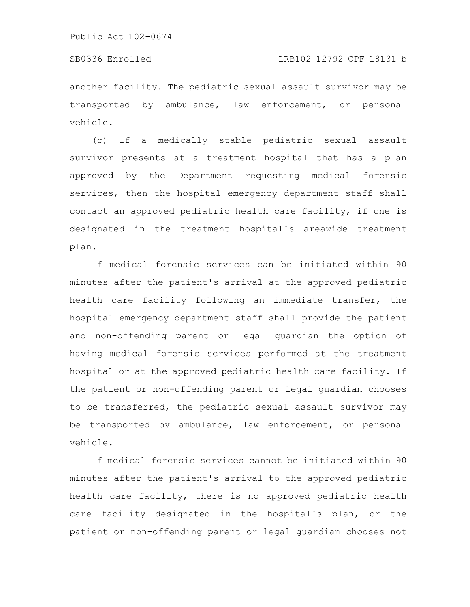#### SB0336 Enrolled LRB102 12792 CPF 18131 b

another facility. The pediatric sexual assault survivor may be transported by ambulance, law enforcement, or personal vehicle.

(c) If a medically stable pediatric sexual assault survivor presents at a treatment hospital that has a plan approved by the Department requesting medical forensic services, then the hospital emergency department staff shall contact an approved pediatric health care facility, if one is designated in the treatment hospital's areawide treatment plan.

If medical forensic services can be initiated within 90 minutes after the patient's arrival at the approved pediatric health care facility following an immediate transfer, the hospital emergency department staff shall provide the patient and non-offending parent or legal guardian the option of having medical forensic services performed at the treatment hospital or at the approved pediatric health care facility. If the patient or non-offending parent or legal guardian chooses to be transferred, the pediatric sexual assault survivor may be transported by ambulance, law enforcement, or personal vehicle.

If medical forensic services cannot be initiated within 90 minutes after the patient's arrival to the approved pediatric health care facility, there is no approved pediatric health care facility designated in the hospital's plan, or the patient or non-offending parent or legal guardian chooses not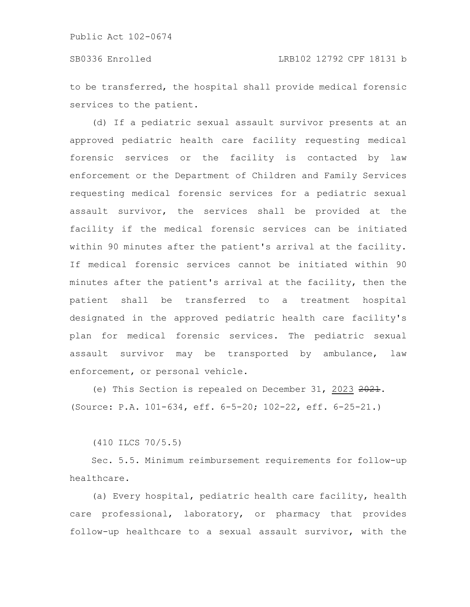to be transferred, the hospital shall provide medical forensic services to the patient.

(d) If a pediatric sexual assault survivor presents at an approved pediatric health care facility requesting medical forensic services or the facility is contacted by law enforcement or the Department of Children and Family Services requesting medical forensic services for a pediatric sexual assault survivor, the services shall be provided at the facility if the medical forensic services can be initiated within 90 minutes after the patient's arrival at the facility. If medical forensic services cannot be initiated within 90 minutes after the patient's arrival at the facility, then the patient shall be transferred to a treatment hospital designated in the approved pediatric health care facility's plan for medical forensic services. The pediatric sexual assault survivor may be transported by ambulance, law enforcement, or personal vehicle.

(e) This Section is repealed on December 31, 2023 2021. (Source: P.A. 101-634, eff. 6-5-20; 102-22, eff. 6-25-21.)

(410 ILCS 70/5.5)

Sec. 5.5. Minimum reimbursement requirements for follow-up healthcare.

(a) Every hospital, pediatric health care facility, health care professional, laboratory, or pharmacy that provides follow-up healthcare to a sexual assault survivor, with the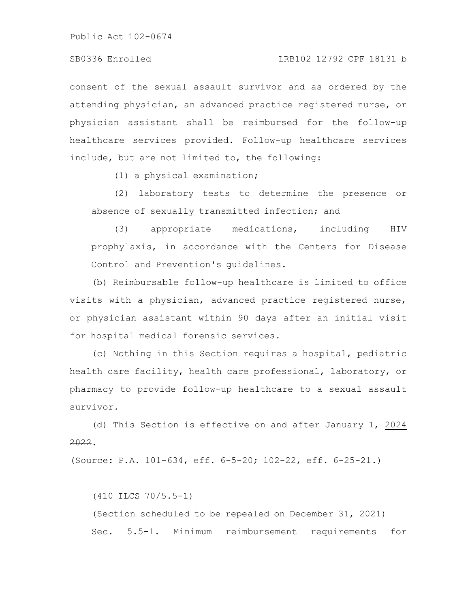consent of the sexual assault survivor and as ordered by the attending physician, an advanced practice registered nurse, or physician assistant shall be reimbursed for the follow-up healthcare services provided. Follow-up healthcare services include, but are not limited to, the following:

(1) a physical examination;

(2) laboratory tests to determine the presence or absence of sexually transmitted infection; and

(3) appropriate medications, including HIV prophylaxis, in accordance with the Centers for Disease Control and Prevention's guidelines.

(b) Reimbursable follow-up healthcare is limited to office visits with a physician, advanced practice registered nurse, or physician assistant within 90 days after an initial visit for hospital medical forensic services.

(c) Nothing in this Section requires a hospital, pediatric health care facility, health care professional, laboratory, or pharmacy to provide follow-up healthcare to a sexual assault survivor.

(d) This Section is effective on and after January 1, 2024 2022.

(Source: P.A. 101-634, eff. 6-5-20; 102-22, eff. 6-25-21.)

(410 ILCS 70/5.5-1) (Section scheduled to be repealed on December 31, 2021) Sec. 5.5-1. Minimum reimbursement requirements for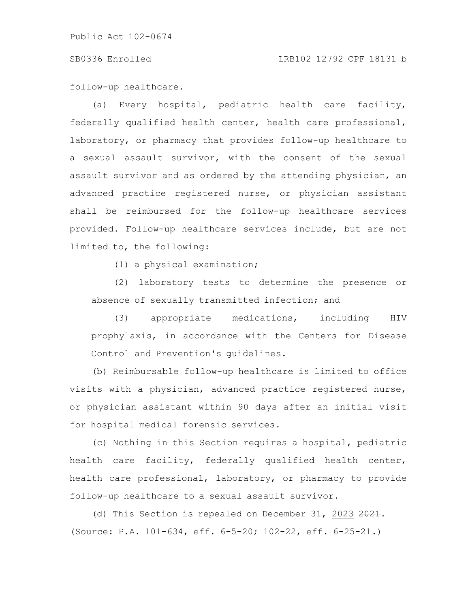#### SB0336 Enrolled LRB102 12792 CPF 18131 b

follow-up healthcare.

(a) Every hospital, pediatric health care facility, federally qualified health center, health care professional, laboratory, or pharmacy that provides follow-up healthcare to a sexual assault survivor, with the consent of the sexual assault survivor and as ordered by the attending physician, an advanced practice registered nurse, or physician assistant shall be reimbursed for the follow-up healthcare services provided. Follow-up healthcare services include, but are not limited to, the following:

(1) a physical examination;

(2) laboratory tests to determine the presence or absence of sexually transmitted infection; and

(3) appropriate medications, including HIV prophylaxis, in accordance with the Centers for Disease Control and Prevention's guidelines.

(b) Reimbursable follow-up healthcare is limited to office visits with a physician, advanced practice registered nurse, or physician assistant within 90 days after an initial visit for hospital medical forensic services.

(c) Nothing in this Section requires a hospital, pediatric health care facility, federally qualified health center, health care professional, laboratory, or pharmacy to provide follow-up healthcare to a sexual assault survivor.

(d) This Section is repealed on December 31, 2023 2021. (Source: P.A. 101-634, eff. 6-5-20; 102-22, eff. 6-25-21.)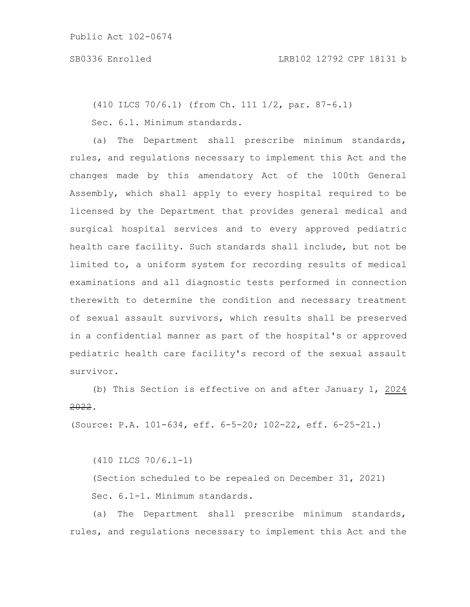(410 ILCS 70/6.1) (from Ch. 111 1/2, par. 87-6.1)

Sec. 6.1. Minimum standards.

(a) The Department shall prescribe minimum standards, rules, and regulations necessary to implement this Act and the changes made by this amendatory Act of the 100th General Assembly, which shall apply to every hospital required to be licensed by the Department that provides general medical and surgical hospital services and to every approved pediatric health care facility. Such standards shall include, but not be limited to, a uniform system for recording results of medical examinations and all diagnostic tests performed in connection therewith to determine the condition and necessary treatment of sexual assault survivors, which results shall be preserved in a confidential manner as part of the hospital's or approved pediatric health care facility's record of the sexual assault survivor.

(b) This Section is effective on and after January 1, 2024 2022.

(Source: P.A. 101-634, eff. 6-5-20; 102-22, eff. 6-25-21.)

(410 ILCS 70/6.1-1)

(Section scheduled to be repealed on December 31, 2021) Sec. 6.1-1. Minimum standards.

(a) The Department shall prescribe minimum standards, rules, and regulations necessary to implement this Act and the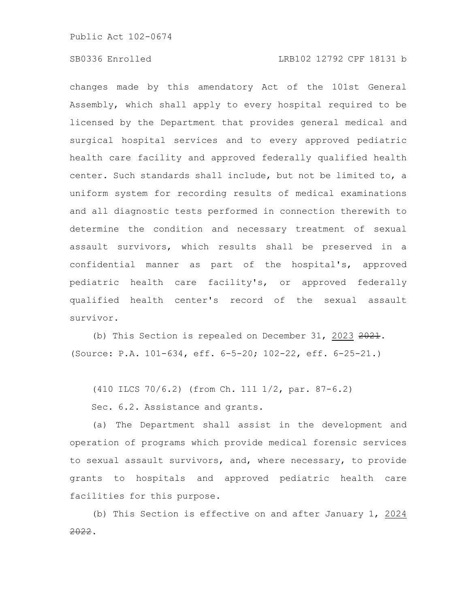## SB0336 Enrolled LRB102 12792 CPF 18131 b

changes made by this amendatory Act of the 101st General Assembly, which shall apply to every hospital required to be licensed by the Department that provides general medical and surgical hospital services and to every approved pediatric health care facility and approved federally qualified health center. Such standards shall include, but not be limited to, a uniform system for recording results of medical examinations and all diagnostic tests performed in connection therewith to determine the condition and necessary treatment of sexual assault survivors, which results shall be preserved in a confidential manner as part of the hospital's, approved pediatric health care facility's, or approved federally qualified health center's record of the sexual assault survivor.

(b) This Section is repealed on December 31, 2023  $2021$ . (Source: P.A. 101-634, eff. 6-5-20; 102-22, eff. 6-25-21.)

(410 ILCS 70/6.2) (from Ch. 111 1/2, par. 87-6.2)

Sec. 6.2. Assistance and grants.

(a) The Department shall assist in the development and operation of programs which provide medical forensic services to sexual assault survivors, and, where necessary, to provide grants to hospitals and approved pediatric health care facilities for this purpose.

(b) This Section is effective on and after January 1, 2024 2022.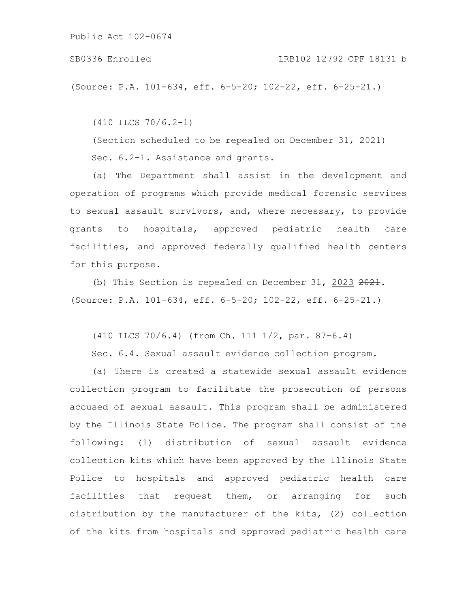SB0336 Enrolled LRB102 12792 CPF 18131 b

(Source: P.A. 101-634, eff. 6-5-20; 102-22, eff. 6-25-21.)

(410 ILCS 70/6.2-1)

(Section scheduled to be repealed on December 31, 2021) Sec. 6.2-1. Assistance and grants.

(a) The Department shall assist in the development and operation of programs which provide medical forensic services to sexual assault survivors, and, where necessary, to provide grants to hospitals, approved pediatric health care facilities, and approved federally qualified health centers for this purpose.

(b) This Section is repealed on December 31, 2023 2021. (Source: P.A. 101-634, eff. 6-5-20; 102-22, eff. 6-25-21.)

(410 ILCS 70/6.4) (from Ch. 111 1/2, par. 87-6.4)

Sec. 6.4. Sexual assault evidence collection program.

(a) There is created a statewide sexual assault evidence collection program to facilitate the prosecution of persons accused of sexual assault. This program shall be administered by the Illinois State Police. The program shall consist of the following: (1) distribution of sexual assault evidence collection kits which have been approved by the Illinois State Police to hospitals and approved pediatric health care facilities that request them, or arranging for such distribution by the manufacturer of the kits, (2) collection of the kits from hospitals and approved pediatric health care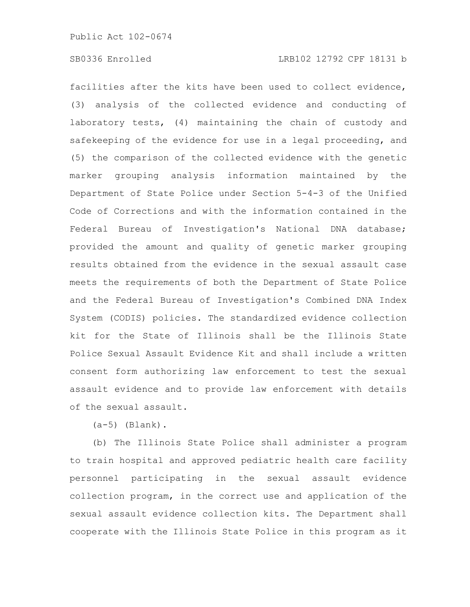# SB0336 Enrolled LRB102 12792 CPF 18131 b

facilities after the kits have been used to collect evidence, (3) analysis of the collected evidence and conducting of laboratory tests, (4) maintaining the chain of custody and safekeeping of the evidence for use in a legal proceeding, and (5) the comparison of the collected evidence with the genetic marker grouping analysis information maintained by the Department of State Police under Section 5-4-3 of the Unified Code of Corrections and with the information contained in the Federal Bureau of Investigation's National DNA database; provided the amount and quality of genetic marker grouping results obtained from the evidence in the sexual assault case meets the requirements of both the Department of State Police and the Federal Bureau of Investigation's Combined DNA Index System (CODIS) policies. The standardized evidence collection kit for the State of Illinois shall be the Illinois State Police Sexual Assault Evidence Kit and shall include a written consent form authorizing law enforcement to test the sexual assault evidence and to provide law enforcement with details of the sexual assault.

 $(a-5)$  (Blank).

(b) The Illinois State Police shall administer a program to train hospital and approved pediatric health care facility personnel participating in the sexual assault evidence collection program, in the correct use and application of the sexual assault evidence collection kits. The Department shall cooperate with the Illinois State Police in this program as it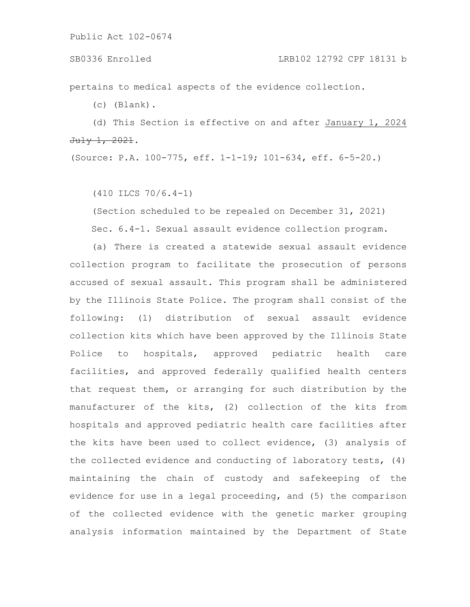pertains to medical aspects of the evidence collection.

(c) (Blank).

(d) This Section is effective on and after January 1, 2024 July 1, 2021.

(Source: P.A. 100-775, eff. 1-1-19; 101-634, eff. 6-5-20.)

(410 ILCS 70/6.4-1)

(Section scheduled to be repealed on December 31, 2021) Sec. 6.4-1. Sexual assault evidence collection program.

(a) There is created a statewide sexual assault evidence collection program to facilitate the prosecution of persons accused of sexual assault. This program shall be administered by the Illinois State Police. The program shall consist of the following: (1) distribution of sexual assault evidence collection kits which have been approved by the Illinois State Police to hospitals, approved pediatric health care facilities, and approved federally qualified health centers that request them, or arranging for such distribution by the manufacturer of the kits, (2) collection of the kits from hospitals and approved pediatric health care facilities after the kits have been used to collect evidence, (3) analysis of the collected evidence and conducting of laboratory tests, (4) maintaining the chain of custody and safekeeping of the evidence for use in a legal proceeding, and (5) the comparison of the collected evidence with the genetic marker grouping analysis information maintained by the Department of State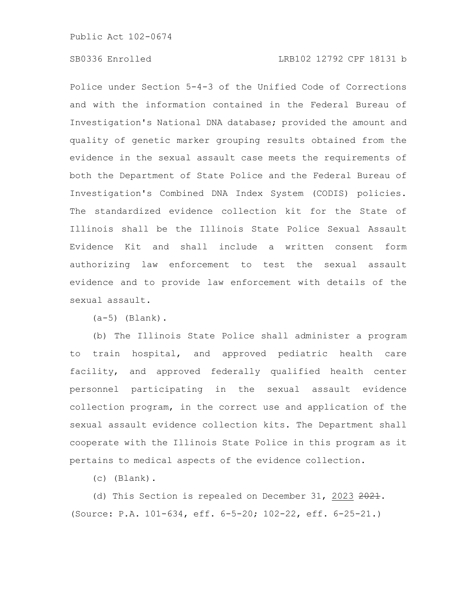# SB0336 Enrolled LRB102 12792 CPF 18131 b

Police under Section 5-4-3 of the Unified Code of Corrections and with the information contained in the Federal Bureau of Investigation's National DNA database; provided the amount and quality of genetic marker grouping results obtained from the evidence in the sexual assault case meets the requirements of both the Department of State Police and the Federal Bureau of Investigation's Combined DNA Index System (CODIS) policies. The standardized evidence collection kit for the State of Illinois shall be the Illinois State Police Sexual Assault Evidence Kit and shall include a written consent form authorizing law enforcement to test the sexual assault evidence and to provide law enforcement with details of the sexual assault.

 $(a-5)$  (Blank).

(b) The Illinois State Police shall administer a program to train hospital, and approved pediatric health care facility, and approved federally qualified health center personnel participating in the sexual assault evidence collection program, in the correct use and application of the sexual assault evidence collection kits. The Department shall cooperate with the Illinois State Police in this program as it pertains to medical aspects of the evidence collection.

(c) (Blank).

(d) This Section is repealed on December 31, 2023 2021. (Source: P.A. 101-634, eff. 6-5-20; 102-22, eff. 6-25-21.)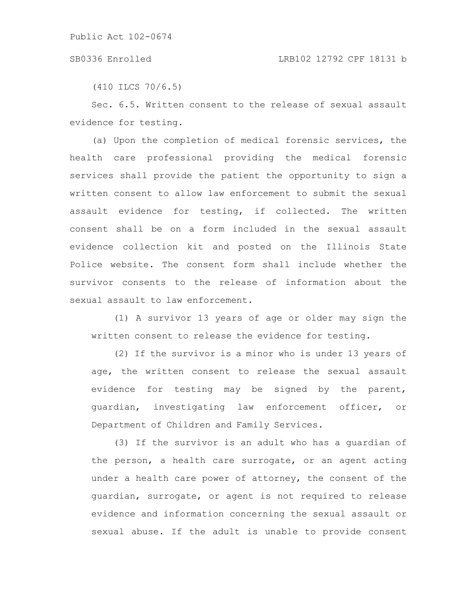#### SB0336 Enrolled LRB102 12792 CPF 18131 b

(410 ILCS 70/6.5)

Sec. 6.5. Written consent to the release of sexual assault evidence for testing.

(a) Upon the completion of medical forensic services, the health care professional providing the medical forensic services shall provide the patient the opportunity to sign a written consent to allow law enforcement to submit the sexual assault evidence for testing, if collected. The written consent shall be on a form included in the sexual assault evidence collection kit and posted on the Illinois State Police website. The consent form shall include whether the survivor consents to the release of information about the sexual assault to law enforcement.

(1) A survivor 13 years of age or older may sign the written consent to release the evidence for testing.

(2) If the survivor is a minor who is under 13 years of age, the written consent to release the sexual assault evidence for testing may be signed by the parent, guardian, investigating law enforcement officer, or Department of Children and Family Services.

(3) If the survivor is an adult who has a guardian of the person, a health care surrogate, or an agent acting under a health care power of attorney, the consent of the guardian, surrogate, or agent is not required to release evidence and information concerning the sexual assault or sexual abuse. If the adult is unable to provide consent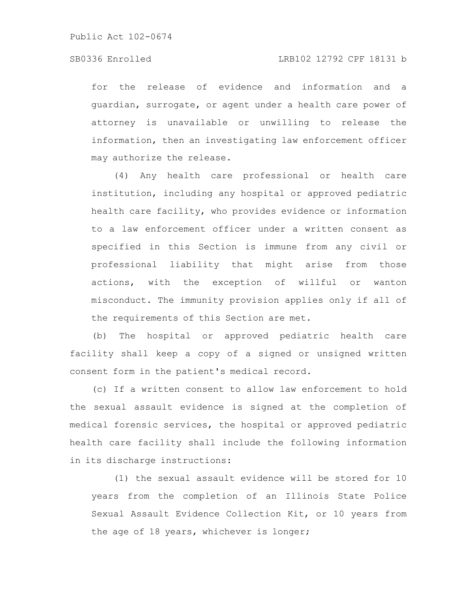## SB0336 Enrolled LRB102 12792 CPF 18131 b

for the release of evidence and information and a guardian, surrogate, or agent under a health care power of attorney is unavailable or unwilling to release the information, then an investigating law enforcement officer may authorize the release.

(4) Any health care professional or health care institution, including any hospital or approved pediatric health care facility, who provides evidence or information to a law enforcement officer under a written consent as specified in this Section is immune from any civil or professional liability that might arise from those actions, with the exception of willful or wanton misconduct. The immunity provision applies only if all of the requirements of this Section are met.

(b) The hospital or approved pediatric health care facility shall keep a copy of a signed or unsigned written consent form in the patient's medical record.

(c) If a written consent to allow law enforcement to hold the sexual assault evidence is signed at the completion of medical forensic services, the hospital or approved pediatric health care facility shall include the following information in its discharge instructions:

(1) the sexual assault evidence will be stored for 10 years from the completion of an Illinois State Police Sexual Assault Evidence Collection Kit, or 10 years from the age of 18 years, whichever is longer;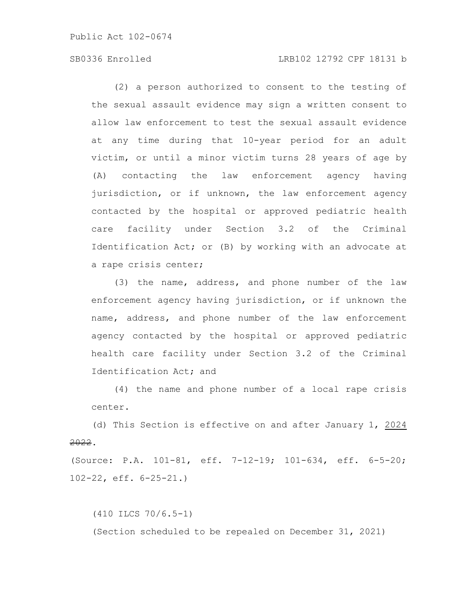## SB0336 Enrolled LRB102 12792 CPF 18131 b

(2) a person authorized to consent to the testing of the sexual assault evidence may sign a written consent to allow law enforcement to test the sexual assault evidence at any time during that 10-year period for an adult victim, or until a minor victim turns 28 years of age by (A) contacting the law enforcement agency having jurisdiction, or if unknown, the law enforcement agency contacted by the hospital or approved pediatric health care facility under Section 3.2 of the Criminal Identification Act; or (B) by working with an advocate at a rape crisis center;

(3) the name, address, and phone number of the law enforcement agency having jurisdiction, or if unknown the name, address, and phone number of the law enforcement agency contacted by the hospital or approved pediatric health care facility under Section 3.2 of the Criminal Identification Act; and

(4) the name and phone number of a local rape crisis center.

(d) This Section is effective on and after January 1, 2024 2022.

(Source: P.A. 101-81, eff. 7-12-19; 101-634, eff. 6-5-20; 102-22, eff. 6-25-21.)

(410 ILCS 70/6.5-1) (Section scheduled to be repealed on December 31, 2021)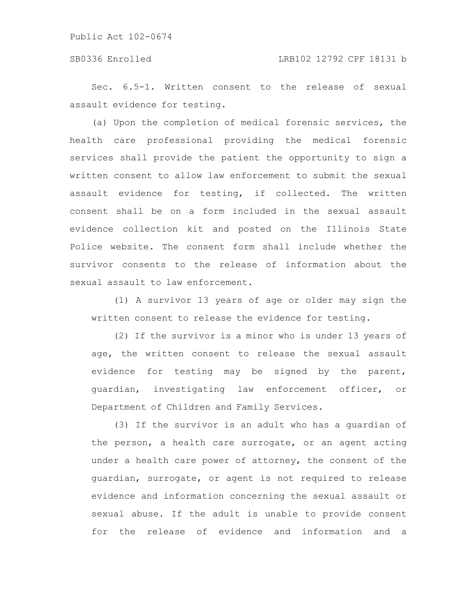## SB0336 Enrolled LRB102 12792 CPF 18131 b

Sec. 6.5-1. Written consent to the release of sexual assault evidence for testing.

(a) Upon the completion of medical forensic services, the health care professional providing the medical forensic services shall provide the patient the opportunity to sign a written consent to allow law enforcement to submit the sexual assault evidence for testing, if collected. The written consent shall be on a form included in the sexual assault evidence collection kit and posted on the Illinois State Police website. The consent form shall include whether the survivor consents to the release of information about the sexual assault to law enforcement.

(1) A survivor 13 years of age or older may sign the written consent to release the evidence for testing.

(2) If the survivor is a minor who is under 13 years of age, the written consent to release the sexual assault evidence for testing may be signed by the parent, guardian, investigating law enforcement officer, or Department of Children and Family Services.

(3) If the survivor is an adult who has a guardian of the person, a health care surrogate, or an agent acting under a health care power of attorney, the consent of the guardian, surrogate, or agent is not required to release evidence and information concerning the sexual assault or sexual abuse. If the adult is unable to provide consent for the release of evidence and information and a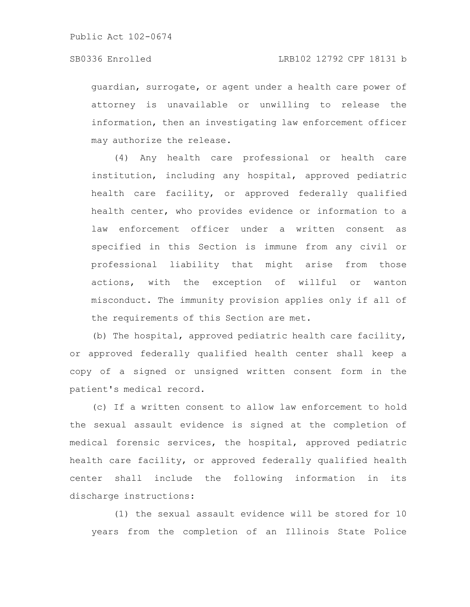guardian, surrogate, or agent under a health care power of attorney is unavailable or unwilling to release the information, then an investigating law enforcement officer may authorize the release.

(4) Any health care professional or health care institution, including any hospital, approved pediatric health care facility, or approved federally qualified health center, who provides evidence or information to a law enforcement officer under a written consent as specified in this Section is immune from any civil or professional liability that might arise from those actions, with the exception of willful or wanton misconduct. The immunity provision applies only if all of the requirements of this Section are met.

(b) The hospital, approved pediatric health care facility, or approved federally qualified health center shall keep a copy of a signed or unsigned written consent form in the patient's medical record.

(c) If a written consent to allow law enforcement to hold the sexual assault evidence is signed at the completion of medical forensic services, the hospital, approved pediatric health care facility, or approved federally qualified health center shall include the following information in its discharge instructions:

(1) the sexual assault evidence will be stored for 10 years from the completion of an Illinois State Police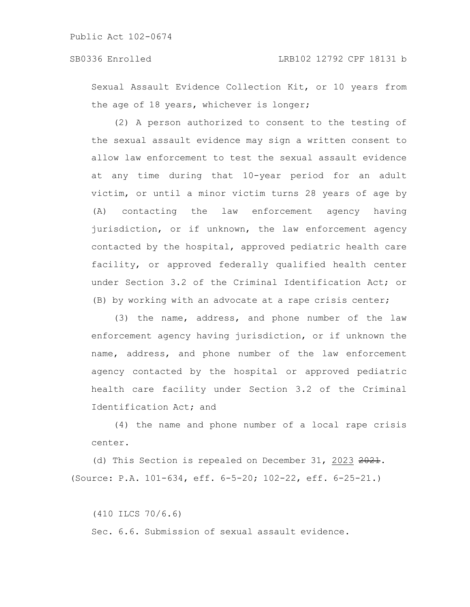Sexual Assault Evidence Collection Kit, or 10 years from the age of 18 years, whichever is longer;

(2) A person authorized to consent to the testing of the sexual assault evidence may sign a written consent to allow law enforcement to test the sexual assault evidence at any time during that 10-year period for an adult victim, or until a minor victim turns 28 years of age by (A) contacting the law enforcement agency having jurisdiction, or if unknown, the law enforcement agency contacted by the hospital, approved pediatric health care facility, or approved federally qualified health center under Section 3.2 of the Criminal Identification Act; or (B) by working with an advocate at a rape crisis center;

(3) the name, address, and phone number of the law enforcement agency having jurisdiction, or if unknown the name, address, and phone number of the law enforcement agency contacted by the hospital or approved pediatric health care facility under Section 3.2 of the Criminal Identification Act; and

(4) the name and phone number of a local rape crisis center.

(d) This Section is repealed on December 31, 2023 2021. (Source: P.A. 101-634, eff. 6-5-20; 102-22, eff. 6-25-21.)

(410 ILCS 70/6.6) Sec. 6.6. Submission of sexual assault evidence.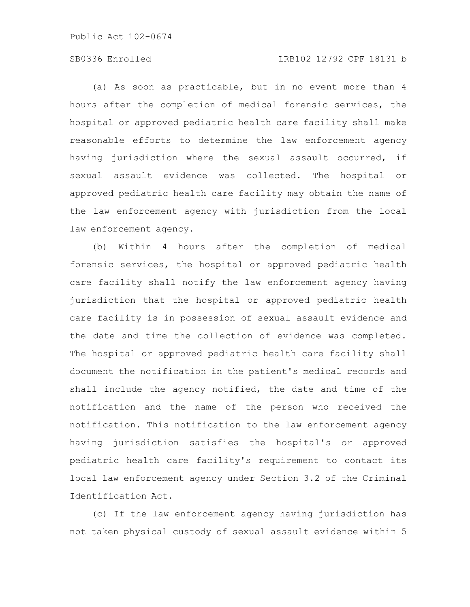# SB0336 Enrolled LRB102 12792 CPF 18131 b

(a) As soon as practicable, but in no event more than 4 hours after the completion of medical forensic services, the hospital or approved pediatric health care facility shall make reasonable efforts to determine the law enforcement agency having jurisdiction where the sexual assault occurred, if sexual assault evidence was collected. The hospital or approved pediatric health care facility may obtain the name of the law enforcement agency with jurisdiction from the local law enforcement agency.

(b) Within 4 hours after the completion of medical forensic services, the hospital or approved pediatric health care facility shall notify the law enforcement agency having jurisdiction that the hospital or approved pediatric health care facility is in possession of sexual assault evidence and the date and time the collection of evidence was completed. The hospital or approved pediatric health care facility shall document the notification in the patient's medical records and shall include the agency notified, the date and time of the notification and the name of the person who received the notification. This notification to the law enforcement agency having jurisdiction satisfies the hospital's or approved pediatric health care facility's requirement to contact its local law enforcement agency under Section 3.2 of the Criminal Identification Act.

(c) If the law enforcement agency having jurisdiction has not taken physical custody of sexual assault evidence within 5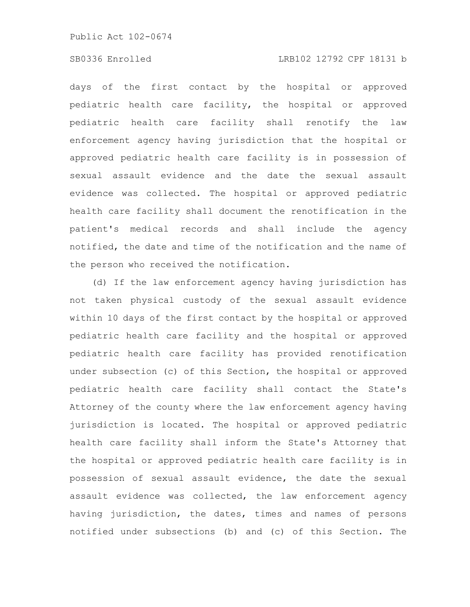# SB0336 Enrolled LRB102 12792 CPF 18131 b

days of the first contact by the hospital or approved pediatric health care facility, the hospital or approved pediatric health care facility shall renotify the law enforcement agency having jurisdiction that the hospital or approved pediatric health care facility is in possession of sexual assault evidence and the date the sexual assault evidence was collected. The hospital or approved pediatric health care facility shall document the renotification in the patient's medical records and shall include the agency notified, the date and time of the notification and the name of the person who received the notification.

(d) If the law enforcement agency having jurisdiction has not taken physical custody of the sexual assault evidence within 10 days of the first contact by the hospital or approved pediatric health care facility and the hospital or approved pediatric health care facility has provided renotification under subsection (c) of this Section, the hospital or approved pediatric health care facility shall contact the State's Attorney of the county where the law enforcement agency having jurisdiction is located. The hospital or approved pediatric health care facility shall inform the State's Attorney that the hospital or approved pediatric health care facility is in possession of sexual assault evidence, the date the sexual assault evidence was collected, the law enforcement agency having jurisdiction, the dates, times and names of persons notified under subsections (b) and (c) of this Section. The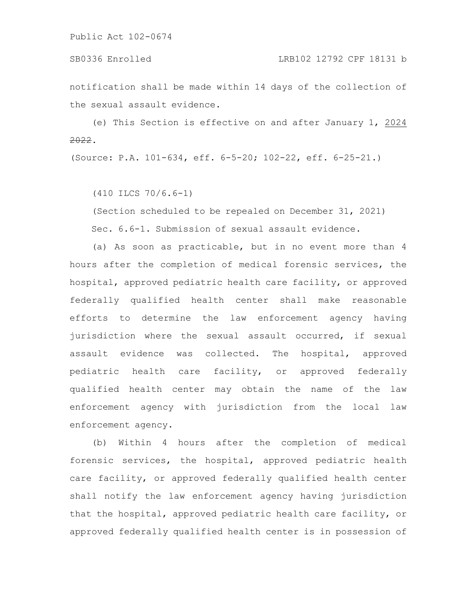#### SB0336 Enrolled LRB102 12792 CPF 18131 b

notification shall be made within 14 days of the collection of the sexual assault evidence.

(e) This Section is effective on and after January 1, 2024 2022.

(Source: P.A. 101-634, eff. 6-5-20; 102-22, eff. 6-25-21.)

(410 ILCS 70/6.6-1)

(Section scheduled to be repealed on December 31, 2021) Sec. 6.6-1. Submission of sexual assault evidence.

(a) As soon as practicable, but in no event more than 4 hours after the completion of medical forensic services, the hospital, approved pediatric health care facility, or approved federally qualified health center shall make reasonable efforts to determine the law enforcement agency having jurisdiction where the sexual assault occurred, if sexual assault evidence was collected. The hospital, approved pediatric health care facility, or approved federally qualified health center may obtain the name of the law enforcement agency with jurisdiction from the local law enforcement agency.

(b) Within 4 hours after the completion of medical forensic services, the hospital, approved pediatric health care facility, or approved federally qualified health center shall notify the law enforcement agency having jurisdiction that the hospital, approved pediatric health care facility, or approved federally qualified health center is in possession of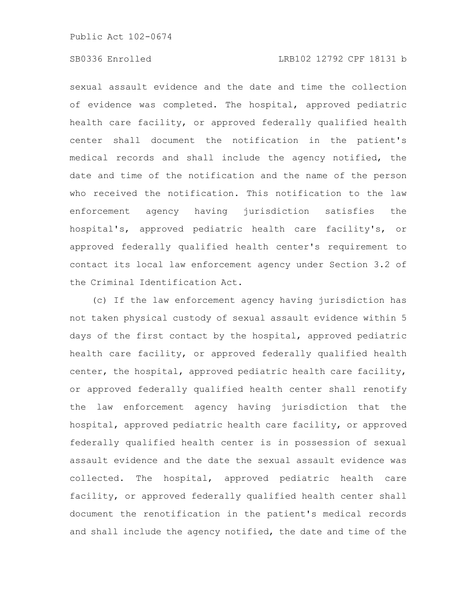# SB0336 Enrolled LRB102 12792 CPF 18131 b

sexual assault evidence and the date and time the collection of evidence was completed. The hospital, approved pediatric health care facility, or approved federally qualified health center shall document the notification in the patient's medical records and shall include the agency notified, the date and time of the notification and the name of the person who received the notification. This notification to the law enforcement agency having jurisdiction satisfies the hospital's, approved pediatric health care facility's, or approved federally qualified health center's requirement to contact its local law enforcement agency under Section 3.2 of the Criminal Identification Act.

(c) If the law enforcement agency having jurisdiction has not taken physical custody of sexual assault evidence within 5 days of the first contact by the hospital, approved pediatric health care facility, or approved federally qualified health center, the hospital, approved pediatric health care facility, or approved federally qualified health center shall renotify the law enforcement agency having jurisdiction that the hospital, approved pediatric health care facility, or approved federally qualified health center is in possession of sexual assault evidence and the date the sexual assault evidence was collected. The hospital, approved pediatric health care facility, or approved federally qualified health center shall document the renotification in the patient's medical records and shall include the agency notified, the date and time of the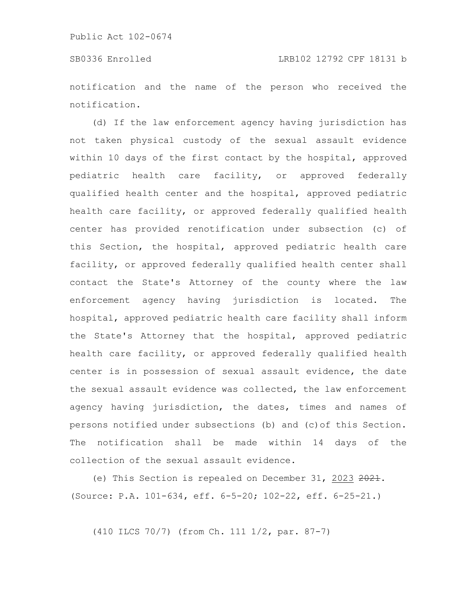notification and the name of the person who received the notification.

(d) If the law enforcement agency having jurisdiction has not taken physical custody of the sexual assault evidence within 10 days of the first contact by the hospital, approved pediatric health care facility, or approved federally qualified health center and the hospital, approved pediatric health care facility, or approved federally qualified health center has provided renotification under subsection (c) of this Section, the hospital, approved pediatric health care facility, or approved federally qualified health center shall contact the State's Attorney of the county where the law enforcement agency having jurisdiction is located. The hospital, approved pediatric health care facility shall inform the State's Attorney that the hospital, approved pediatric health care facility, or approved federally qualified health center is in possession of sexual assault evidence, the date the sexual assault evidence was collected, the law enforcement agency having jurisdiction, the dates, times and names of persons notified under subsections (b) and (c)of this Section. The notification shall be made within 14 days of the collection of the sexual assault evidence.

(e) This Section is repealed on December 31, 2023 2021. (Source: P.A. 101-634, eff. 6-5-20; 102-22, eff. 6-25-21.)

(410 ILCS 70/7) (from Ch. 111 1/2, par. 87-7)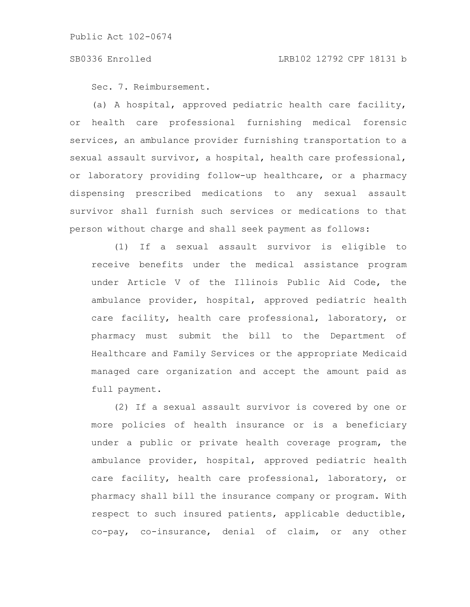Sec. 7. Reimbursement.

(a) A hospital, approved pediatric health care facility, or health care professional furnishing medical forensic services, an ambulance provider furnishing transportation to a sexual assault survivor, a hospital, health care professional, or laboratory providing follow-up healthcare, or a pharmacy dispensing prescribed medications to any sexual assault survivor shall furnish such services or medications to that person without charge and shall seek payment as follows:

(1) If a sexual assault survivor is eligible to receive benefits under the medical assistance program under Article V of the Illinois Public Aid Code, the ambulance provider, hospital, approved pediatric health care facility, health care professional, laboratory, or pharmacy must submit the bill to the Department of Healthcare and Family Services or the appropriate Medicaid managed care organization and accept the amount paid as full payment.

(2) If a sexual assault survivor is covered by one or more policies of health insurance or is a beneficiary under a public or private health coverage program, the ambulance provider, hospital, approved pediatric health care facility, health care professional, laboratory, or pharmacy shall bill the insurance company or program. With respect to such insured patients, applicable deductible, co-pay, co-insurance, denial of claim, or any other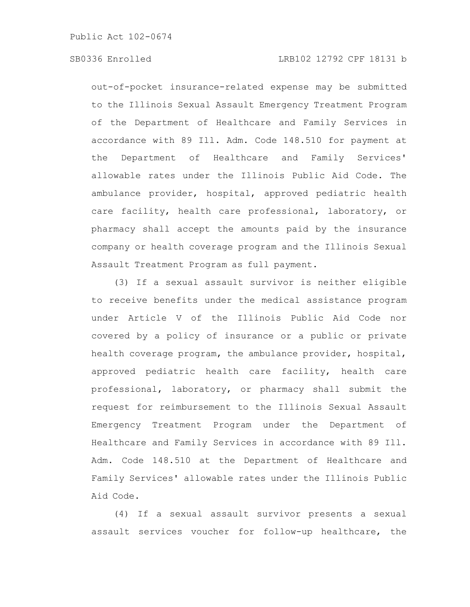# SB0336 Enrolled LRB102 12792 CPF 18131 b

out-of-pocket insurance-related expense may be submitted to the Illinois Sexual Assault Emergency Treatment Program of the Department of Healthcare and Family Services in accordance with 89 Ill. Adm. Code 148.510 for payment at the Department of Healthcare and Family Services' allowable rates under the Illinois Public Aid Code. The ambulance provider, hospital, approved pediatric health care facility, health care professional, laboratory, or pharmacy shall accept the amounts paid by the insurance company or health coverage program and the Illinois Sexual Assault Treatment Program as full payment.

(3) If a sexual assault survivor is neither eligible to receive benefits under the medical assistance program under Article V of the Illinois Public Aid Code nor covered by a policy of insurance or a public or private health coverage program, the ambulance provider, hospital, approved pediatric health care facility, health care professional, laboratory, or pharmacy shall submit the request for reimbursement to the Illinois Sexual Assault Emergency Treatment Program under the Department of Healthcare and Family Services in accordance with 89 Ill. Adm. Code 148.510 at the Department of Healthcare and Family Services' allowable rates under the Illinois Public Aid Code.

(4) If a sexual assault survivor presents a sexual assault services voucher for follow-up healthcare, the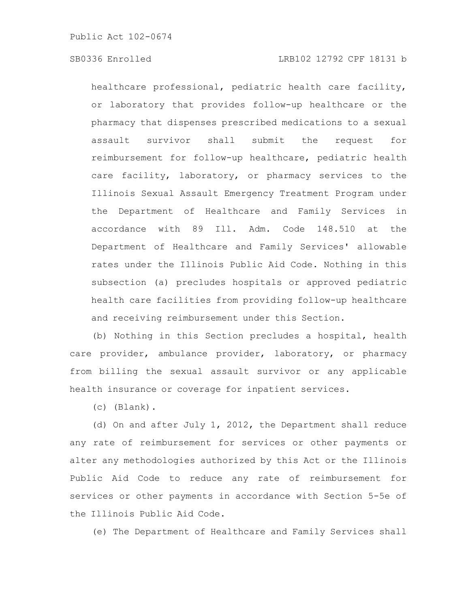healthcare professional, pediatric health care facility, or laboratory that provides follow-up healthcare or the pharmacy that dispenses prescribed medications to a sexual assault survivor shall submit the request for reimbursement for follow-up healthcare, pediatric health care facility, laboratory, or pharmacy services to the Illinois Sexual Assault Emergency Treatment Program under the Department of Healthcare and Family Services in accordance with 89 Ill. Adm. Code 148.510 at the Department of Healthcare and Family Services' allowable rates under the Illinois Public Aid Code. Nothing in this subsection (a) precludes hospitals or approved pediatric health care facilities from providing follow-up healthcare and receiving reimbursement under this Section.

(b) Nothing in this Section precludes a hospital, health care provider, ambulance provider, laboratory, or pharmacy from billing the sexual assault survivor or any applicable health insurance or coverage for inpatient services.

(c) (Blank).

(d) On and after July 1, 2012, the Department shall reduce any rate of reimbursement for services or other payments or alter any methodologies authorized by this Act or the Illinois Public Aid Code to reduce any rate of reimbursement for services or other payments in accordance with Section 5-5e of the Illinois Public Aid Code.

(e) The Department of Healthcare and Family Services shall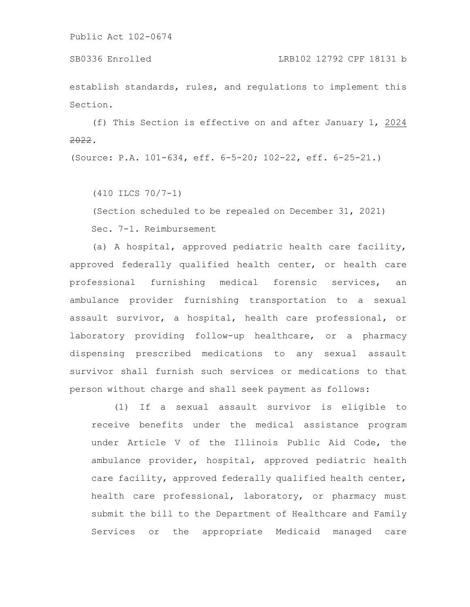establish standards, rules, and regulations to implement this Section.

(f) This Section is effective on and after January 1, 2024 2022.

(Source: P.A. 101-634, eff. 6-5-20; 102-22, eff. 6-25-21.)

(410 ILCS 70/7-1)

(Section scheduled to be repealed on December 31, 2021)

Sec. 7-1. Reimbursement

(a) A hospital, approved pediatric health care facility, approved federally qualified health center, or health care professional furnishing medical forensic services, an ambulance provider furnishing transportation to a sexual assault survivor, a hospital, health care professional, or laboratory providing follow-up healthcare, or a pharmacy dispensing prescribed medications to any sexual assault survivor shall furnish such services or medications to that person without charge and shall seek payment as follows:

(1) If a sexual assault survivor is eligible to receive benefits under the medical assistance program under Article V of the Illinois Public Aid Code, the ambulance provider, hospital, approved pediatric health care facility, approved federally qualified health center, health care professional, laboratory, or pharmacy must submit the bill to the Department of Healthcare and Family Services or the appropriate Medicaid managed care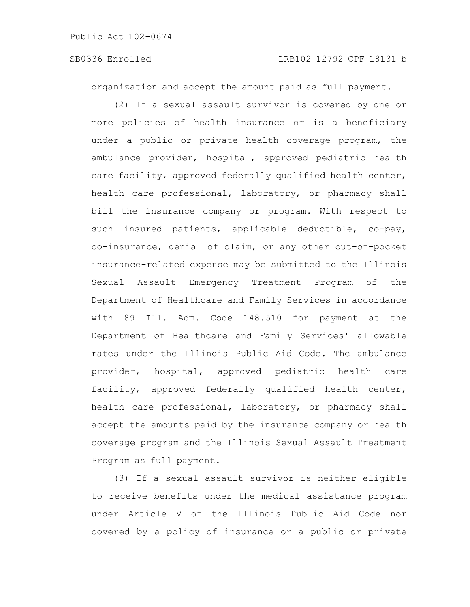organization and accept the amount paid as full payment.

(2) If a sexual assault survivor is covered by one or more policies of health insurance or is a beneficiary under a public or private health coverage program, the ambulance provider, hospital, approved pediatric health care facility, approved federally qualified health center, health care professional, laboratory, or pharmacy shall bill the insurance company or program. With respect to such insured patients, applicable deductible, co-pay, co-insurance, denial of claim, or any other out-of-pocket insurance-related expense may be submitted to the Illinois Sexual Assault Emergency Treatment Program of the Department of Healthcare and Family Services in accordance with 89 Ill. Adm. Code 148.510 for payment at the Department of Healthcare and Family Services' allowable rates under the Illinois Public Aid Code. The ambulance provider, hospital, approved pediatric health care facility, approved federally qualified health center, health care professional, laboratory, or pharmacy shall accept the amounts paid by the insurance company or health coverage program and the Illinois Sexual Assault Treatment Program as full payment.

(3) If a sexual assault survivor is neither eligible to receive benefits under the medical assistance program under Article V of the Illinois Public Aid Code nor covered by a policy of insurance or a public or private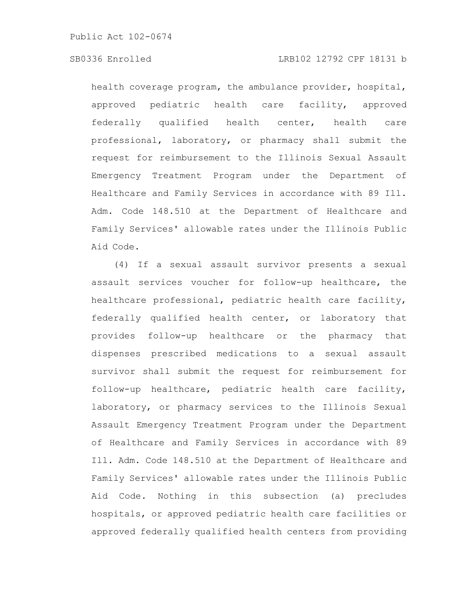# SB0336 Enrolled LRB102 12792 CPF 18131 b

health coverage program, the ambulance provider, hospital, approved pediatric health care facility, approved federally qualified health center, health care professional, laboratory, or pharmacy shall submit the request for reimbursement to the Illinois Sexual Assault Emergency Treatment Program under the Department of Healthcare and Family Services in accordance with 89 Ill. Adm. Code 148.510 at the Department of Healthcare and Family Services' allowable rates under the Illinois Public Aid Code.

(4) If a sexual assault survivor presents a sexual assault services voucher for follow-up healthcare, the healthcare professional, pediatric health care facility, federally qualified health center, or laboratory that provides follow-up healthcare or the pharmacy that dispenses prescribed medications to a sexual assault survivor shall submit the request for reimbursement for follow-up healthcare, pediatric health care facility, laboratory, or pharmacy services to the Illinois Sexual Assault Emergency Treatment Program under the Department of Healthcare and Family Services in accordance with 89 Ill. Adm. Code 148.510 at the Department of Healthcare and Family Services' allowable rates under the Illinois Public Aid Code. Nothing in this subsection (a) precludes hospitals, or approved pediatric health care facilities or approved federally qualified health centers from providing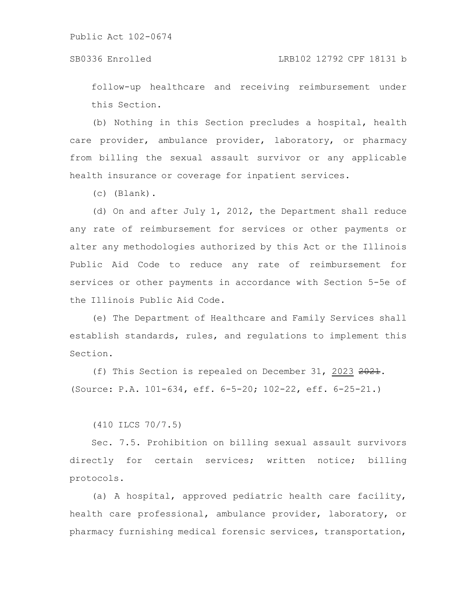follow-up healthcare and receiving reimbursement under this Section.

(b) Nothing in this Section precludes a hospital, health care provider, ambulance provider, laboratory, or pharmacy from billing the sexual assault survivor or any applicable health insurance or coverage for inpatient services.

(c) (Blank).

(d) On and after July 1, 2012, the Department shall reduce any rate of reimbursement for services or other payments or alter any methodologies authorized by this Act or the Illinois Public Aid Code to reduce any rate of reimbursement for services or other payments in accordance with Section 5-5e of the Illinois Public Aid Code.

(e) The Department of Healthcare and Family Services shall establish standards, rules, and regulations to implement this Section.

(f) This Section is repealed on December 31, 2023 2021. (Source: P.A. 101-634, eff. 6-5-20; 102-22, eff. 6-25-21.)

(410 ILCS 70/7.5)

Sec. 7.5. Prohibition on billing sexual assault survivors directly for certain services; written notice; billing protocols.

(a) A hospital, approved pediatric health care facility, health care professional, ambulance provider, laboratory, or pharmacy furnishing medical forensic services, transportation,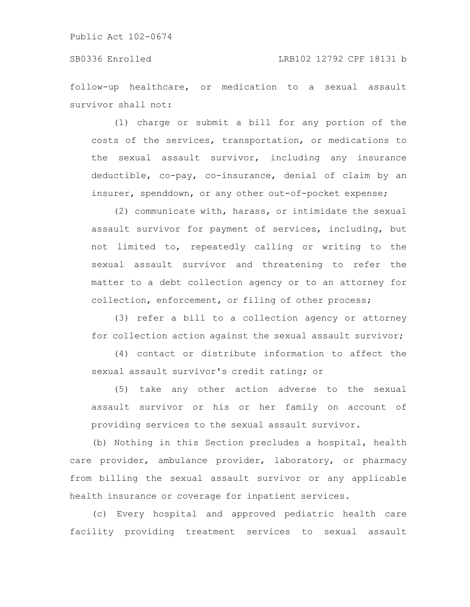## SB0336 Enrolled LRB102 12792 CPF 18131 b

follow-up healthcare, or medication to a sexual assault survivor shall not:

(1) charge or submit a bill for any portion of the costs of the services, transportation, or medications to the sexual assault survivor, including any insurance deductible, co-pay, co-insurance, denial of claim by an insurer, spenddown, or any other out-of-pocket expense;

(2) communicate with, harass, or intimidate the sexual assault survivor for payment of services, including, but not limited to, repeatedly calling or writing to the sexual assault survivor and threatening to refer the matter to a debt collection agency or to an attorney for collection, enforcement, or filing of other process;

(3) refer a bill to a collection agency or attorney for collection action against the sexual assault survivor;

(4) contact or distribute information to affect the sexual assault survivor's credit rating; or

(5) take any other action adverse to the sexual assault survivor or his or her family on account of providing services to the sexual assault survivor.

(b) Nothing in this Section precludes a hospital, health care provider, ambulance provider, laboratory, or pharmacy from billing the sexual assault survivor or any applicable health insurance or coverage for inpatient services.

(c) Every hospital and approved pediatric health care facility providing treatment services to sexual assault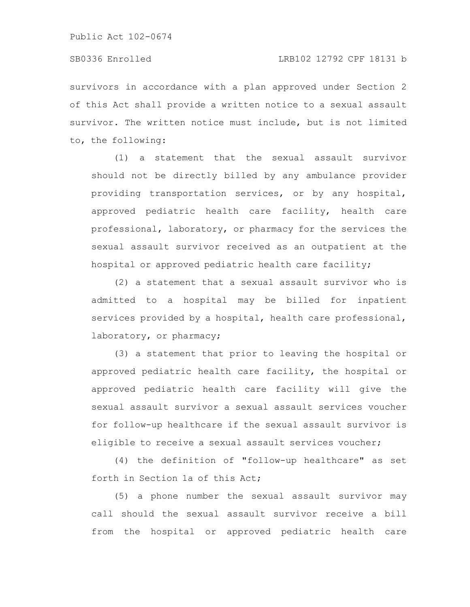survivors in accordance with a plan approved under Section 2 of this Act shall provide a written notice to a sexual assault survivor. The written notice must include, but is not limited to, the following:

(1) a statement that the sexual assault survivor should not be directly billed by any ambulance provider providing transportation services, or by any hospital, approved pediatric health care facility, health care professional, laboratory, or pharmacy for the services the sexual assault survivor received as an outpatient at the hospital or approved pediatric health care facility;

(2) a statement that a sexual assault survivor who is admitted to a hospital may be billed for inpatient services provided by a hospital, health care professional, laboratory, or pharmacy;

(3) a statement that prior to leaving the hospital or approved pediatric health care facility, the hospital or approved pediatric health care facility will give the sexual assault survivor a sexual assault services voucher for follow-up healthcare if the sexual assault survivor is eligible to receive a sexual assault services voucher;

(4) the definition of "follow-up healthcare" as set forth in Section 1a of this Act;

(5) a phone number the sexual assault survivor may call should the sexual assault survivor receive a bill from the hospital or approved pediatric health care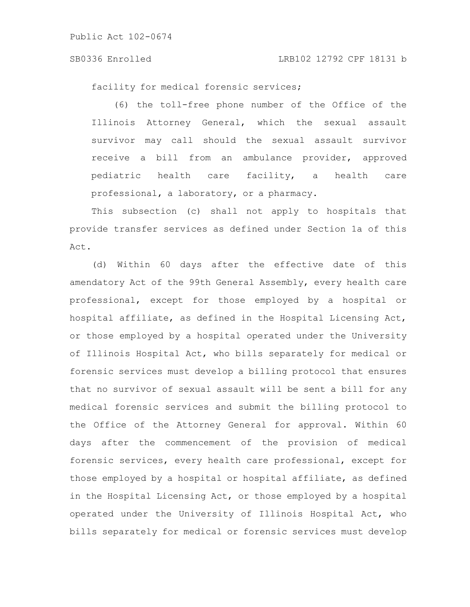#### SB0336 Enrolled LRB102 12792 CPF 18131 b

facility for medical forensic services;

(6) the toll-free phone number of the Office of the Illinois Attorney General, which the sexual assault survivor may call should the sexual assault survivor receive a bill from an ambulance provider, approved pediatric health care facility, a health care professional, a laboratory, or a pharmacy.

This subsection (c) shall not apply to hospitals that provide transfer services as defined under Section 1a of this Act.

(d) Within 60 days after the effective date of this amendatory Act of the 99th General Assembly, every health care professional, except for those employed by a hospital or hospital affiliate, as defined in the Hospital Licensing Act, or those employed by a hospital operated under the University of Illinois Hospital Act, who bills separately for medical or forensic services must develop a billing protocol that ensures that no survivor of sexual assault will be sent a bill for any medical forensic services and submit the billing protocol to the Office of the Attorney General for approval. Within 60 days after the commencement of the provision of medical forensic services, every health care professional, except for those employed by a hospital or hospital affiliate, as defined in the Hospital Licensing Act, or those employed by a hospital operated under the University of Illinois Hospital Act, who bills separately for medical or forensic services must develop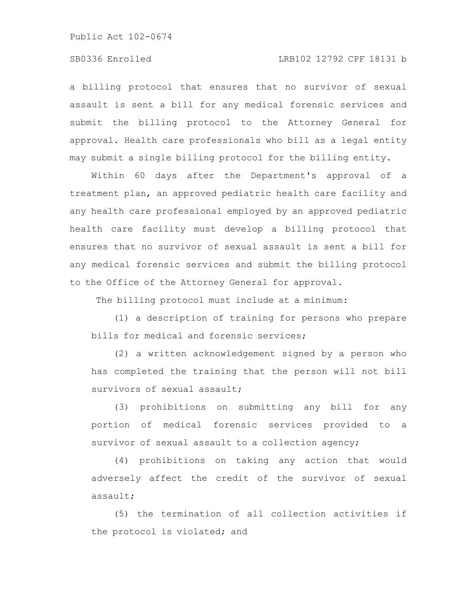# SB0336 Enrolled LRB102 12792 CPF 18131 b

a billing protocol that ensures that no survivor of sexual assault is sent a bill for any medical forensic services and submit the billing protocol to the Attorney General for approval. Health care professionals who bill as a legal entity may submit a single billing protocol for the billing entity.

Within 60 days after the Department's approval of a treatment plan, an approved pediatric health care facility and any health care professional employed by an approved pediatric health care facility must develop a billing protocol that ensures that no survivor of sexual assault is sent a bill for any medical forensic services and submit the billing protocol to the Office of the Attorney General for approval.

The billing protocol must include at a minimum:

(1) a description of training for persons who prepare bills for medical and forensic services;

(2) a written acknowledgement signed by a person who has completed the training that the person will not bill survivors of sexual assault;

(3) prohibitions on submitting any bill for any portion of medical forensic services provided to a survivor of sexual assault to a collection agency;

(4) prohibitions on taking any action that would adversely affect the credit of the survivor of sexual assault;

(5) the termination of all collection activities if the protocol is violated; and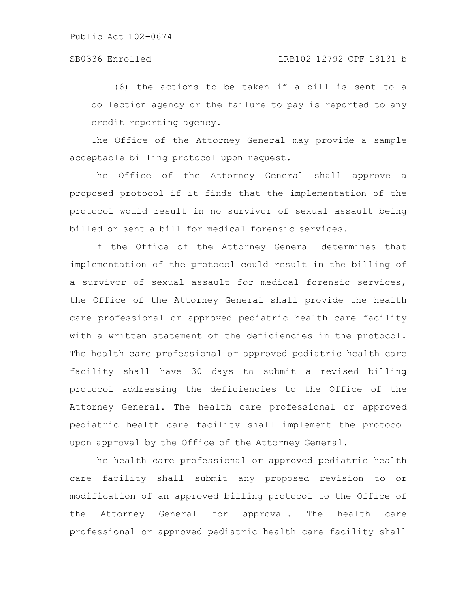# SB0336 Enrolled LRB102 12792 CPF 18131 b

(6) the actions to be taken if a bill is sent to a collection agency or the failure to pay is reported to any credit reporting agency.

The Office of the Attorney General may provide a sample acceptable billing protocol upon request.

The Office of the Attorney General shall approve a proposed protocol if it finds that the implementation of the protocol would result in no survivor of sexual assault being billed or sent a bill for medical forensic services.

If the Office of the Attorney General determines that implementation of the protocol could result in the billing of a survivor of sexual assault for medical forensic services, the Office of the Attorney General shall provide the health care professional or approved pediatric health care facility with a written statement of the deficiencies in the protocol. The health care professional or approved pediatric health care facility shall have 30 days to submit a revised billing protocol addressing the deficiencies to the Office of the Attorney General. The health care professional or approved pediatric health care facility shall implement the protocol upon approval by the Office of the Attorney General.

The health care professional or approved pediatric health care facility shall submit any proposed revision to or modification of an approved billing protocol to the Office of the Attorney General for approval. The health care professional or approved pediatric health care facility shall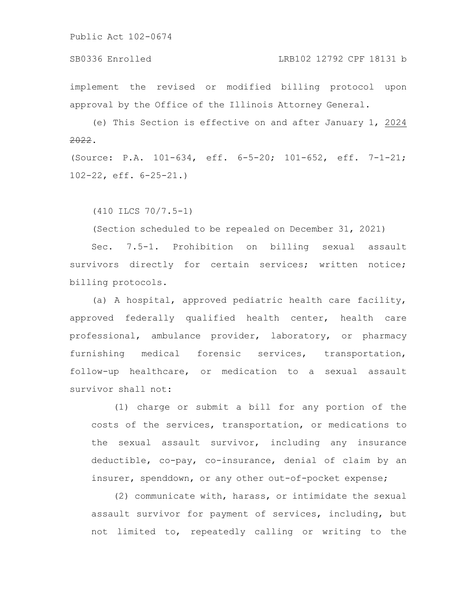SB0336 Enrolled LRB102 12792 CPF 18131 b

implement the revised or modified billing protocol upon approval by the Office of the Illinois Attorney General.

(e) This Section is effective on and after January 1, 2024 2022.

(Source: P.A. 101-634, eff. 6-5-20; 101-652, eff. 7-1-21; 102-22, eff. 6-25-21.)

(410 ILCS 70/7.5-1)

(Section scheduled to be repealed on December 31, 2021)

Sec. 7.5-1. Prohibition on billing sexual assault survivors directly for certain services; written notice; billing protocols.

(a) A hospital, approved pediatric health care facility, approved federally qualified health center, health care professional, ambulance provider, laboratory, or pharmacy furnishing medical forensic services, transportation, follow-up healthcare, or medication to a sexual assault survivor shall not:

(1) charge or submit a bill for any portion of the costs of the services, transportation, or medications to the sexual assault survivor, including any insurance deductible, co-pay, co-insurance, denial of claim by an insurer, spenddown, or any other out-of-pocket expense;

(2) communicate with, harass, or intimidate the sexual assault survivor for payment of services, including, but not limited to, repeatedly calling or writing to the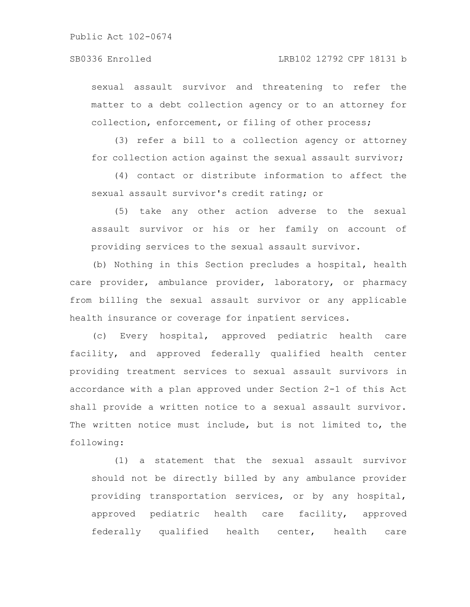## SB0336 Enrolled LRB102 12792 CPF 18131 b

sexual assault survivor and threatening to refer the matter to a debt collection agency or to an attorney for collection, enforcement, or filing of other process;

(3) refer a bill to a collection agency or attorney for collection action against the sexual assault survivor;

(4) contact or distribute information to affect the sexual assault survivor's credit rating; or

(5) take any other action adverse to the sexual assault survivor or his or her family on account of providing services to the sexual assault survivor.

(b) Nothing in this Section precludes a hospital, health care provider, ambulance provider, laboratory, or pharmacy from billing the sexual assault survivor or any applicable health insurance or coverage for inpatient services.

(c) Every hospital, approved pediatric health care facility, and approved federally qualified health center providing treatment services to sexual assault survivors in accordance with a plan approved under Section 2-1 of this Act shall provide a written notice to a sexual assault survivor. The written notice must include, but is not limited to, the following:

(1) a statement that the sexual assault survivor should not be directly billed by any ambulance provider providing transportation services, or by any hospital, approved pediatric health care facility, approved federally qualified health center, health care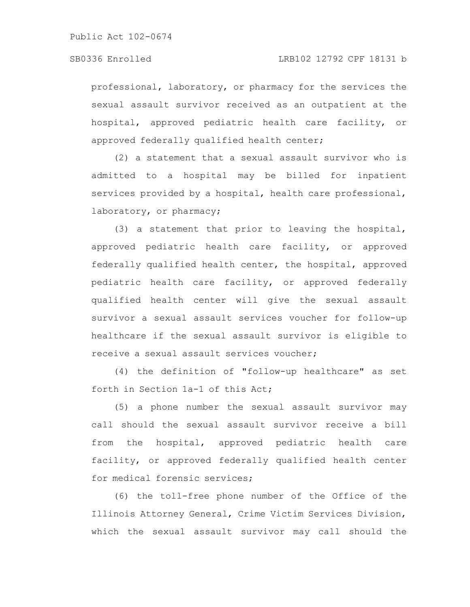professional, laboratory, or pharmacy for the services the sexual assault survivor received as an outpatient at the hospital, approved pediatric health care facility, or approved federally qualified health center;

(2) a statement that a sexual assault survivor who is admitted to a hospital may be billed for inpatient services provided by a hospital, health care professional, laboratory, or pharmacy;

(3) a statement that prior to leaving the hospital, approved pediatric health care facility, or approved federally qualified health center, the hospital, approved pediatric health care facility, or approved federally qualified health center will give the sexual assault survivor a sexual assault services voucher for follow-up healthcare if the sexual assault survivor is eligible to receive a sexual assault services voucher;

(4) the definition of "follow-up healthcare" as set forth in Section 1a-1 of this Act;

(5) a phone number the sexual assault survivor may call should the sexual assault survivor receive a bill from the hospital, approved pediatric health care facility, or approved federally qualified health center for medical forensic services;

(6) the toll-free phone number of the Office of the Illinois Attorney General, Crime Victim Services Division, which the sexual assault survivor may call should the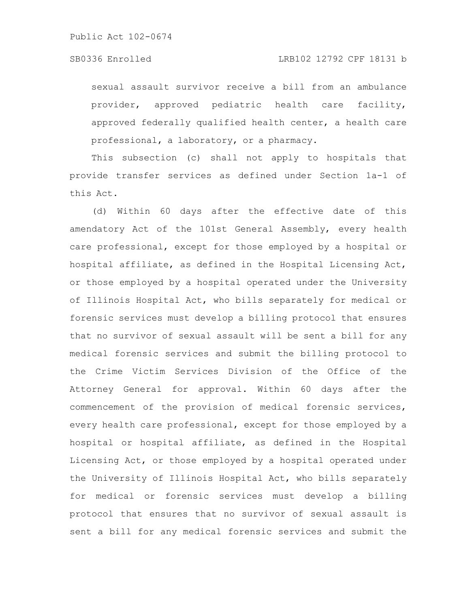### SB0336 Enrolled LRB102 12792 CPF 18131 b

sexual assault survivor receive a bill from an ambulance provider, approved pediatric health care facility, approved federally qualified health center, a health care professional, a laboratory, or a pharmacy.

This subsection (c) shall not apply to hospitals that provide transfer services as defined under Section 1a-1 of this Act.

(d) Within 60 days after the effective date of this amendatory Act of the 101st General Assembly, every health care professional, except for those employed by a hospital or hospital affiliate, as defined in the Hospital Licensing Act, or those employed by a hospital operated under the University of Illinois Hospital Act, who bills separately for medical or forensic services must develop a billing protocol that ensures that no survivor of sexual assault will be sent a bill for any medical forensic services and submit the billing protocol to the Crime Victim Services Division of the Office of the Attorney General for approval. Within 60 days after the commencement of the provision of medical forensic services, every health care professional, except for those employed by a hospital or hospital affiliate, as defined in the Hospital Licensing Act, or those employed by a hospital operated under the University of Illinois Hospital Act, who bills separately for medical or forensic services must develop a billing protocol that ensures that no survivor of sexual assault is sent a bill for any medical forensic services and submit the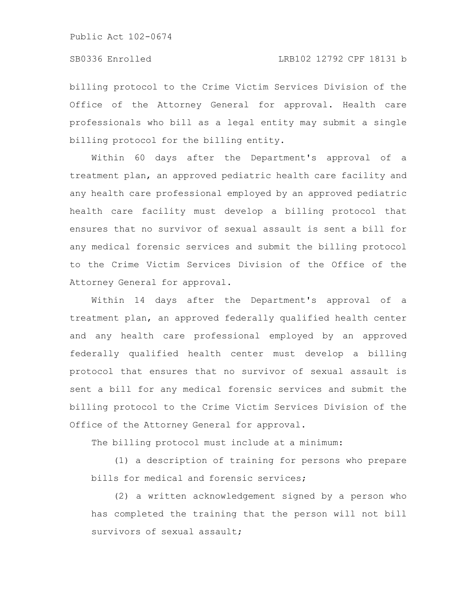billing protocol to the Crime Victim Services Division of the Office of the Attorney General for approval. Health care professionals who bill as a legal entity may submit a single billing protocol for the billing entity.

Within 60 days after the Department's approval of a treatment plan, an approved pediatric health care facility and any health care professional employed by an approved pediatric health care facility must develop a billing protocol that ensures that no survivor of sexual assault is sent a bill for any medical forensic services and submit the billing protocol to the Crime Victim Services Division of the Office of the Attorney General for approval.

Within 14 days after the Department's approval of a treatment plan, an approved federally qualified health center and any health care professional employed by an approved federally qualified health center must develop a billing protocol that ensures that no survivor of sexual assault is sent a bill for any medical forensic services and submit the billing protocol to the Crime Victim Services Division of the Office of the Attorney General for approval.

The billing protocol must include at a minimum:

(1) a description of training for persons who prepare bills for medical and forensic services;

(2) a written acknowledgement signed by a person who has completed the training that the person will not bill survivors of sexual assault;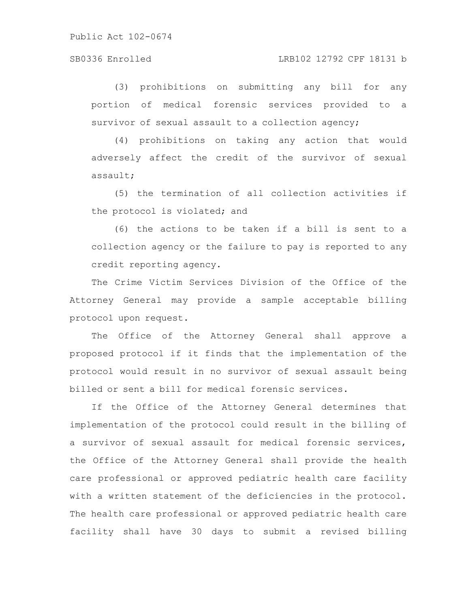## SB0336 Enrolled LRB102 12792 CPF 18131 b

(3) prohibitions on submitting any bill for any portion of medical forensic services provided to a survivor of sexual assault to a collection agency;

(4) prohibitions on taking any action that would adversely affect the credit of the survivor of sexual assault;

(5) the termination of all collection activities if the protocol is violated; and

(6) the actions to be taken if a bill is sent to a collection agency or the failure to pay is reported to any credit reporting agency.

The Crime Victim Services Division of the Office of the Attorney General may provide a sample acceptable billing protocol upon request.

The Office of the Attorney General shall approve a proposed protocol if it finds that the implementation of the protocol would result in no survivor of sexual assault being billed or sent a bill for medical forensic services.

If the Office of the Attorney General determines that implementation of the protocol could result in the billing of a survivor of sexual assault for medical forensic services, the Office of the Attorney General shall provide the health care professional or approved pediatric health care facility with a written statement of the deficiencies in the protocol. The health care professional or approved pediatric health care facility shall have 30 days to submit a revised billing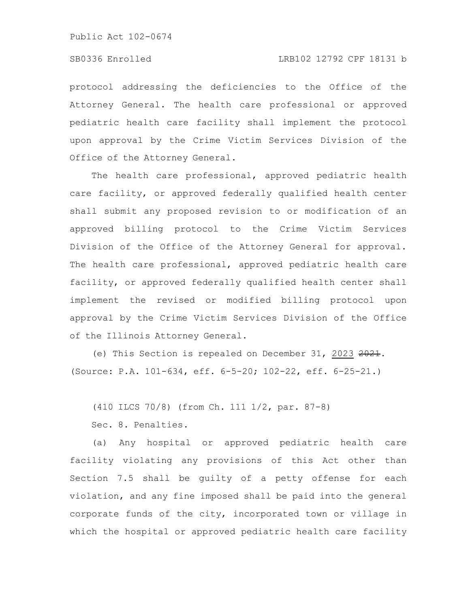# SB0336 Enrolled LRB102 12792 CPF 18131 b

protocol addressing the deficiencies to the Office of the Attorney General. The health care professional or approved pediatric health care facility shall implement the protocol upon approval by the Crime Victim Services Division of the Office of the Attorney General.

The health care professional, approved pediatric health care facility, or approved federally qualified health center shall submit any proposed revision to or modification of an approved billing protocol to the Crime Victim Services Division of the Office of the Attorney General for approval. The health care professional, approved pediatric health care facility, or approved federally qualified health center shall implement the revised or modified billing protocol upon approval by the Crime Victim Services Division of the Office of the Illinois Attorney General.

(e) This Section is repealed on December 31, 2023 2021. (Source: P.A. 101-634, eff. 6-5-20; 102-22, eff. 6-25-21.)

(410 ILCS 70/8) (from Ch. 111 1/2, par. 87-8)

Sec. 8. Penalties.

(a) Any hospital or approved pediatric health care facility violating any provisions of this Act other than Section 7.5 shall be guilty of a petty offense for each violation, and any fine imposed shall be paid into the general corporate funds of the city, incorporated town or village in which the hospital or approved pediatric health care facility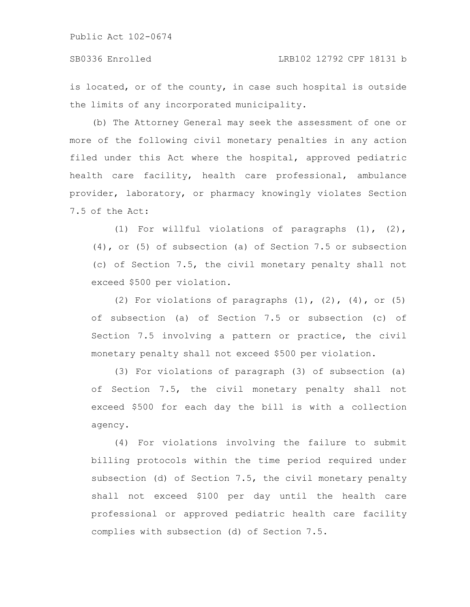# SB0336 Enrolled LRB102 12792 CPF 18131 b

is located, or of the county, in case such hospital is outside the limits of any incorporated municipality.

(b) The Attorney General may seek the assessment of one or more of the following civil monetary penalties in any action filed under this Act where the hospital, approved pediatric health care facility, health care professional, ambulance provider, laboratory, or pharmacy knowingly violates Section 7.5 of the Act:

(1) For willful violations of paragraphs (1), (2), (4), or (5) of subsection (a) of Section 7.5 or subsection (c) of Section 7.5, the civil monetary penalty shall not exceed \$500 per violation.

(2) For violations of paragraphs  $(1)$ ,  $(2)$ ,  $(4)$ , or  $(5)$ of subsection (a) of Section 7.5 or subsection (c) of Section 7.5 involving a pattern or practice, the civil monetary penalty shall not exceed \$500 per violation.

(3) For violations of paragraph (3) of subsection (a) of Section 7.5, the civil monetary penalty shall not exceed \$500 for each day the bill is with a collection agency.

(4) For violations involving the failure to submit billing protocols within the time period required under subsection (d) of Section 7.5, the civil monetary penalty shall not exceed \$100 per day until the health care professional or approved pediatric health care facility complies with subsection (d) of Section 7.5.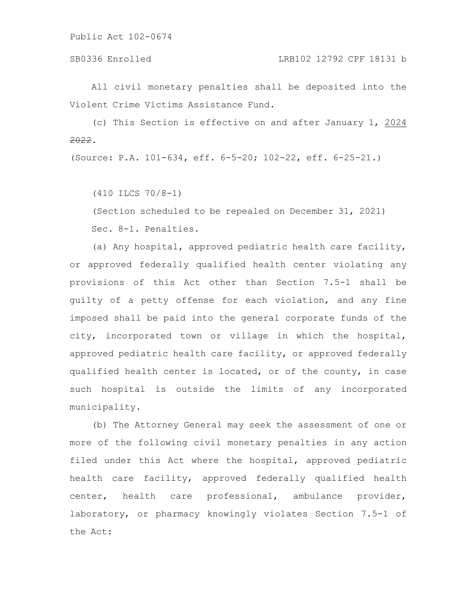All civil monetary penalties shall be deposited into the Violent Crime Victims Assistance Fund.

(c) This Section is effective on and after January 1, 2024 2022.

(Source: P.A. 101-634, eff. 6-5-20; 102-22, eff. 6-25-21.)

(410 ILCS 70/8-1)

(Section scheduled to be repealed on December 31, 2021) Sec. 8-1. Penalties.

(a) Any hospital, approved pediatric health care facility, or approved federally qualified health center violating any provisions of this Act other than Section 7.5-1 shall be guilty of a petty offense for each violation, and any fine imposed shall be paid into the general corporate funds of the city, incorporated town or village in which the hospital, approved pediatric health care facility, or approved federally qualified health center is located, or of the county, in case such hospital is outside the limits of any incorporated municipality.

(b) The Attorney General may seek the assessment of one or more of the following civil monetary penalties in any action filed under this Act where the hospital, approved pediatric health care facility, approved federally qualified health center, health care professional, ambulance provider, laboratory, or pharmacy knowingly violates Section 7.5-1 of the Act: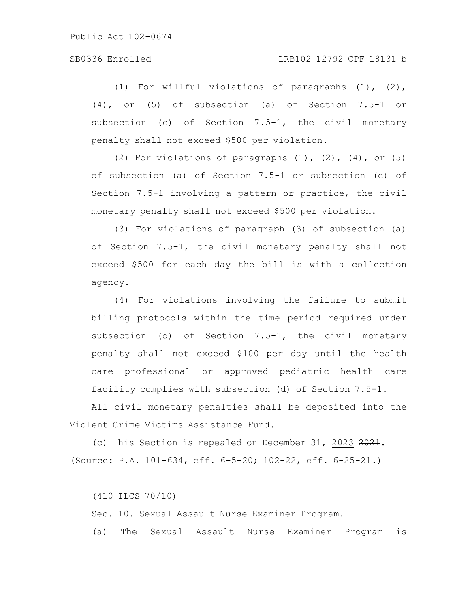# SB0336 Enrolled LRB102 12792 CPF 18131 b

(1) For willful violations of paragraphs (1), (2), (4), or (5) of subsection (a) of Section 7.5-1 or subsection (c) of Section 7.5-1, the civil monetary penalty shall not exceed \$500 per violation.

(2) For violations of paragraphs  $(1)$ ,  $(2)$ ,  $(4)$ , or  $(5)$ of subsection (a) of Section 7.5-1 or subsection (c) of Section 7.5-1 involving a pattern or practice, the civil monetary penalty shall not exceed \$500 per violation.

(3) For violations of paragraph (3) of subsection (a) of Section 7.5-1, the civil monetary penalty shall not exceed \$500 for each day the bill is with a collection agency.

(4) For violations involving the failure to submit billing protocols within the time period required under subsection (d) of Section 7.5-1, the civil monetary penalty shall not exceed \$100 per day until the health care professional or approved pediatric health care facility complies with subsection (d) of Section 7.5-1.

All civil monetary penalties shall be deposited into the Violent Crime Victims Assistance Fund.

(c) This Section is repealed on December 31, 2023 2021. (Source: P.A. 101-634, eff. 6-5-20; 102-22, eff. 6-25-21.)

(410 ILCS 70/10)

Sec. 10. Sexual Assault Nurse Examiner Program.

(a) The Sexual Assault Nurse Examiner Program is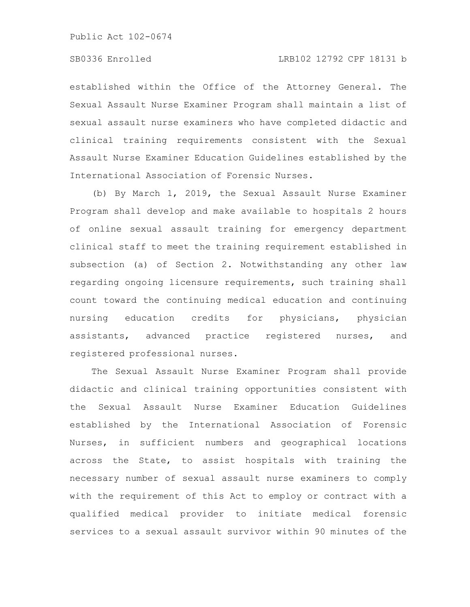established within the Office of the Attorney General. The Sexual Assault Nurse Examiner Program shall maintain a list of sexual assault nurse examiners who have completed didactic and clinical training requirements consistent with the Sexual Assault Nurse Examiner Education Guidelines established by the International Association of Forensic Nurses.

(b) By March 1, 2019, the Sexual Assault Nurse Examiner Program shall develop and make available to hospitals 2 hours of online sexual assault training for emergency department clinical staff to meet the training requirement established in subsection (a) of Section 2. Notwithstanding any other law regarding ongoing licensure requirements, such training shall count toward the continuing medical education and continuing nursing education credits for physicians, physician assistants, advanced practice registered nurses, and registered professional nurses.

The Sexual Assault Nurse Examiner Program shall provide didactic and clinical training opportunities consistent with the Sexual Assault Nurse Examiner Education Guidelines established by the International Association of Forensic Nurses, in sufficient numbers and geographical locations across the State, to assist hospitals with training the necessary number of sexual assault nurse examiners to comply with the requirement of this Act to employ or contract with a qualified medical provider to initiate medical forensic services to a sexual assault survivor within 90 minutes of the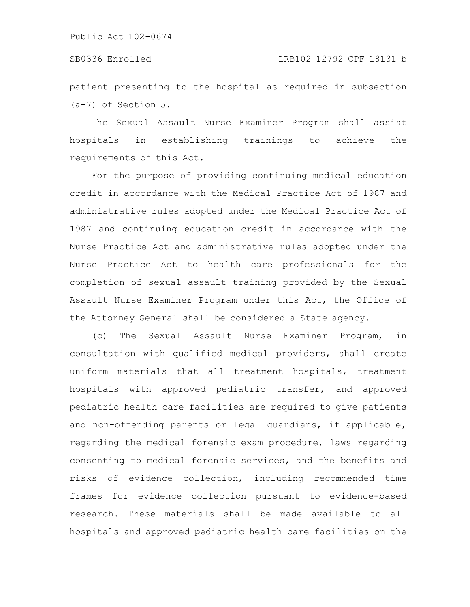patient presenting to the hospital as required in subsection (a-7) of Section 5.

The Sexual Assault Nurse Examiner Program shall assist hospitals in establishing trainings to achieve the requirements of this Act.

For the purpose of providing continuing medical education credit in accordance with the Medical Practice Act of 1987 and administrative rules adopted under the Medical Practice Act of 1987 and continuing education credit in accordance with the Nurse Practice Act and administrative rules adopted under the Nurse Practice Act to health care professionals for the completion of sexual assault training provided by the Sexual Assault Nurse Examiner Program under this Act, the Office of the Attorney General shall be considered a State agency.

(c) The Sexual Assault Nurse Examiner Program, in consultation with qualified medical providers, shall create uniform materials that all treatment hospitals, treatment hospitals with approved pediatric transfer, and approved pediatric health care facilities are required to give patients and non-offending parents or legal guardians, if applicable, regarding the medical forensic exam procedure, laws regarding consenting to medical forensic services, and the benefits and risks of evidence collection, including recommended time frames for evidence collection pursuant to evidence-based research. These materials shall be made available to all hospitals and approved pediatric health care facilities on the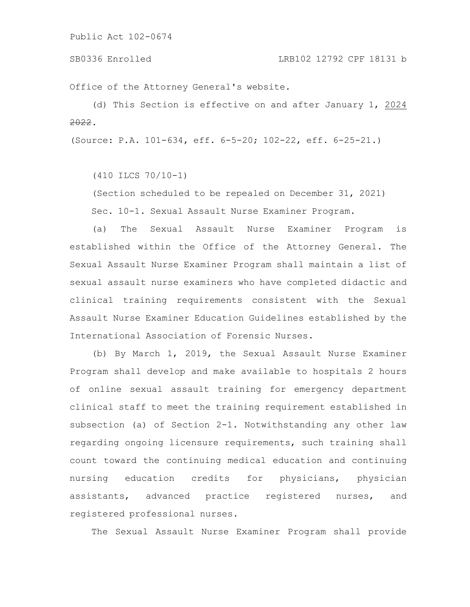Office of the Attorney General's website.

(d) This Section is effective on and after January 1, 2024 2022.

(Source: P.A. 101-634, eff. 6-5-20; 102-22, eff. 6-25-21.)

(410 ILCS 70/10-1)

(Section scheduled to be repealed on December 31, 2021) Sec. 10-1. Sexual Assault Nurse Examiner Program.

(a) The Sexual Assault Nurse Examiner Program is established within the Office of the Attorney General. The Sexual Assault Nurse Examiner Program shall maintain a list of sexual assault nurse examiners who have completed didactic and clinical training requirements consistent with the Sexual Assault Nurse Examiner Education Guidelines established by the International Association of Forensic Nurses.

(b) By March 1, 2019, the Sexual Assault Nurse Examiner Program shall develop and make available to hospitals 2 hours of online sexual assault training for emergency department clinical staff to meet the training requirement established in subsection (a) of Section 2-1. Notwithstanding any other law regarding ongoing licensure requirements, such training shall count toward the continuing medical education and continuing nursing education credits for physicians, physician assistants, advanced practice registered nurses, and registered professional nurses.

The Sexual Assault Nurse Examiner Program shall provide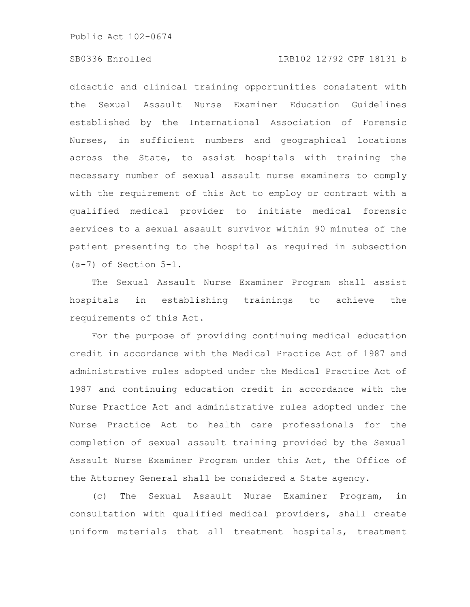# SB0336 Enrolled LRB102 12792 CPF 18131 b

didactic and clinical training opportunities consistent with the Sexual Assault Nurse Examiner Education Guidelines established by the International Association of Forensic Nurses, in sufficient numbers and geographical locations across the State, to assist hospitals with training the necessary number of sexual assault nurse examiners to comply with the requirement of this Act to employ or contract with a qualified medical provider to initiate medical forensic services to a sexual assault survivor within 90 minutes of the patient presenting to the hospital as required in subsection (a-7) of Section 5-1.

The Sexual Assault Nurse Examiner Program shall assist hospitals in establishing trainings to achieve the requirements of this Act.

For the purpose of providing continuing medical education credit in accordance with the Medical Practice Act of 1987 and administrative rules adopted under the Medical Practice Act of 1987 and continuing education credit in accordance with the Nurse Practice Act and administrative rules adopted under the Nurse Practice Act to health care professionals for the completion of sexual assault training provided by the Sexual Assault Nurse Examiner Program under this Act, the Office of the Attorney General shall be considered a State agency.

(c) The Sexual Assault Nurse Examiner Program, in consultation with qualified medical providers, shall create uniform materials that all treatment hospitals, treatment